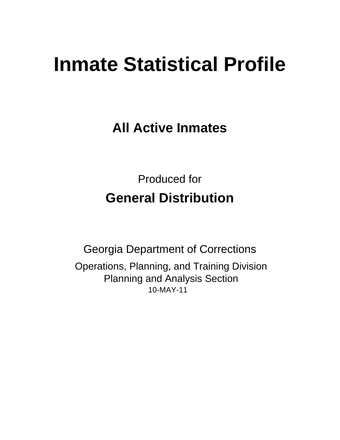# **Inmate Statistical Profile**

**All Active Inmates** 

**Produced for General Distribution** 

**Georgia Department of Corrections** Operations, Planning, and Training Division **Planning and Analysis Section** 10-MAY-11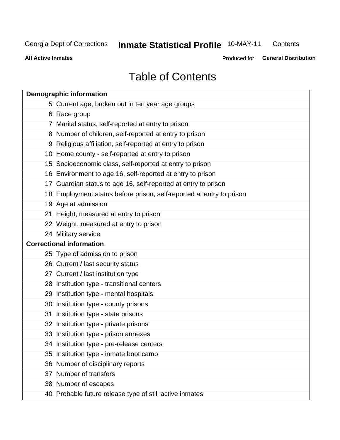#### **Inmate Statistical Profile 10-MAY-11** Contents

**All Active Inmates** 

Produced for General Distribution

## **Table of Contents**

| <b>Demographic information</b>                                       |
|----------------------------------------------------------------------|
| 5 Current age, broken out in ten year age groups                     |
| 6 Race group                                                         |
| 7 Marital status, self-reported at entry to prison                   |
| 8 Number of children, self-reported at entry to prison               |
| 9 Religious affiliation, self-reported at entry to prison            |
| 10 Home county - self-reported at entry to prison                    |
| 15 Socioeconomic class, self-reported at entry to prison             |
| 16 Environment to age 16, self-reported at entry to prison           |
| 17 Guardian status to age 16, self-reported at entry to prison       |
| 18 Employment status before prison, self-reported at entry to prison |
| 19 Age at admission                                                  |
| 21 Height, measured at entry to prison                               |
| 22 Weight, measured at entry to prison                               |
| 24 Military service                                                  |
| <b>Correctional information</b>                                      |
| 25 Type of admission to prison                                       |
| 26 Current / last security status                                    |
| 27 Current / last institution type                                   |
| 28 Institution type - transitional centers                           |
| 29 Institution type - mental hospitals                               |
| 30 Institution type - county prisons                                 |
| 31 Institution type - state prisons                                  |
| 32 Institution type - private prisons                                |
| 33 Institution type - prison annexes                                 |
| 34 Institution type - pre-release centers                            |
| 35 Institution type - inmate boot camp                               |
| 36 Number of disciplinary reports                                    |
| 37 Number of transfers                                               |
| 38 Number of escapes                                                 |
| 40 Probable future release type of still active inmates              |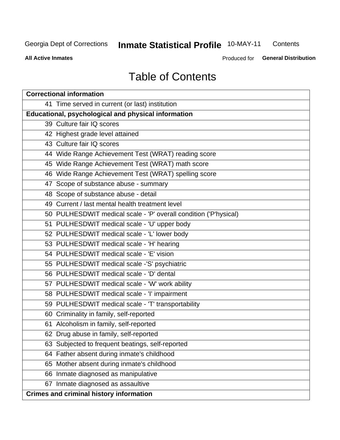#### **Inmate Statistical Profile 10-MAY-11** Contents

**All Active Inmates** 

Produced for General Distribution

## **Table of Contents**

| <b>Correctional information</b>                                  |
|------------------------------------------------------------------|
| 41 Time served in current (or last) institution                  |
| <b>Educational, psychological and physical information</b>       |
| 39 Culture fair IQ scores                                        |
| 42 Highest grade level attained                                  |
| 43 Culture fair IQ scores                                        |
| 44 Wide Range Achievement Test (WRAT) reading score              |
| 45 Wide Range Achievement Test (WRAT) math score                 |
| 46 Wide Range Achievement Test (WRAT) spelling score             |
| 47 Scope of substance abuse - summary                            |
| 48 Scope of substance abuse - detail                             |
| 49 Current / last mental health treatment level                  |
| 50 PULHESDWIT medical scale - 'P' overall condition ('P'hysical) |
| 51 PULHESDWIT medical scale - 'U' upper body                     |
| 52 PULHESDWIT medical scale - 'L' lower body                     |
| 53 PULHESDWIT medical scale - 'H' hearing                        |
| 54 PULHESDWIT medical scale - 'E' vision                         |
| 55 PULHESDWIT medical scale -'S' psychiatric                     |
| 56 PULHESDWIT medical scale - 'D' dental                         |
| 57 PULHESDWIT medical scale - 'W' work ability                   |
| 58 PULHESDWIT medical scale - 'I' impairment                     |
| 59 PULHESDWIT medical scale - 'T' transportability               |
| 60 Criminality in family, self-reported                          |
| 61 Alcoholism in family, self-reported                           |
| 62 Drug abuse in family, self-reported                           |
| 63 Subjected to frequent beatings, self-reported                 |
| 64 Father absent during inmate's childhood                       |
| 65 Mother absent during inmate's childhood                       |
| 66 Inmate diagnosed as manipulative                              |
| 67 Inmate diagnosed as assaultive                                |
| <b>Crimes and criminal history information</b>                   |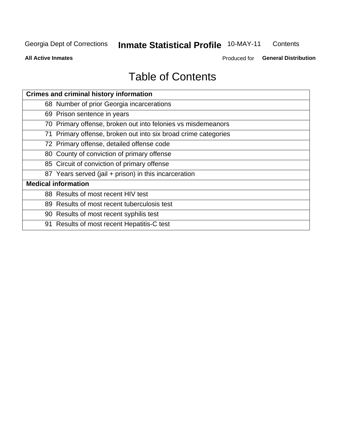#### **Inmate Statistical Profile 10-MAY-11** Contents

**All Active Inmates** 

Produced for General Distribution

## **Table of Contents**

| <b>Crimes and criminal history information</b>                 |
|----------------------------------------------------------------|
| 68 Number of prior Georgia incarcerations                      |
| 69 Prison sentence in years                                    |
| 70 Primary offense, broken out into felonies vs misdemeanors   |
| 71 Primary offense, broken out into six broad crime categories |
| 72 Primary offense, detailed offense code                      |
| 80 County of conviction of primary offense                     |
| 85 Circuit of conviction of primary offense                    |
| 87 Years served (jail + prison) in this incarceration          |
| <b>Medical information</b>                                     |
| 88 Results of most recent HIV test                             |
| 89 Results of most recent tuberculosis test                    |
| 90 Results of most recent syphilis test                        |
| 91 Results of most recent Hepatitis-C test                     |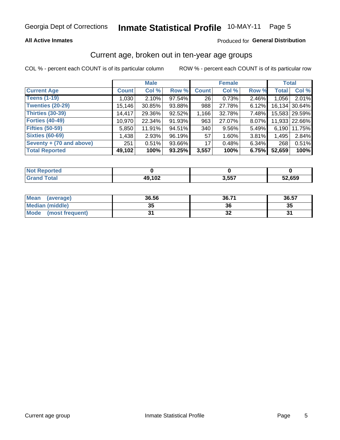#### **All Active Inmates**

#### Produced for General Distribution

### Current age, broken out in ten-year age groups

COL % - percent each COUNT is of its particular column

|                          |              | <b>Male</b> |        |              | <b>Female</b> |          |              | <b>Total</b>  |
|--------------------------|--------------|-------------|--------|--------------|---------------|----------|--------------|---------------|
| <b>Current Age</b>       | <b>Count</b> | Col %       | Row %  | <b>Count</b> | Col %         | Row %    | <b>Total</b> | Col %         |
| <b>Teens (1-19)</b>      | 1,030        | 2.10%       | 97.54% | 26           | 0.73%         | 2.46%    | 1,056        | 2.01%         |
| <b>Twenties (20-29)</b>  | 15,146       | 30.85%      | 93.88% | 988          | 27.78%        | 6.12%    | 16,134       | 30.64%        |
| <b>Thirties (30-39)</b>  | 14,417       | 29.36%      | 92.52% | 1,166        | 32.78%        | 7.48%    |              | 15,583 29.59% |
| <b>Forties (40-49)</b>   | 10,970       | 22.34%      | 91.93% | 963          | 27.07%        | 8.07%    |              | 11,933 22.66% |
| <b>Fifties (50-59)</b>   | 5,850        | 11.91%      | 94.51% | 340          | 9.56%         | 5.49%    | 6,190        | 11.75%        |
| <b>Sixties (60-69)</b>   | 1,438        | 2.93%       | 96.19% | 57           | 1.60%         | 3.81%    | 1,495        | 2.84%         |
| Seventy + (70 and above) | 251          | 0.51%       | 93.66% | 17           | 0.48%         | $6.34\%$ | 268          | 0.51%         |
| <b>Total Reported</b>    | 49,102       | 100%        | 93.25% | 3,557        | 100%          | 6.75%    | 52,659       | 100%          |

| <b>Not Repo</b><br><b>Anorted</b> |              |       |        |
|-----------------------------------|--------------|-------|--------|
| Total                             | 49,102<br>49 | 3,557 | 52,659 |

| Mean<br>(average)              | 36.56 | 36.71 | 36.57 |
|--------------------------------|-------|-------|-------|
| <b>Median (middle)</b>         | 35    | 36    | 35    |
| <b>Mode</b><br>(most frequent) | Ω,    | JZ    | .     |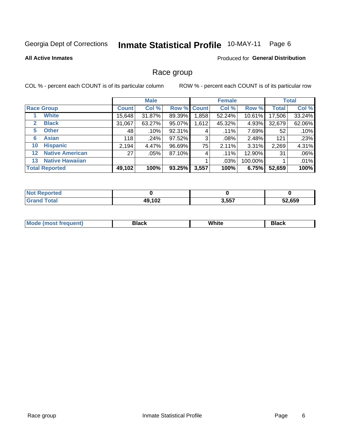#### **Inmate Statistical Profile 10-MAY-11** Page 6

#### **All Active Inmates**

#### Produced for General Distribution

#### Race group

COL % - percent each COUNT is of its particular column

|              |                        |              | <b>Male</b> |        |             | <b>Female</b> |           |              | <b>Total</b> |
|--------------|------------------------|--------------|-------------|--------|-------------|---------------|-----------|--------------|--------------|
|              | <b>Race Group</b>      | <b>Count</b> | Col %       |        | Row % Count | Col %         | Row %     | <b>Total</b> | Col %        |
|              | <b>White</b>           | 15,648       | 31.87%      | 89.39% | 1,858       | 52.24%        | $10.61\%$ | 17,506       | 33.24%       |
| $\mathbf{2}$ | <b>Black</b>           | 31,067       | 63.27%      | 95.07% | 1,612       | 45.32%        | 4.93%     | 32,679       | 62.06%       |
| 5.           | <b>Other</b>           | 48           | .10%        | 92.31% | 4           | $.11\%$       | 7.69%     | 52           | .10%         |
| 6            | <b>Asian</b>           | 118          | .24%        | 97.52% | 3           | $.08\%$       | 2.48%     | 121          | .23%         |
| 10           | <b>Hispanic</b>        | 2,194        | 4.47%       | 96.69% | 75          | 2.11%         | 3.31%     | 2,269        | 4.31%        |
| $12 \,$      | <b>Native American</b> | 27           | $.05\%$     | 87.10% | 4           | .11%          | 12.90%    | 31           | .06%         |
| 13           | <b>Native Hawaiian</b> |              |             |        |             | .03%          | 100.00%   |              | .01%         |
|              | <b>Total Reported</b>  | 49,102       | 100%        | 93.25% | 3,557       | 100%          | 6.75%     | 52,659       | 100%         |

| Reported<br><b>NOT</b> |        |       |        |
|------------------------|--------|-------|--------|
| Total<br>"Grand        | 49,102 | 3,557 | 52.659 |

| M.<br>____ | . | ------- |
|------------|---|---------|
|            |   |         |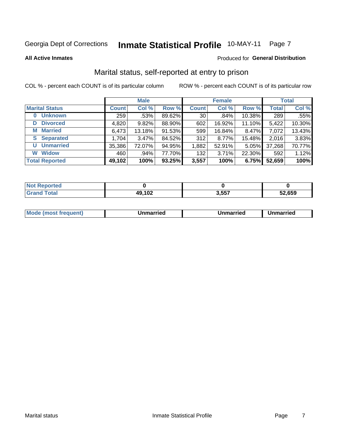#### **Inmate Statistical Profile 10-MAY-11** Page 7

**All Active Inmates** 

#### Produced for General Distribution

### Marital status, self-reported at entry to prison

COL % - percent each COUNT is of its particular column

|                            |              | <b>Male</b> |        |                 | <b>Female</b> |        |              | <b>Total</b> |
|----------------------------|--------------|-------------|--------|-----------------|---------------|--------|--------------|--------------|
| <b>Marital Status</b>      | <b>Count</b> | Col %       | Row %  | <b>Count</b>    | Col %         | Row %  | <b>Total</b> | Col %        |
| <b>Unknown</b><br>$\bf{0}$ | 259          | $.53\%$     | 89.62% | 30 <sub>1</sub> | .84%          | 10.38% | 289          | .55%         |
| <b>Divorced</b><br>D       | 4,820        | 9.82%       | 88.90% | 602             | 16.92%        | 11.10% | 5,422        | 10.30%       |
| <b>Married</b><br>М        | 6,473        | 13.18%      | 91.53% | 599             | 16.84%        | 8.47%  | 7,072        | 13.43%       |
| <b>Separated</b><br>S.     | 1,704        | 3.47%       | 84.52% | 312             | 8.77%         | 15.48% | 2,016        | 3.83%        |
| <b>Unmarried</b><br>U      | 35,386       | 72.07%      | 94.95% | 1,882           | 52.91%        | 5.05%  | 37,268       | 70.77%       |
| <b>Widow</b><br>W          | 460          | $.94\%$     | 77.70% | 132             | 3.71%         | 22.30% | 592          | 1.12%        |
| <b>Total Reported</b>      | 49,102       | 100%        | 93.25% | 3,557           | 100%          | 6.75%  | 52,659       | 100%         |

| <b>Not Reported</b> |        |                |        |
|---------------------|--------|----------------|--------|
| <b>Total</b>        | 49,102 | 2557<br>. טטוי | 52,659 |

|--|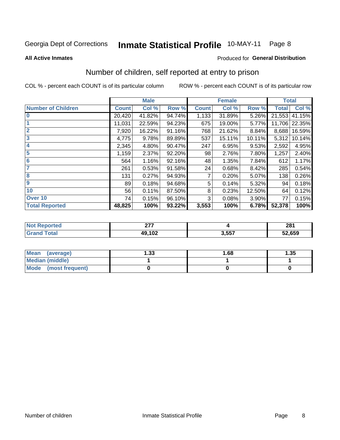#### Inmate Statistical Profile 10-MAY-11 Page 8

#### **All Active Inmates**

#### Produced for General Distribution

### Number of children, self reported at entry to prison

COL % - percent each COUNT is of its particular column

|                           |              | <b>Male</b> |        |              | <b>Female</b> |        | <b>Total</b> |               |
|---------------------------|--------------|-------------|--------|--------------|---------------|--------|--------------|---------------|
| <b>Number of Children</b> | <b>Count</b> | Col %       | Row %  | <b>Count</b> | Col %         | Row %  | <b>Total</b> | Col %         |
| 10                        | 20,420       | 41.82%      | 94.74% | 1,133        | 31.89%        | 5.26%  | 21,553       | 41.15%        |
|                           | 11,031       | 22.59%      | 94.23% | 675          | 19.00%        | 5.77%  |              | 11,706 22.35% |
| $\overline{2}$            | 7,920        | 16.22%      | 91.16% | 768          | 21.62%        | 8.84%  | 8,688        | 16.59%        |
| $\overline{\mathbf{3}}$   | 4,775        | 9.78%       | 89.89% | 537          | 15.11%        | 10.11% | 5,312        | 10.14%        |
| $\overline{\mathbf{4}}$   | 2,345        | 4.80%       | 90.47% | 247          | 6.95%         | 9.53%  | 2,592        | 4.95%         |
| 5                         | 1,159        | 2.37%       | 92.20% | 98           | 2.76%         | 7.80%  | 1,257        | 2.40%         |
| $6\phantom{1}6$           | 564          | 1.16%       | 92.16% | 48           | 1.35%         | 7.84%  | 612          | 1.17%         |
| 7                         | 261          | 0.53%       | 91.58% | 24           | 0.68%         | 8.42%  | 285          | 0.54%         |
| 8                         | 131          | 0.27%       | 94.93% | 7            | 0.20%         | 5.07%  | 138          | 0.26%         |
| 9                         | 89           | 0.18%       | 94.68% | 5            | 0.14%         | 5.32%  | 94           | 0.18%         |
| 10                        | 56           | 0.11%       | 87.50% | 8            | 0.23%         | 12.50% | 64           | 0.12%         |
| Over 10                   | 74           | 0.15%       | 96.10% | 3            | 0.08%         | 3.90%  | 77           | 0.15%         |
| <b>Total Reported</b>     | 48,825       | 100%        | 93.22% | 3,553        | 100%          | 6.78%  | 52,378       | 100%          |

|      | $\sim$<br>- -    |                          | 201<br>ZO I |
|------|------------------|--------------------------|-------------|
| υιαι | $AO$ 102<br>1 UZ | 2 <sub>E</sub> 7<br>וטיי | 52,659      |

| <b>Mean</b><br>(average) | l.33 | 1.68 | 1.35 |
|--------------------------|------|------|------|
| Median (middle)          |      |      |      |
| Mode<br>(most frequent)  |      |      |      |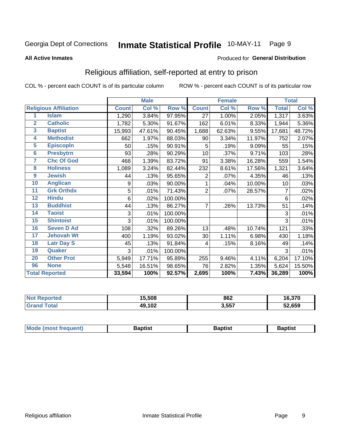#### **Inmate Statistical Profile 10-MAY-11** Page 9

#### **All Active Inmates**

#### Produced for General Distribution

### Religious affiliation, self-reported at entry to prison

COL % - percent each COUNT is of its particular column

|                |                              | <b>Male</b>  |        | <b>Female</b> |                |        | <b>Total</b> |              |        |
|----------------|------------------------------|--------------|--------|---------------|----------------|--------|--------------|--------------|--------|
|                | <b>Religious Affiliation</b> | <b>Count</b> | Col %  | Row %         | <b>Count</b>   | Col %  | Row %        | <b>Total</b> | Col %  |
| 1              | <b>Islam</b>                 | 1,290        | 3.84%  | 97.95%        | 27             | 1.00%  | 2.05%        | 1,317        | 3.63%  |
| $\overline{2}$ | <b>Catholic</b>              | 1,782        | 5.30%  | 91.67%        | 162            | 6.01%  | 8.33%        | 1,944        | 5.36%  |
| 3              | <b>Baptist</b>               | 15,993       | 47.61% | 90.45%        | 1,688          | 62.63% | 9.55%        | 17,681       | 48.72% |
| 4              | <b>Methodist</b>             | 662          | 1.97%  | 88.03%        | 90             | 3.34%  | 11.97%       | 752          | 2.07%  |
| 5              | <b>EpiscopIn</b>             | 50           | .15%   | 90.91%        | 5              | .19%   | 9.09%        | 55           | .15%   |
| $6\phantom{a}$ | <b>Presbytrn</b>             | 93           | .28%   | 90.29%        | 10             | .37%   | 9.71%        | 103          | .28%   |
| 7              | <b>Chc Of God</b>            | 468          | 1.39%  | 83.72%        | 91             | 3.38%  | 16.28%       | 559          | 1.54%  |
| 8              | <b>Holiness</b>              | 1,089        | 3.24%  | 82.44%        | 232            | 8.61%  | 17.56%       | 1,321        | 3.64%  |
| 9              | <b>Jewish</b>                | 44           | .13%   | 95.65%        | $\overline{2}$ | .07%   | 4.35%        | 46           | .13%   |
| 10             | <b>Anglican</b>              | 9            | .03%   | 90.00%        | 1              | .04%   | 10.00%       | 10           | .03%   |
| 11             | <b>Grk Orthdx</b>            | 5            | .01%   | 71.43%        | $\overline{2}$ | .07%   | 28.57%       | 7            | .02%   |
| 12             | <b>Hindu</b>                 | 6            | .02%   | 100.00%       |                |        |              | 6            | .02%   |
| 13             | <b>Buddhist</b>              | 44           | .13%   | 86.27%        | $\overline{7}$ | .26%   | 13.73%       | 51           | .14%   |
| 14             | <b>Taoist</b>                | 3            | .01%   | 100.00%       |                |        |              | 3            | .01%   |
| 15             | <b>Shintoist</b>             | 3            | .01%   | 100.00%       |                |        |              | 3            | .01%   |
| 16             | <b>Seven D Ad</b>            | 108          | .32%   | 89.26%        | 13             | .48%   | 10.74%       | 121          | .33%   |
| 17             | <b>Jehovah Wt</b>            | 400          | 1.19%  | 93.02%        | 30             | 1.11%  | 6.98%        | 430          | 1.18%  |
| 18             | <b>Latr Day S</b>            | 45           | .13%   | 91.84%        | 4              | .15%   | 8.16%        | 49           | .14%   |
| 19             | Quaker                       | 3            | .01%   | 100.00%       |                |        |              | 3            | .01%   |
| 20             | <b>Other Prot</b>            | 5,949        | 17.71% | 95.89%        | 255            | 9.46%  | 4.11%        | 6,204        | 17.10% |
| 96             | <b>None</b>                  | 5,548        | 16.51% | 98.65%        | 76             | 2.82%  | 1.35%        | 5,624        | 15.50% |
|                | <b>Total Reported</b>        | 33,594       | 100%   | 92.57%        | 2,695          | 100%   | 7.43%        | 36,289       | 100%   |

| Reported<br>NO. | 15,508 | 862   | 16,370 |
|-----------------|--------|-------|--------|
| <b>otal</b>     | 49,102 | 3,557 | 52,659 |

| <b>Mode (most frequent)</b><br>Baptist<br>Baptist<br>Baptist |
|--------------------------------------------------------------|
|--------------------------------------------------------------|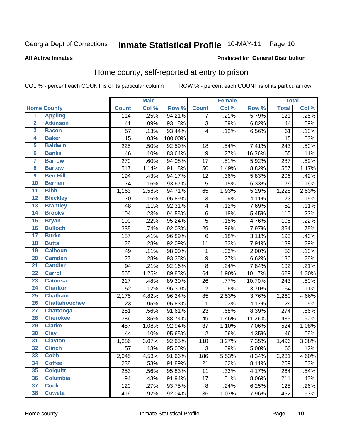#### Inmate Statistical Profile 10-MAY-11 Page 10

**All Active Inmates** 

#### Produced for General Distribution

### Home county, self-reported at entry to prison

COL % - percent each COUNT is of its particular column

|                         |                      |              | <b>Male</b> |         |                  | Female |        | <b>Total</b> |       |
|-------------------------|----------------------|--------------|-------------|---------|------------------|--------|--------|--------------|-------|
|                         | <b>Home County</b>   | <b>Count</b> | Col %       | Row %   | <b>Count</b>     | Col%   | Row %  | <b>Total</b> | Col % |
| $\overline{1}$          | <b>Appling</b>       | 114          | .25%        | 94.21%  | $\overline{7}$   | .21%   | 5.79%  | 121          | .25%  |
| $\overline{2}$          | <b>Atkinson</b>      | 41           | .09%        | 93.18%  | 3                | .09%   | 6.82%  | 44           | .09%  |
| $\overline{\mathbf{3}}$ | <b>Bacon</b>         | 57           | .13%        | 93.44%  | 4                | .12%   | 6.56%  | 61           | .13%  |
| 4                       | <b>Baker</b>         | 15           | .03%        | 100.00% |                  |        |        | 15           | .03%  |
| 5                       | <b>Baldwin</b>       | 225          | .50%        | 92.59%  | 18               | .54%   | 7.41%  | 243          | .50%  |
| $6\phantom{a}$          | <b>Banks</b>         | 46           | .10%        | 83.64%  | 9                | .27%   | 16.36% | 55           | .11%  |
| 7                       | <b>Barrow</b>        | 270          | .60%        | 94.08%  | 17               | .51%   | 5.92%  | 287          | .59%  |
| 8                       | <b>Bartow</b>        | 517          | 1.14%       | 91.18%  | 50               | 1.49%  | 8.82%  | 567          | 1.17% |
| $\overline{9}$          | <b>Ben Hill</b>      | 194          | .43%        | 94.17%  | 12               | .36%   | 5.83%  | 206          | .42%  |
| 10                      | <b>Berrien</b>       | 74           | .16%        | 93.67%  | 5                | .15%   | 6.33%  | 79           | .16%  |
| $\overline{11}$         | <b>Bibb</b>          | 1,163        | 2.58%       | 94.71%  | 65               | 1.93%  | 5.29%  | 1,228        | 2.53% |
| $\overline{12}$         | <b>Bleckley</b>      | 70           | .16%        | 95.89%  | 3                | .09%   | 4.11%  | 73           | .15%  |
| $\overline{13}$         | <b>Brantley</b>      | 48           | .11%        | 92.31%  | 4                | .12%   | 7.69%  | 52           | .11%  |
| 14                      | <b>Brooks</b>        | 104          | .23%        | 94.55%  | $\overline{6}$   | .18%   | 5.45%  | 110          | .23%  |
| 15                      | <b>Bryan</b>         | 100          | .22%        | 95.24%  | $\overline{5}$   | .15%   | 4.76%  | 105          | .22%  |
| 16                      | <b>Bulloch</b>       | 335          | .74%        | 92.03%  | 29               | .86%   | 7.97%  | 364          | .75%  |
| $\overline{17}$         | <b>Burke</b>         | 187          | .41%        | 96.89%  | 6                | .18%   | 3.11%  | 193          | .40%  |
| 18                      | <b>Butts</b>         | 128          | .28%        | 92.09%  | 11               | .33%   | 7.91%  | 139          | .29%  |
| 19                      | <b>Calhoun</b>       | 49           | .11%        | 98.00%  | $\mathbf{1}$     | .03%   | 2.00%  | 50           | .10%  |
| 20                      | <b>Camden</b>        | 127          | .28%        | 93.38%  | $\boldsymbol{9}$ | .27%   | 6.62%  | 136          | .28%  |
| $\overline{21}$         | <b>Candler</b>       | 94           | .21%        | 92.16%  | 8                | .24%   | 7.84%  | 102          | .21%  |
| $\overline{22}$         | <b>Carroll</b>       | 565          | 1.25%       | 89.83%  | 64               | 1.90%  | 10.17% | 629          | 1.30% |
| 23                      | <b>Catoosa</b>       | 217          | .48%        | 89.30%  | 26               | .77%   | 10.70% | 243          | .50%  |
| $\overline{24}$         | <b>Charlton</b>      | 52           | .12%        | 96.30%  | $\overline{2}$   | .06%   | 3.70%  | 54           | .11%  |
| 25                      | <b>Chatham</b>       | 2,175        | 4.82%       | 96.24%  | 85               | 2.53%  | 3.76%  | 2,260        | 4.66% |
| 26                      | <b>Chattahoochee</b> | 23           | .05%        | 95.83%  | $\mathbf 1$      | .03%   | 4.17%  | 24           | .05%  |
| $\overline{27}$         | Chattooga            | 251          | .56%        | 91.61%  | 23               | .68%   | 8.39%  | 274          | .56%  |
| 28                      | <b>Cherokee</b>      | 386          | .85%        | 88.74%  | 49               | 1.46%  | 11.26% | 435          | .90%  |
| 29                      | <b>Clarke</b>        | 487          | 1.08%       | 92.94%  | 37               | 1.10%  | 7.06%  | 524          | 1.08% |
| 30                      | <b>Clay</b>          | 44           | .10%        | 95.65%  | $\overline{2}$   | .06%   | 4.35%  | 46           | .09%  |
| 31                      | <b>Clayton</b>       | 1,386        | 3.07%       | 92.65%  | 110              | 3.27%  | 7.35%  | 1,496        | 3.08% |
| 32                      | <b>Clinch</b>        | 57           | .13%        | 95.00%  | 3                | .09%   | 5.00%  | 60           | .12%  |
| 33                      | <b>Cobb</b>          | 2,045        | 4.53%       | 91.66%  | 186              | 5.53%  | 8.34%  | 2,231        | 4.60% |
| 34                      | <b>Coffee</b>        | 238          | .53%        | 91.89%  | 21               | .62%   | 8.11%  | 259          | .53%  |
| 35                      | <b>Colquitt</b>      | 253          | .56%        | 95.83%  | 11               | .33%   | 4.17%  | 264          | .54%  |
| 36                      | <b>Columbia</b>      | 194          | .43%        | 91.94%  | 17               | .51%   | 8.06%  | 211          | .43%  |
| 37                      | <b>Cook</b>          | 120          | .27%        | 93.75%  | 8                | .24%   | 6.25%  | 128          | .26%  |
| 38                      | <b>Coweta</b>        | 416          | .92%        | 92.04%  | 36               | 1.07%  | 7.96%  | 452          | .93%  |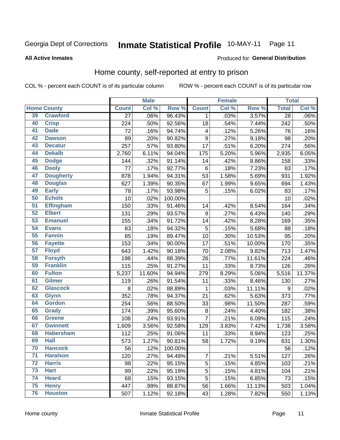#### Inmate Statistical Profile 10-MAY-11 Page 11

#### **All Active Inmates**

#### Produced for General Distribution

### Home county, self-reported at entry to prison

COL % - percent each COUNT is of its particular column

|                 |                    |                 | <b>Male</b> |         |                         | <b>Female</b> |                  | <b>Total</b> |         |
|-----------------|--------------------|-----------------|-------------|---------|-------------------------|---------------|------------------|--------------|---------|
|                 | <b>Home County</b> | <b>Count</b>    | Col %       | Row %   | <b>Count</b>            | Col %         | Row <sup>%</sup> | <b>Total</b> | Col%    |
| 39              | <b>Crawford</b>    | $\overline{27}$ | .06%        | 96.43%  | 1                       | .03%          | 3.57%            | 28           | $.06\%$ |
| 40              | <b>Crisp</b>       | 224             | .50%        | 92.56%  | 18                      | .54%          | 7.44%            | 242          | .50%    |
| 41              | <b>Dade</b>        | 72              | .16%        | 94.74%  | $\overline{\mathbf{4}}$ | .12%          | 5.26%            | 76           | .16%    |
| 42              | <b>Dawson</b>      | 89              | .20%        | 90.82%  | $\boldsymbol{9}$        | .27%          | 9.18%            | 98           | .20%    |
| 43              | <b>Decatur</b>     | 257             | .57%        | 93.80%  | 17                      | .51%          | 6.20%            | 274          | .56%    |
| 44              | <b>Dekalb</b>      | 2,760           | 6.11%       | 94.04%  | 175                     | 5.20%         | 5.96%            | 2,935        | 6.05%   |
| 45              | <b>Dodge</b>       | 144             | .32%        | 91.14%  | 14                      | .42%          | 8.86%            | 158          | .33%    |
| 46              | <b>Dooly</b>       | 77              | .17%        | 92.77%  | $\,6\,$                 | .18%          | 7.23%            | 83           | .17%    |
| 47              | <b>Dougherty</b>   | 878             | 1.94%       | 94.31%  | 53                      | 1.58%         | 5.69%            | 931          | 1.92%   |
| 48              | <b>Douglas</b>     | 627             | 1.39%       | 90.35%  | 67                      | 1.99%         | 9.65%            | 694          | 1.43%   |
| 49              | <b>Early</b>       | 78              | .17%        | 93.98%  | $\mathbf 5$             | .15%          | 6.02%            | 83           | .17%    |
| 50              | <b>Echols</b>      | 10              | .02%        | 100.00% |                         |               |                  | 10           | .02%    |
| $\overline{51}$ | <b>Effingham</b>   | 150             | .33%        | 91.46%  | 14                      | .42%          | 8.54%            | 164          | .34%    |
| 52              | <b>Elbert</b>      | 131             | .29%        | 93.57%  | $\boldsymbol{9}$        | .27%          | 6.43%            | 140          | .29%    |
| 53              | <b>Emanuel</b>     | 155             | .34%        | 91.72%  | 14                      | .42%          | 8.28%            | 169          | .35%    |
| 54              | <b>Evans</b>       | 83              | .18%        | 94.32%  | 5                       | .15%          | 5.68%            | 88           | .18%    |
| 55              | <b>Fannin</b>      | 85              | .19%        | 89.47%  | 10                      | .30%          | 10.53%           | 95           | .20%    |
| 56              | <b>Fayette</b>     | 153             | .34%        | 90.00%  | 17                      | .51%          | 10.00%           | 170          | .35%    |
| 57              | <b>Floyd</b>       | 643             | 1.42%       | 90.18%  | 70                      | 2.08%         | 9.82%            | 713          | 1.47%   |
| 58              | <b>Forsyth</b>     | 198             | .44%        | 88.39%  | 26                      | .77%          | 11.61%           | 224          | .46%    |
| 59              | <b>Franklin</b>    | 115             | .25%        | 91.27%  | 11                      | .33%          | 8.73%            | 126          | .26%    |
| 60              | <b>Fulton</b>      | 5,237           | 11.60%      | 94.94%  | 279                     | 8.29%         | 5.06%            | 5,516        | 11.37%  |
| 61              | <b>Gilmer</b>      | 119             | .26%        | 91.54%  | 11                      | .33%          | 8.46%            | 130          | .27%    |
| 62              | <b>Glascock</b>    | 8               | .02%        | 88.89%  | $\mathbf{1}$            | .03%          | 11.11%           | 9            | .02%    |
| 63              | <b>Glynn</b>       | 352             | .78%        | 94.37%  | 21                      | .62%          | 5.63%            | 373          | .77%    |
| 64              | <b>Gordon</b>      | 254             | .56%        | 88.50%  | 33                      | .98%          | 11.50%           | 287          | .59%    |
| 65              | <b>Grady</b>       | 174             | .39%        | 95.60%  | $\bf 8$                 | .24%          | 4.40%            | 182          | .38%    |
| 66              | <b>Greene</b>      | 108             | .24%        | 93.91%  | $\overline{7}$          | .21%          | 6.09%            | 115          | .24%    |
| 67              | <b>Gwinnett</b>    | 1,609           | 3.56%       | 92.58%  | 129                     | 3.83%         | 7.42%            | 1,738        | 3.58%   |
| 68              | <b>Habersham</b>   | 112             | .25%        | 91.06%  | 11                      | .33%          | 8.94%            | 123          | .25%    |
| 69              | <b>Hall</b>        | 573             | 1.27%       | 90.81%  | 58                      | 1.72%         | 9.19%            | 631          | 1.30%   |
| 70              | <b>Hancock</b>     | 56              | .12%        | 100.00% |                         |               |                  | 56           | .12%    |
| $\overline{71}$ | <b>Haralson</b>    | 120             | .27%        | 94.49%  | $\overline{7}$          | .21%          | 5.51%            | 127          | .26%    |
| 72              | <b>Harris</b>      | 98              | .22%        | 95.15%  | 5                       | .15%          | 4.85%            | 103          | .21%    |
| 73              | <b>Hart</b>        | 99              | .22%        | 95.19%  | $\mathbf 5$             | .15%          | 4.81%            | 104          | .21%    |
| 74              | <b>Heard</b>       | 68              | .15%        | 93.15%  | $\mathbf 5$             | .15%          | 6.85%            | 73           | .15%    |
| 75              | <b>Henry</b>       | 447             | .99%        | 88.87%  | 56                      | 1.66%         | 11.13%           | 503          | 1.04%   |
| 76              | <b>Houston</b>     | 507             | 1.12%       | 92.18%  | 43                      | 1.28%         | 7.82%            | 550          | 1.13%   |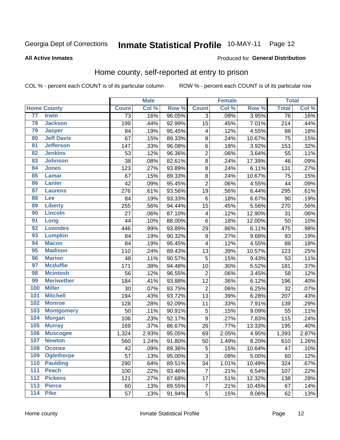#### Inmate Statistical Profile 10-MAY-11 Page 12

#### **All Active Inmates**

#### Produced for General Distribution

### Home county, self-reported at entry to prison

COL % - percent each COUNT is of its particular column

|                  |                    |              | <b>Male</b> |        |                 | <b>Female</b> |        | <b>Total</b> |       |
|------------------|--------------------|--------------|-------------|--------|-----------------|---------------|--------|--------------|-------|
|                  | <b>Home County</b> | <b>Count</b> | Col %       | Row %  | <b>Count</b>    | Col %         | Row %  | <b>Total</b> | Col % |
| 77               | <b>Irwin</b>       | 73           | .16%        | 96.05% | 3               | .09%          | 3.95%  | 76           | .16%  |
| 78               | <b>Jackson</b>     | 199          | .44%        | 92.99% | 15              | .45%          | 7.01%  | 214          | .44%  |
| 79               | <b>Jasper</b>      | 84           | .19%        | 95.45% | 4               | .12%          | 4.55%  | 88           | .18%  |
| 80               | <b>Jeff Davis</b>  | 67           | .15%        | 89.33% | 8               | .24%          | 10.67% | 75           | .15%  |
| $\overline{81}$  | <b>Jefferson</b>   | 147          | .33%        | 96.08% | $\,6$           | .18%          | 3.92%  | 153          | .32%  |
| 82               | <b>Jenkins</b>     | 53           | .12%        | 96.36% | $\overline{2}$  | .06%          | 3.64%  | 55           | .11%  |
| 83               | <b>Johnson</b>     | 38           | .08%        | 82.61% | $\overline{8}$  | .24%          | 17.39% | 46           | .09%  |
| 84               | <b>Jones</b>       | 123          | .27%        | 93.89% | 8               | .24%          | 6.11%  | 131          | .27%  |
| 85               | <b>Lamar</b>       | 67           | .15%        | 89.33% | 8               | .24%          | 10.67% | 75           | .15%  |
| 86               | <b>Lanier</b>      | 42           | .09%        | 95.45% | $\overline{2}$  | .06%          | 4.55%  | 44           | .09%  |
| 87               | <b>Laurens</b>     | 276          | .61%        | 93.56% | 19              | .56%          | 6.44%  | 295          | .61%  |
| 88               | <b>Lee</b>         | 84           | .19%        | 93.33% | 6               | .18%          | 6.67%  | 90           | .19%  |
| 89               | <b>Liberty</b>     | 255          | .56%        | 94.44% | 15              | .45%          | 5.56%  | 270          | .56%  |
| 90               | <b>Lincoln</b>     | 27           | .06%        | 87.10% | 4               | .12%          | 12.90% | 31           | .06%  |
| 91               | Long               | 44           | .10%        | 88.00% | $\,6$           | .18%          | 12.00% | 50           | .10%  |
| 92               | <b>Lowndes</b>     | 446          | .99%        | 93.89% | 29              | .86%          | 6.11%  | 475          | .98%  |
| 93               | <b>Lumpkin</b>     | 84           | .19%        | 90.32% | 9               | .27%          | 9.68%  | 93           | .19%  |
| 94               | <b>Macon</b>       | 84           | .19%        | 95.45% | 4               | .12%          | 4.55%  | 88           | .18%  |
| 95               | <b>Madison</b>     | 110          | .24%        | 89.43% | 13              | .39%          | 10.57% | 123          | .25%  |
| 96               | <b>Marion</b>      | 48           | .11%        | 90.57% | 5               | .15%          | 9.43%  | 53           | .11%  |
| 97               | <b>Mcduffie</b>    | 171          | .38%        | 94.48% | 10              | .30%          | 5.52%  | 181          | .37%  |
| 98               | <b>Mcintosh</b>    | 56           | .12%        | 96.55% | $\overline{2}$  | .06%          | 3.45%  | 58           | .12%  |
| 99               | <b>Meriwether</b>  | 184          | .41%        | 93.88% | $\overline{12}$ | .36%          | 6.12%  | 196          | .40%  |
| 100              | <b>Miller</b>      | 30           | .07%        | 93.75% | $\overline{2}$  | .06%          | 6.25%  | 32           | .07%  |
| 101              | <b>Mitchell</b>    | 194          | .43%        | 93.72% | 13              | .39%          | 6.28%  | 207          | .43%  |
| 102              | <b>Monroe</b>      | 128          | .28%        | 92.09% | 11              | .33%          | 7.91%  | 139          | .29%  |
| 103              | <b>Montgomery</b>  | 50           | .11%        | 90.91% | $\overline{5}$  | .15%          | 9.09%  | 55           | .11%  |
| 104              | <b>Morgan</b>      | 106          | .23%        | 92.17% | 9               | .27%          | 7.83%  | 115          | .24%  |
| 105              | <b>Murray</b>      | 169          | .37%        | 86.67% | 26              | .77%          | 13.33% | 195          | .40%  |
| 106              | <b>Muscogee</b>    | 1,324        | 2.93%       | 95.05% | 69              | 2.05%         | 4.95%  | 1,393        | 2.87% |
| 107              | <b>Newton</b>      | 560          | 1.24%       | 91.80% | 50              | 1.49%         | 8.20%  | 610          | 1.26% |
| 108              | <b>Oconee</b>      | 42           | .09%        | 89.36% | 5               | .15%          | 10.64% | 47           | .10%  |
| 109              | <b>Oglethorpe</b>  | 57           | .13%        | 95.00% | 3               | .09%          | 5.00%  | 60           | .12%  |
| 110              | <b>Paulding</b>    | 290          | .64%        | 89.51% | 34              | 1.01%         | 10.49% | 324          | .67%  |
| 111              | <b>Peach</b>       | 100          | .22%        | 93.46% | 7               | .21%          | 6.54%  | 107          | .22%  |
| 112              | <b>Pickens</b>     | 121          | .27%        | 87.68% | 17              | .51%          | 12.32% | 138          | .28%  |
| $\overline{113}$ | <b>Pierce</b>      | 60           | .13%        | 89.55% | $\overline{7}$  | .21%          | 10.45% | 67           | .14%  |
| $\overline{114}$ | <b>Pike</b>        | 57           | .13%        | 91.94% | 5               | .15%          | 8.06%  | 62           | .13%  |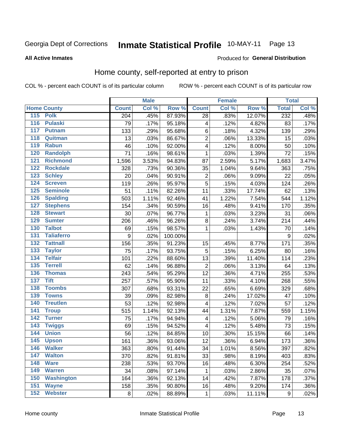#### Inmate Statistical Profile 10-MAY-11 Page 13

#### **All Active Inmates**

#### Produced for General Distribution

### Home county, self-reported at entry to prison

COL % - percent each COUNT is of its particular column

|                  |                    |                  | <b>Male</b> |         |                         | <b>Female</b> |        | <b>Total</b>     |         |
|------------------|--------------------|------------------|-------------|---------|-------------------------|---------------|--------|------------------|---------|
|                  | <b>Home County</b> | <b>Count</b>     | Col %       | Row %   | <b>Count</b>            | Col %         | Row %  | <b>Total</b>     | Col %   |
| 115 Polk         |                    | 204              | .45%        | 87.93%  | 28                      | .83%          | 12.07% | 232              | .48%    |
| $\overline{116}$ | <b>Pulaski</b>     | 79               | .17%        | 95.18%  | 4                       | .12%          | 4.82%  | 83               | .17%    |
| 117              | <b>Putnam</b>      | 133              | .29%        | 95.68%  | $\,6$                   | .18%          | 4.32%  | 139              | .29%    |
| 118              | Quitman            | 13               | .03%        | 86.67%  | $\overline{2}$          | .06%          | 13.33% | 15               | .03%    |
| 119              | <b>Rabun</b>       | 46               | .10%        | 92.00%  | $\overline{\mathbf{4}}$ | .12%          | 8.00%  | 50               | .10%    |
| 120              | <b>Randolph</b>    | 71               | .16%        | 98.61%  | $\mathbf 1$             | .03%          | 1.39%  | $\overline{72}$  | .15%    |
| $\overline{121}$ | <b>Richmond</b>    | 1,596            | 3.53%       | 94.83%  | 87                      | 2.59%         | 5.17%  | 1,683            | 3.47%   |
| 122              | <b>Rockdale</b>    | 328              | .73%        | 90.36%  | 35                      | 1.04%         | 9.64%  | 363              | .75%    |
| 123              | <b>Schley</b>      | 20               | .04%        | 90.91%  | $\overline{\mathbf{c}}$ | .06%          | 9.09%  | 22               | .05%    |
| 124              | <b>Screven</b>     | 119              | .26%        | 95.97%  | 5                       | .15%          | 4.03%  | 124              | .26%    |
| 125              | <b>Seminole</b>    | 51               | .11%        | 82.26%  | 11                      | .33%          | 17.74% | 62               | .13%    |
| 126              | <b>Spalding</b>    | 503              | 1.11%       | 92.46%  | 41                      | 1.22%         | 7.54%  | 544              | 1.12%   |
| 127              | <b>Stephens</b>    | 154              | .34%        | 90.59%  | 16                      | .48%          | 9.41%  | 170              | .35%    |
| 128              | <b>Stewart</b>     | 30               | .07%        | 96.77%  | $\mathbf 1$             | .03%          | 3.23%  | 31               | .06%    |
| 129              | <b>Sumter</b>      | 206              | .46%        | 96.26%  | 8                       | .24%          | 3.74%  | 214              | .44%    |
| 130              | <b>Talbot</b>      | 69               | .15%        | 98.57%  | $\mathbf 1$             | .03%          | 1.43%  | 70               | .14%    |
| 131              | <b>Taliaferro</b>  | $\boldsymbol{9}$ | .02%        | 100.00% |                         |               |        | 9                | .02%    |
| 132              | <b>Tattnall</b>    | 156              | .35%        | 91.23%  | 15                      | .45%          | 8.77%  | 171              | .35%    |
| 133              | <b>Taylor</b>      | 75               | .17%        | 93.75%  | 5                       | .15%          | 6.25%  | 80               | .16%    |
| 134              | <b>Telfair</b>     | 101              | .22%        | 88.60%  | 13                      | .39%          | 11.40% | 114              | .23%    |
| $\overline{135}$ | <b>Terrell</b>     | 62               | .14%        | 96.88%  | $\overline{2}$          | .06%          | 3.13%  | 64               | .13%    |
| 136              | <b>Thomas</b>      | 243              | .54%        | 95.29%  | 12                      | .36%          | 4.71%  | 255              | .53%    |
| 137              | <b>Tift</b>        | 257              | .57%        | 95.90%  | 11                      | .33%          | 4.10%  | 268              | .55%    |
| 138              | <b>Toombs</b>      | 307              | .68%        | 93.31%  | 22                      | .65%          | 6.69%  | 329              | .68%    |
| 139              | <b>Towns</b>       | 39               | .09%        | 82.98%  | 8                       | .24%          | 17.02% | 47               | .10%    |
| 140              | <b>Treutlen</b>    | 53               | .12%        | 92.98%  | 4                       | .12%          | 7.02%  | 57               | .12%    |
| $\overline{141}$ | <b>Troup</b>       | 515              | 1.14%       | 92.13%  | 44                      | 1.31%         | 7.87%  | 559              | 1.15%   |
| 142              | <b>Turner</b>      | 75               | .17%        | 94.94%  | $\overline{\mathbf{4}}$ | .12%          | 5.06%  | 79               | .16%    |
| $\overline{143}$ | <b>Twiggs</b>      | 69               | .15%        | 94.52%  | $\overline{\mathbf{4}}$ | .12%          | 5.48%  | 73               | .15%    |
| 144              | <b>Union</b>       | 56               | .12%        | 84.85%  | 10                      | .30%          | 15.15% | 66               | .14%    |
| 145              | <b>Upson</b>       | 161              | .36%        | 93.06%  | 12                      | .36%          | 6.94%  | 173              | $.36\%$ |
| 146              | <b>Walker</b>      | 363              | .80%        | 91.44%  | 34                      | 1.01%         | 8.56%  | 397              | .82%    |
| $\overline{147}$ | <b>Walton</b>      | 370              | .82%        | 91.81%  | 33                      | .98%          | 8.19%  | 403              | .83%    |
| 148              | <b>Ware</b>        | 238              | .53%        | 93.70%  | 16                      | .48%          | 6.30%  | 254              | .52%    |
| 149              | <b>Warren</b>      | 34               | .08%        | 97.14%  | 1                       | .03%          | 2.86%  | 35               | .07%    |
| 150              | <b>Washington</b>  | 164              | .36%        | 92.13%  | 14                      | .42%          | 7.87%  | 178              | .37%    |
| 151              | <b>Wayne</b>       | 158              | .35%        | 90.80%  | 16                      | .48%          | 9.20%  | 174              | .36%    |
| 152              | <b>Webster</b>     | 8                | .02%        | 88.89%  | $\mathbf{1}$            | .03%          | 11.11% | $\boldsymbol{9}$ | .02%    |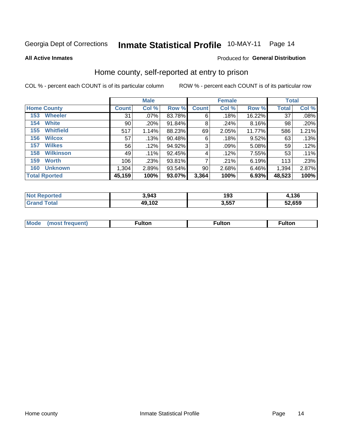## Inmate Statistical Profile 10-MAY-11 Page 14

**All Active Inmates** 

#### Produced for General Distribution

### Home county, self-reported at entry to prison

COL % - percent each COUNT is of its particular column

|                         |              | <b>Male</b> |        |              | <b>Female</b> |        |              | <b>Total</b> |  |
|-------------------------|--------------|-------------|--------|--------------|---------------|--------|--------------|--------------|--|
| <b>Home County</b>      | <b>Count</b> | Col %       | Row %  | <b>Count</b> | Col %         | Row %  | <b>Total</b> | Col %        |  |
| <b>Wheeler</b><br>153   | 31           | .07%        | 83.78% | 6            | .18%          | 16.22% | 37           | .08%         |  |
| <b>White</b><br>154     | 90           | .20%        | 91.84% | 8            | .24%          | 8.16%  | 98           | .20%         |  |
| <b>Whitfield</b><br>155 | 517          | 1.14%       | 88.23% | 69           | 2.05%         | 11.77% | 586          | 1.21%        |  |
| <b>Wilcox</b><br>156    | 57           | .13%        | 90.48% | 6            | .18%          | 9.52%  | 63           | .13%         |  |
| <b>Wilkes</b><br>157    | 56           | .12%        | 94.92% | 3            | .09%          | 5.08%  | 59           | .12%         |  |
| <b>Wilkinson</b><br>158 | 49           | $.11\%$     | 92.45% | 4            | .12%          | 7.55%  | 53           | $.11\%$      |  |
| 159<br><b>Worth</b>     | 106          | .23%        | 93.81% | 7            | .21%          | 6.19%  | 113          | .23%         |  |
| <b>Unknown</b><br>160   | 1,304        | 2.89%       | 93.54% | 90           | 2.68%         | 6.46%  | 1,394        | 2.87%        |  |
| <b>Total Rported</b>    | 45,159       | 100%        | 93.07% | 3,364        | 100%          | 6.93%  | 48,523       | 100%         |  |

| oorted<br>' NOI | 3,943  | 193 | 4,136  |
|-----------------|--------|-----|--------|
| <b>otal</b>     | 49,102 | 257 | 52.659 |

| Mode<br>vremient<br>ns | .<br>uiton | ⊺ulton | ⊺ulton |
|------------------------|------------|--------|--------|
|                        |            |        |        |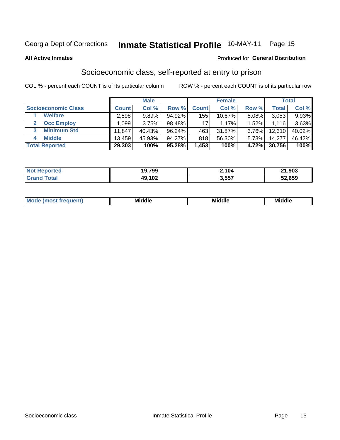## Inmate Statistical Profile 10-MAY-11 Page 15

#### **All Active Inmates**

#### Produced for General Distribution

### Socioeconomic class, self-reported at entry to prison

COL % - percent each COUNT is of its particular column

|                       |                | <b>Male</b> |           |              | <b>Female</b> |       |        | <b>Total</b> |
|-----------------------|----------------|-------------|-----------|--------------|---------------|-------|--------|--------------|
| Socioeconomic Class   | <b>Count</b> l | Col %       | Row %     | <b>Count</b> | Col %         | Row % | Total, | Col %        |
| <b>Welfare</b>        | 2,898          | 9.89%       | 94.92%    | 155          | $10.67\%$     | 5.08% | 3,053  | 9.93%        |
| <b>Occ Employ</b>     | .099           | 3.75%       | 98.48%    | 17           | 1.17%         | 1.52% | 1.116  | $3.63\%$     |
| <b>Minimum Std</b>    | 11,847         | 40.43%      | $96.24\%$ | 463          | $31.87\%$     | 3.76% | 12,310 | 40.02%       |
| <b>Middle</b>         | 13,459         | 45.93%      | $94.27\%$ | 818          | 56.30%        | 5.73% | 14,277 | 46.42%       |
| <b>Total Reported</b> | 29,303         | 100%        | 95.28%    | 1,453        | 100%          | 4.72% | 30,756 | 100%         |

| <b>Not Reported</b> | 19.799         | 2,104 | 21,903 |
|---------------------|----------------|-------|--------|
| Γotal               | 49,102<br>I VZ | 3,557 | 52,659 |

| Mo<br>'dle<br>Middle<br>Mid<br><b>Middle</b><br>____<br>____<br>____ |
|----------------------------------------------------------------------|
|----------------------------------------------------------------------|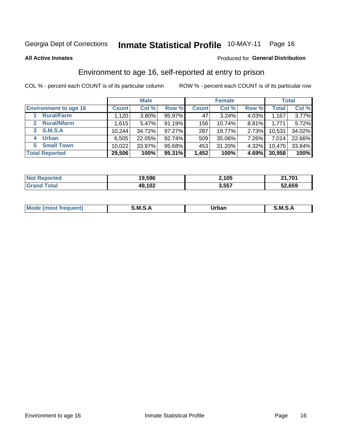## Inmate Statistical Profile 10-MAY-11 Page 16

#### **All Active Inmates**

#### Produced for General Distribution

### Environment to age 16, self-reported at entry to prison

COL % - percent each COUNT is of its particular column

|                                    |              | <b>Male</b> |           |              | <b>Female</b> |          |              | <b>Total</b> |
|------------------------------------|--------------|-------------|-----------|--------------|---------------|----------|--------------|--------------|
| <b>Environment to age 16</b>       | <b>Count</b> | Col %       | Row %     | <b>Count</b> | Col %         | Row %    | <b>Total</b> | Col %        |
| <b>Rural/Farm</b>                  | 1,120        | 3.80%       | 95.97%    | 47           | $3.24\%$      | $4.03\%$ | 1,167        | 3.77%        |
| <b>Rural/Nfarm</b><br>$\mathbf{2}$ | 1,615        | 5.47%       | 91.19%    | 156          | 10.74%        | $8.81\%$ | 1,771        | 5.72%        |
| <b>S.M.S.A</b><br>$\mathbf{3}$     | 10,244       | 34.72%      | $97.27\%$ | 287          | 19.77%        | $2.73\%$ | 10,531       | 34.02%       |
| <b>Urban</b><br>4                  | 6,505        | 22.05%      | 92.74%    | 509          | 35.06%        | 7.26%    | 7,014        | 22.66%       |
| <b>Small Town</b><br>5.            | 10,022       | 33.97%      | 95.68%    | 453          | 31.20%        | 4.32%    | 10,475       | 33.84%       |
| <b>Total Reported</b>              | 29,506       | 100%        | 95.31%    | 1,452        | 100%          | 4.69%    | 30,958       | 100%         |

| <b>Not Reported</b> | 19,596 | 2,105 | $-1,701$ |
|---------------------|--------|-------|----------|
| ™otal               | 49,102 | 3,557 | 52,659   |

| Mo | M<br>______ | Irhan<br>rva<br>______ | M<br>______ |
|----|-------------|------------------------|-------------|
|    |             |                        |             |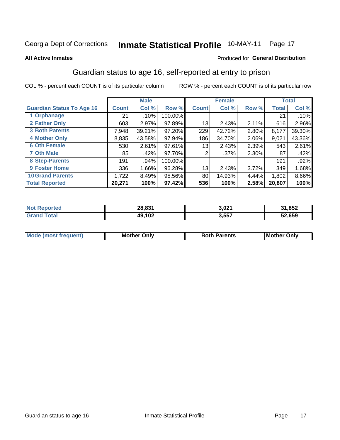## Inmate Statistical Profile 10-MAY-11 Page 17

#### **All Active Inmates**

#### **Produced for General Distribution**

### Guardian status to age 16, self-reported at entry to prison

COL % - percent each COUNT is of its particular column

|                                  |              | <b>Male</b> |           |              | <b>Female</b> |       |        | <b>Total</b> |
|----------------------------------|--------------|-------------|-----------|--------------|---------------|-------|--------|--------------|
| <b>Guardian Status To Age 16</b> | <b>Count</b> | Col %       | Row %     | <b>Count</b> | Col %         | Row % | Total  | Col %        |
| 1 Orphanage                      | 21           | .10%        | 100.00%   |              |               |       | 21     | $.10\%$      |
| 2 Father Only                    | 603          | 2.97%       | 97.89%    | 13           | 2.43%         | 2.11% | 616    | 2.96%        |
| <b>3 Both Parents</b>            | 7,948        | 39.21%      | $97.20\%$ | 229          | 42.72%        | 2.80% | 8,177  | 39.30%       |
| <b>4 Mother Only</b>             | 8,835        | 43.58%      | 97.94%    | 186          | 34.70%        | 2.06% | 9,021  | 43.36%       |
| <b>6 Oth Female</b>              | 530          | 2.61%       | $97.61\%$ | 13           | 2.43%         | 2.39% | 543    | 2.61%        |
| <b>7 Oth Male</b>                | 85           | .42%        | 97.70%    | 2            | $.37\%$       | 2.30% | 87     | .42%         |
| 8 Step-Parents                   | 191          | .94%        | 100.00%   |              |               |       | 191    | $.92\%$      |
| 9 Foster Home                    | 336          | 1.66%       | 96.28%    | 13           | 2.43%         | 3.72% | 349    | 1.68%        |
| <b>10 Grand Parents</b>          | 1,722        | 8.49%       | 95.56%    | 80           | 14.93%        | 4.44% | 1,802  | 8.66%        |
| <b>Total Reported</b>            | 20,271       | 100%        | 97.42%    | 536          | 100%          | 2.58% | 20,807 | 100%         |

| <b>orted</b><br>' NOL | 28,831 | 3,021 | 31,852 |
|-----------------------|--------|-------|--------|
| Grz                   | 49,102 | 3,557 | 52,659 |

| Mode | วทIv<br>Mot | <b>Both Parents</b><br>Parents | lM.<br>Only<br>. |
|------|-------------|--------------------------------|------------------|
|      |             |                                |                  |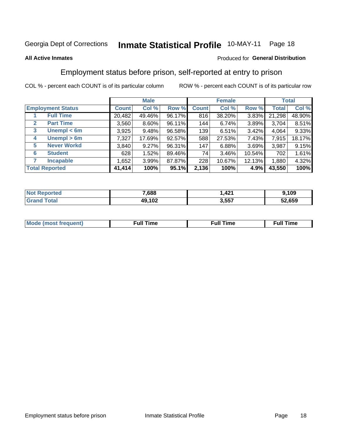## Inmate Statistical Profile 10-MAY-11 Page 18

#### **All Active Inmates**

#### Produced for General Distribution

### Employment status before prison, self-reported at entry to prison

COL % - percent each COUNT is of its particular column

|                                  |              | <b>Male</b> |        |              | <b>Female</b> |          |        | <b>Total</b> |
|----------------------------------|--------------|-------------|--------|--------------|---------------|----------|--------|--------------|
| <b>Employment Status</b>         | <b>Count</b> | Col %       | Row %  | <b>Count</b> | Col %         | Row %    | Total  | Col %        |
| <b>Full Time</b>                 | 20,482       | 49.46%      | 96.17% | 816          | 38.20%        | $3.83\%$ | 21,298 | 48.90%       |
| <b>Part Time</b><br>$\mathbf{2}$ | 3,560        | 8.60%       | 96.11% | 144          | 6.74%         | 3.89%    | 3,704  | 8.51%        |
| Unempl $<$ 6m<br>3               | 3,925        | 9.48%       | 96.58% | 139          | 6.51%         | 3.42%    | 4,064  | 9.33%        |
| Unempl > 6m<br>4                 | 7,327        | 17.69%      | 92.57% | 588          | 27.53%        | 7.43%    | 7,915  | 18.17%       |
| <b>Never Workd</b><br>5          | 3,840        | 9.27%       | 96.31% | 147          | 6.88%         | 3.69%    | 3,987  | 9.15%        |
| <b>Student</b><br>6              | 628          | 1.52%       | 89.46% | 74           | 3.46%         | 10.54%   | 702    | 1.61%        |
| <b>Incapable</b>                 | ,652         | 3.99%       | 87.87% | 228          | 10.67%        | 12.13%   | 1,880  | 4.32%        |
| <b>Total Reported</b>            | 41,414       | 100%        | 95.1%  | 2,136        | 100%          | 4.9%     | 43,550 | 100%         |

| Tet.<br>NO | 7,688  | $\overline{A}$<br>$   -$ | ,109   |
|------------|--------|--------------------------|--------|
| $\sim$     | 49,102 | 3,557                    | 52,659 |

| Mc | ∙u∥<br>----<br>ıme | ίuΙ<br>Πmε |
|----|--------------------|------------|
|    |                    |            |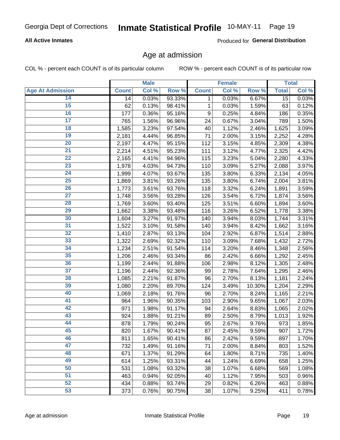#### **All Active Inmates**

Produced for General Distribution

#### Age at admission

COL % - percent each COUNT is of its particular column

|                         |              | <b>Male</b> |        |              | <b>Female</b> |        |              | <b>Total</b> |
|-------------------------|--------------|-------------|--------|--------------|---------------|--------|--------------|--------------|
| <b>Age At Admission</b> | <b>Count</b> | Col %       | Row %  | <b>Count</b> | Col %         | Row %  | <b>Total</b> | Col %        |
| 14                      | 14           | 0.03%       | 93.33% | 1            | 0.03%         | 6.67%  | 15           | 0.03%        |
| $\overline{15}$         | 62           | 0.13%       | 98.41% | $\mathbf 1$  | 0.03%         | 1.59%  | 63           | 0.12%        |
| 16                      | 177          | 0.36%       | 95.16% | 9            | 0.25%         | 4.84%  | 186          | 0.35%        |
| $\overline{17}$         | 765          | 1.56%       | 96.96% | 24           | 0.67%         | 3.04%  | 789          | 1.50%        |
| $\overline{18}$         | 1,585        | 3.23%       | 97.54% | 40           | 1.12%         | 2.46%  | 1,625        | 3.09%        |
| 19                      | 2,181        | 4.44%       | 96.85% | 71           | 2.00%         | 3.15%  | 2,252        | 4.28%        |
| $\overline{20}$         | 2,197        | 4.47%       | 95.15% | 112          | 3.15%         | 4.85%  | 2,309        | 4.38%        |
| $\overline{21}$         | 2,214        | 4.51%       | 95.23% | 111          | 3.12%         | 4.77%  | 2,325        | 4.42%        |
| $\overline{22}$         | 2,165        | 4.41%       | 94.96% | 115          | 3.23%         | 5.04%  | 2,280        | 4.33%        |
| $\overline{23}$         | 1,978        | 4.03%       | 94.73% | 110          | 3.09%         | 5.27%  | 2,088        | 3.97%        |
| $\overline{24}$         | 1,999        | 4.07%       | 93.67% | 135          | 3.80%         | 6.33%  | 2,134        | 4.05%        |
| 25                      | 1,869        | 3.81%       | 93.26% | 135          | 3.80%         | 6.74%  | 2,004        | 3.81%        |
| $\overline{26}$         | 1,773        | 3.61%       | 93.76% | 118          | 3.32%         | 6.24%  | 1,891        | 3.59%        |
| $\overline{27}$         | 1,748        | 3.56%       | 93.28% | 126          | 3.54%         | 6.72%  | 1,874        | 3.56%        |
| 28                      | 1,769        | 3.60%       | 93.40% | 125          | 3.51%         | 6.60%  | 1,894        | 3.60%        |
| $\overline{29}$         | 1,662        | 3.38%       | 93.48% | 116          | 3.26%         | 6.52%  | 1,778        | 3.38%        |
| 30                      | 1,604        | 3.27%       | 91.97% | 140          | 3.94%         | 8.03%  | 1,744        | 3.31%        |
| $\overline{31}$         | 1,522        | 3.10%       | 91.58% | 140          | 3.94%         | 8.42%  | 1,662        | 3.16%        |
| 32                      | 1,410        | 2.87%       | 93.13% | 104          | 2.92%         | 6.87%  | 1,514        | 2.88%        |
| 33                      | 1,322        | 2.69%       | 92.32% | 110          | 3.09%         | 7.68%  | 1,432        | 2.72%        |
| 34                      | 1,234        | 2.51%       | 91.54% | 114          | 3.20%         | 8.46%  | 1,348        | 2.56%        |
| 35                      | 1,206        | 2.46%       | 93.34% | 86           | 2.42%         | 6.66%  | 1,292        | 2.45%        |
| 36                      | 1,199        | 2.44%       | 91.88% | 106          | 2.98%         | 8.12%  | 1,305        | 2.48%        |
| $\overline{37}$         | 1,196        | 2.44%       | 92.36% | 99           | 2.78%         | 7.64%  | 1,295        | 2.46%        |
| 38                      | 1,085        | 2.21%       | 91.87% | 96           | 2.70%         | 8.13%  | 1,181        | 2.24%        |
| 39                      | 1,080        | 2.20%       | 89.70% | 124          | 3.49%         | 10.30% | 1,204        | 2.29%        |
| 40                      | 1,069        | 2.18%       | 91.76% | 96           | 2.70%         | 8.24%  | 1,165        | 2.21%        |
| 41                      | 964          | 1.96%       | 90.35% | 103          | 2.90%         | 9.65%  | 1,067        | 2.03%        |
| 42                      | 971          | 1.98%       | 91.17% | 94           | 2.64%         | 8.83%  | 1,065        | 2.02%        |
| 43                      | 924          | 1.88%       | 91.21% | 89           | 2.50%         | 8.79%  | 1,013        | 1.92%        |
| 44                      | 878          | 1.79%       | 90.24% | 95           | 2.67%         | 9.76%  | 973          | 1.85%        |
| 45                      | 820          | 1.67%       | 90.41% | 87           | 2.45%         | 9.59%  | 907          | 1.72%        |
| 46                      | 811          | 1.65%       | 90.41% | 86           | 2.42%         | 9.59%  | 897          | 1.70%        |
| 47                      | 732          | 1.49%       | 91.16% | 71           | 2.00%         | 8.84%  | 803          | 1.52%        |
| 48                      | 671          | 1.37%       | 91.29% | 64           | 1.80%         | 8.71%  | 735          | 1.40%        |
| 49                      | 614          | 1.25%       | 93.31% | 44           | 1.24%         | 6.69%  | 658          | 1.25%        |
| 50                      | 531          | 1.08%       | 93.32% | 38           | 1.07%         | 6.68%  | 569          | 1.08%        |
| 51                      | 463          | 0.94%       | 92.05% | 40           | 1.12%         | 7.95%  | 503          | 0.96%        |
| 52                      | 434          | 0.88%       | 93.74% | 29           | 0.82%         | 6.26%  | 463          | 0.88%        |
| 53                      | 373          | 0.76%       | 90.75% | 38           | 1.07%         | 9.25%  | 411          | 0.78%        |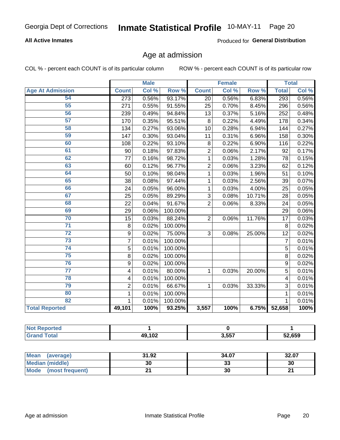#### **All Active Inmates**

Produced for General Distribution

### Age at admission

COL % - percent each COUNT is of its particular column

|                         |                  | <b>Male</b> |         |                | <b>Female</b> |        |                | <b>Total</b> |
|-------------------------|------------------|-------------|---------|----------------|---------------|--------|----------------|--------------|
| <b>Age At Admission</b> | <b>Count</b>     | Col %       | Row %   | <b>Count</b>   | Col %         | Row %  | <b>Total</b>   | Col %        |
| 54                      | $\overline{273}$ | 0.56%       | 93.17%  | 20             | 0.56%         | 6.83%  | 293            | 0.56%        |
| 55                      | 271              | 0.55%       | 91.55%  | 25             | 0.70%         | 8.45%  | 296            | 0.56%        |
| 56                      | 239              | 0.49%       | 94.84%  | 13             | 0.37%         | 5.16%  | 252            | 0.48%        |
| $\overline{57}$         | 170              | 0.35%       | 95.51%  | 8              | 0.22%         | 4.49%  | 178            | 0.34%        |
| 58                      | 134              | 0.27%       | 93.06%  | 10             | 0.28%         | 6.94%  | 144            | 0.27%        |
| 59                      | 147              | 0.30%       | 93.04%  | 11             | 0.31%         | 6.96%  | 158            | 0.30%        |
| 60                      | 108              | 0.22%       | 93.10%  | 8              | 0.22%         | 6.90%  | 116            | 0.22%        |
| 61                      | 90               | 0.18%       | 97.83%  | $\overline{2}$ | 0.06%         | 2.17%  | 92             | 0.17%        |
| 62                      | 77               | 0.16%       | 98.72%  | 1              | 0.03%         | 1.28%  | 78             | 0.15%        |
| 63                      | 60               | 0.12%       | 96.77%  | $\overline{2}$ | 0.06%         | 3.23%  | 62             | 0.12%        |
| 64                      | 50               | 0.10%       | 98.04%  | 1              | 0.03%         | 1.96%  | 51             | 0.10%        |
| 65                      | 38               | 0.08%       | 97.44%  | 1              | 0.03%         | 2.56%  | 39             | 0.07%        |
| 66                      | 24               | 0.05%       | 96.00%  | 1              | 0.03%         | 4.00%  | 25             | 0.05%        |
| 67                      | 25               | 0.05%       | 89.29%  | 3              | 0.08%         | 10.71% | 28             | 0.05%        |
| 68                      | 22               | 0.04%       | 91.67%  | $\overline{2}$ | 0.06%         | 8.33%  | 24             | 0.05%        |
| 69                      | 29               | 0.06%       | 100.00% |                |               |        | 29             | 0.06%        |
| 70                      | 15               | 0.03%       | 88.24%  | $\overline{2}$ | 0.06%         | 11.76% | 17             | 0.03%        |
| $\overline{71}$         | 8                | 0.02%       | 100.00% |                |               |        | 8              | 0.02%        |
| $\overline{72}$         | 9                | 0.02%       | 75.00%  | 3              | 0.08%         | 25.00% | 12             | 0.02%        |
| $\overline{73}$         | $\overline{7}$   | 0.01%       | 100.00% |                |               |        | $\overline{7}$ | 0.01%        |
| $\overline{74}$         | 5                | 0.01%       | 100.00% |                |               |        | 5              | 0.01%        |
| $\overline{75}$         | 8                | 0.02%       | 100.00% |                |               |        | 8              | 0.02%        |
| 76                      | 9                | 0.02%       | 100.00% |                |               |        | 9              | 0.02%        |
| $\overline{77}$         | 4                | 0.01%       | 80.00%  | 1              | 0.03%         | 20.00% | 5              | 0.01%        |
| 78                      | 4                | 0.01%       | 100.00% |                |               |        | 4              | 0.01%        |
| 79                      | $\overline{2}$   | 0.01%       | 66.67%  | 1              | 0.03%         | 33.33% | 3              | 0.01%        |
| 80                      | $\mathbf{1}$     | 0.01%       | 100.00% |                |               |        | $\mathbf{1}$   | 0.01%        |
| 82                      | 1                | 0.01%       | 100.00% |                |               |        | $\mathbf 1$    | 0.01%        |
| <b>Total Reported</b>   | 49,101           | 100%        | 93.25%  | 3,557          | 100%          | 6.75%  | 52,658         | 100%         |

| w<br>reo    |        |       |        |
|-------------|--------|-------|--------|
| <b>otal</b> | 49,102 | 3,557 | 52,659 |

| Mean<br>(average)       | 31.92 | 34.07   | 32.07 |
|-------------------------|-------|---------|-------|
| Median (middle)         | 30    | ົ<br>აა | 30    |
| Mode<br>(most frequent) |       | 30      | ົ     |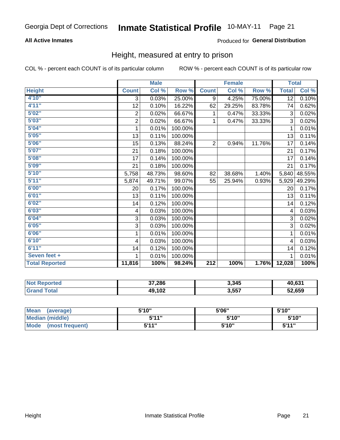#### **All Active Inmates**

#### Produced for General Distribution

#### Height, measured at entry to prison

COL % - percent each COUNT is of its particular column

|                       |                           | <b>Male</b> |         |                  | <b>Female</b> |        |                 | <b>Total</b> |
|-----------------------|---------------------------|-------------|---------|------------------|---------------|--------|-----------------|--------------|
| <b>Height</b>         | <b>Count</b>              | Col %       | Row %   | <b>Count</b>     | Col %         | Row %  | <b>Total</b>    | Col %        |
| 4'10''                | $\overline{3}$            | 0.03%       | 25.00%  | 9                | 4.25%         | 75.00% | $\overline{12}$ | 0.10%        |
| 4'11''                | 12                        | 0.10%       | 16.22%  | 62               | 29.25%        | 83.78% | 74              | 0.62%        |
| 5'02''                | $\overline{c}$            | 0.02%       | 66.67%  | 1                | 0.47%         | 33.33% | 3               | 0.02%        |
| 5'03''                | $\overline{2}$            | 0.02%       | 66.67%  | $\mathbf 1$      | 0.47%         | 33.33% | 3               | 0.02%        |
| 5'04''                | 1                         | 0.01%       | 100.00% |                  |               |        | 1               | 0.01%        |
| 5'05''                | 13                        | 0.11%       | 100.00% |                  |               |        | 13              | 0.11%        |
| 5'06''                | 15                        | 0.13%       | 88.24%  | $\overline{2}$   | 0.94%         | 11.76% | 17              | 0.14%        |
| 5'07''                | 21                        | 0.18%       | 100.00% |                  |               |        | 21              | 0.17%        |
| 5'08''                | 17                        | 0.14%       | 100.00% |                  |               |        | 17              | 0.14%        |
| 5'09''                | 21                        | 0.18%       | 100.00% |                  |               |        | 21              | 0.17%        |
| 5'10''                | 5,758                     | 48.73%      | 98.60%  | 82               | 38.68%        | 1.40%  | 5,840           | 48.55%       |
| 5'11''                | 5,874                     | 49.71%      | 99.07%  | 55               | 25.94%        | 0.93%  | 5,929           | 49.29%       |
| 6'00''                | 20                        | 0.17%       | 100.00% |                  |               |        | 20              | 0.17%        |
| 6'01''                | 13                        | 0.11%       | 100.00% |                  |               |        | 13              | 0.11%        |
| 6'02''                | 14                        | 0.12%       | 100.00% |                  |               |        | 14              | 0.12%        |
| 6'03''                | 4                         | 0.03%       | 100.00% |                  |               |        | 4               | 0.03%        |
| 6'04''                | $\ensuremath{\mathsf{3}}$ | 0.03%       | 100.00% |                  |               |        | 3               | 0.02%        |
| 6'05''                | $\ensuremath{\mathsf{3}}$ | 0.03%       | 100.00% |                  |               |        | 3               | 0.02%        |
| 6'06''                | 1                         | 0.01%       | 100.00% |                  |               |        | 1               | 0.01%        |
| 6'10''                | $\overline{\mathbf{4}}$   | 0.03%       | 100.00% |                  |               |        | 4               | 0.03%        |
| 6'11''                | 14                        | 0.12%       | 100.00% |                  |               |        | 14              | 0.12%        |
| Seven feet +          | 1                         | 0.01%       | 100.00% |                  |               |        |                 | 0.01%        |
| <b>Total Reported</b> | 11,816                    | 100%        | 98.24%  | $\overline{212}$ | 100%          | 1.76%  | 12,028          | 100%         |

| <b>Reported</b><br>∵N∩f | 37,286 | 3,345 | 40,63  |
|-------------------------|--------|-------|--------|
| $\sim$<br>GT2           | 49,102 | 3,557 | 52,659 |

| <b>Mean</b><br>(average)       | 5'10'' | 5'06" | 5'10"  |
|--------------------------------|--------|-------|--------|
| <b>Median (middle)</b>         | 5'11"  | 5'10" | 5'10'' |
| <b>Mode</b><br>(most frequent) | 5'11"  | 5'10" | 5'11"  |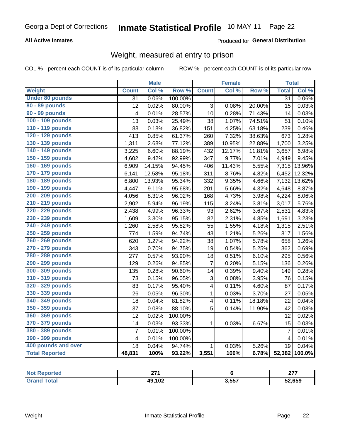#### **All Active Inmates**

#### Produced for General Distribution

### Weight, measured at entry to prison

COL % - percent each COUNT is of its particular column

|                        |                         | <b>Male</b> |         |                         | <b>Female</b> |        | <b>Total</b>    |                     |
|------------------------|-------------------------|-------------|---------|-------------------------|---------------|--------|-----------------|---------------------|
| <b>Weight</b>          | <b>Count</b>            | Col %       | Row %   | <b>Count</b>            | Col %         | Row %  | <b>Total</b>    | Col %               |
| <b>Under 80 pounds</b> | $\overline{31}$         | 0.06%       | 100.00% |                         |               |        | $\overline{31}$ | 0.06%               |
| 80 - 89 pounds         | 12                      | 0.02%       | 80.00%  | 3                       | 0.08%         | 20.00% | 15              | 0.03%               |
| 90 - 99 pounds         | 4                       | 0.01%       | 28.57%  | $\overline{10}$         | 0.28%         | 71.43% | 14              | 0.03%               |
| 100 - 109 pounds       | 13                      | 0.03%       | 25.49%  | $\overline{38}$         | 1.07%         | 74.51% | 51              | 0.10%               |
| 110 - 119 pounds       | 88                      | 0.18%       | 36.82%  | 151                     | 4.25%         | 63.18% | 239             | 0.46%               |
| 120 - 129 pounds       | 413                     | 0.85%       | 61.37%  | 260                     | 7.32%         | 38.63% | 673             | 1.28%               |
| 130 - 139 pounds       | 1,311                   | 2.68%       | 77.12%  | 389                     | 10.95%        | 22.88% | 1,700           | 3.25%               |
| 140 - 149 pounds       | 3,225                   | 6.60%       | 88.19%  | 432                     | 12.17%        | 11.81% | 3,657           | 6.98%               |
| 150 - 159 pounds       | 4,602                   | 9.42%       | 92.99%  | 347                     | 9.77%         | 7.01%  | 4,949           | 9.45%               |
| 160 - 169 pounds       | 6,909                   | 14.15%      | 94.45%  | 406                     | 11.43%        | 5.55%  | 7,315           | 13.96%              |
| 170 - 179 pounds       | 6,141                   | 12.58%      | 95.18%  | 311                     | 8.76%         | 4.82%  | 6,452           | 12.32%              |
| 180 - 189 pounds       | 6,800                   | 13.93%      | 95.34%  | 332                     | 9.35%         | 4.66%  | 7,132           | 13.62%              |
| 190 - 199 pounds       | 4,447                   | 9.11%       | 95.68%  | 201                     | 5.66%         | 4.32%  | 4,648           | 8.87%               |
| 200 - 209 pounds       | 4,056                   | 8.31%       | 96.02%  | 168                     | 4.73%         | 3.98%  | 4,224           | 8.06%               |
| 210 - 219 pounds       | 2,902                   | 5.94%       | 96.19%  | 115                     | 3.24%         | 3.81%  | 3,017           | 5.76%               |
| 220 - 229 pounds       | 2,438                   | 4.99%       | 96.33%  | 93                      | 2.62%         | 3.67%  | 2,531           | 4.83%               |
| 230 - 239 pounds       | 1,609                   | 3.30%       | 95.15%  | 82                      | 2.31%         | 4.85%  | 1,691           | 3.23%               |
| 240 - 249 pounds       | 1,260                   | 2.58%       | 95.82%  | 55                      | 1.55%         | 4.18%  | 1,315           | 2.51%               |
| 250 - 259 pounds       | 774                     | 1.59%       | 94.74%  | 43                      | 1.21%         | 5.26%  | 817             | 1.56%               |
| 260 - 269 pounds       | 620                     | 1.27%       | 94.22%  | 38                      | 1.07%         | 5.78%  | 658             | 1.26%               |
| 270 - 279 pounds       | 343                     | 0.70%       | 94.75%  | 19                      | 0.54%         | 5.25%  | 362             | 0.69%               |
| 280 - 289 pounds       | 277                     | 0.57%       | 93.90%  | 18                      | 0.51%         | 6.10%  | 295             | 0.56%               |
| 290 - 299 pounds       | 129                     | 0.26%       | 94.85%  | 7                       | 0.20%         | 5.15%  | 136             | $\overline{0.26\%}$ |
| 300 - 309 pounds       | 135                     | 0.28%       | 90.60%  | 14                      | 0.39%         | 9.40%  | 149             | 0.28%               |
| 310 - 319 pounds       | 73                      | 0.15%       | 96.05%  | 3                       | 0.08%         | 3.95%  | 76              | 0.15%               |
| 320 - 329 pounds       | 83                      | 0.17%       | 95.40%  | $\overline{\mathbf{4}}$ | 0.11%         | 4.60%  | 87              | 0.17%               |
| 330 - 339 pounds       | 26                      | 0.05%       | 96.30%  | $\mathbf 1$             | 0.03%         | 3.70%  | 27              | 0.05%               |
| 340 - 349 pounds       | 18                      | 0.04%       | 81.82%  | $\overline{\mathbf{4}}$ | 0.11%         | 18.18% | 22              | 0.04%               |
| 350 - 359 pounds       | 37                      | 0.08%       | 88.10%  | 5                       | 0.14%         | 11.90% | 42              | 0.08%               |
| 360 - 369 pounds       | 12                      | 0.02%       | 100.00% |                         |               |        | 12              | 0.02%               |
| 370 - 379 pounds       | 14                      | 0.03%       | 93.33%  | $\mathbf{1}$            | 0.03%         | 6.67%  | 15              | 0.03%               |
| 380 - 389 pounds       | $\overline{7}$          | 0.01%       | 100.00% |                         |               |        | $\overline{7}$  | 0.01%               |
| 390 - 399 pounds       | $\overline{\mathbf{4}}$ | 0.01%       | 100.00% |                         |               |        | $\overline{4}$  | 0.01%               |
| 400 pounds and over    | 18                      | 0.04%       | 94.74%  | $\mathbf{1}$            | 0.03%         | 5.26%  | 19              | 0.04%               |
| <b>Total Reported</b>  | 48,831                  | 100%        | 93.22%  | 3,551                   | 100%          | 6.78%  | 52,382          | 100.0%              |

| NOI<br>rteo | <b>074</b><br>--- |       | $\sim$ |
|-------------|-------------------|-------|--------|
|             | 49,102            | 3,557 | 52,659 |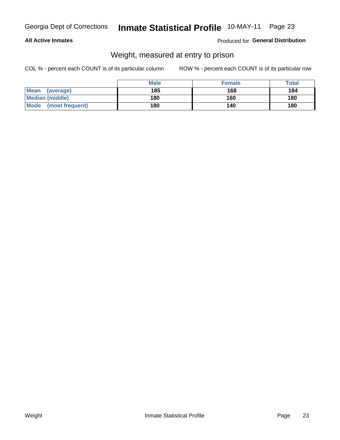#### **All Active Inmates**

#### Produced for General Distribution

### Weight, measured at entry to prison

COL % - percent each COUNT is of its particular column

|                          | <b>Male</b> | <b>Female</b> | Total |
|--------------------------|-------------|---------------|-------|
| <b>Mean</b><br>(average) | 185         | 168           | 184   |
| <b>Median (middle)</b>   | 180         | 160           | 180   |
| Mode<br>(most frequent)  | 180         | 140           | 180   |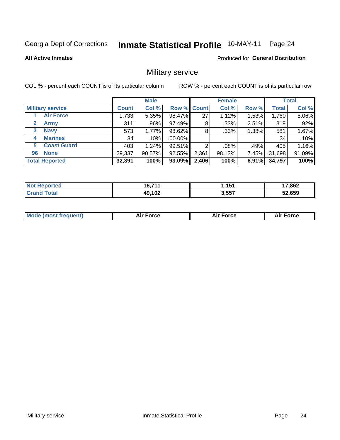#### **Inmate Statistical Profile 10-MAY-11** Page 24

**All Active Inmates** 

Produced for General Distribution

### Military service

COL % - percent each COUNT is of its particular column

|                          | <b>Male</b>  |         |             | <b>Female</b> |        |       | <b>Total</b> |        |
|--------------------------|--------------|---------|-------------|---------------|--------|-------|--------------|--------|
| <b>Military service</b>  | <b>Count</b> | Col %   | Row % Count |               | Col %  | Row % | <b>Total</b> | Col %  |
| <b>Air Force</b>         | 1.733        | 5.35%   | 98.47%      | 27            | 1.12%  | 1.53% | 1,760        | 5.06%  |
| $\mathbf{2}$<br>Army     | 311          | .96%    | 97.49%      | 8             | .33%   | 2.51% | 319          | .92%   |
| <b>Navy</b><br>3         | 573          | 1.77%   | 98.62%      | 8             | .33%   | 1.38% | 581          | 1.67%  |
| <b>Marines</b><br>4      | 34           | $.10\%$ | 100.00%     |               |        |       | 34           | .10%   |
| <b>Coast Guard</b><br>5. | 403          | 1.24%   | 99.51%      | റ             | .08%   | .49%  | 405          | 1.16%  |
| <b>None</b><br>96        | 29,337       | 90.57%  | 92.55%      | 2,361         | 98.13% | 7.45% | 31,698       | 91.09% |
| <b>Total Reported</b>    | 32,391       | 100%    | $93.09\%$   | 2,406         | 100%   | 6.91% | 34,797       | 100%   |

| <b>Not</b><br>Reported | 16.71'<br>טי.<br>. | <b>454</b><br>. | 17,862 |
|------------------------|--------------------|-----------------|--------|
| ™otai                  | 49,102             | 3,557           | 52,659 |

| Mode (most frequent) | Force | <b>Force</b> | <b>orce</b> |
|----------------------|-------|--------------|-------------|
|                      |       |              |             |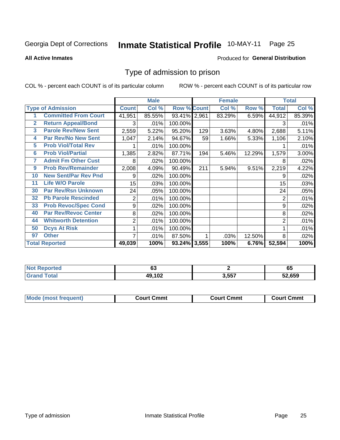#### **Inmate Statistical Profile 10-MAY-11** Page 25

#### **All Active Inmates**

#### Produced for General Distribution

#### Type of admission to prison

COL % - percent each COUNT is of its particular column

|                |                             |                  | <b>Male</b> |                    |     | <b>Female</b> |        | <b>Total</b> |        |
|----------------|-----------------------------|------------------|-------------|--------------------|-----|---------------|--------|--------------|--------|
|                | <b>Type of Admission</b>    | <b>Count</b>     | Col %       | <b>Row % Count</b> |     | Col %         | Row %  | <b>Total</b> | Col %  |
|                | <b>Committed From Court</b> | 41,951           | 85.55%      | 93.41% 2,961       |     | 83.29%        | 6.59%  | 44,912       | 85.39% |
| $\overline{2}$ | <b>Return Appeal/Bond</b>   | 3                | .01%        | 100.00%            |     |               |        | 3            | .01%   |
| 3              | <b>Parole Rev/New Sent</b>  | 2,559            | 5.22%       | 95.20%             | 129 | 3.63%         | 4.80%  | 2,688        | 5.11%  |
| 4              | <b>Par Rev/No New Sent</b>  | 1,047            | 2.14%       | 94.67%             | 59  | 1.66%         | 5.33%  | 1,106        | 2.10%  |
| 5              | <b>Prob Viol/Total Rev</b>  |                  | .01%        | 100.00%            |     |               |        |              | .01%   |
| $6\phantom{a}$ | <b>Prob Viol/Partial</b>    | 1,385            | 2.82%       | 87.71%             | 194 | 5.46%         | 12.29% | 1,579        | 3.00%  |
| 7              | <b>Admit Fm Other Cust</b>  | 8                | .02%        | 100.00%            |     |               |        | 8            | .02%   |
| 9              | <b>Prob Rev/Remainder</b>   | 2,008            | 4.09%       | 90.49%             | 211 | 5.94%         | 9.51%  | 2,219        | 4.22%  |
| 10             | <b>New Sent/Par Rev Pnd</b> | 9                | .02%        | 100.00%            |     |               |        | 9            | .02%   |
| 11             | <b>Life W/O Parole</b>      | 15 <sub>15</sub> | .03%        | 100.00%            |     |               |        | 15           | .03%   |
| 30             | <b>Par Rev/Rsn Unknown</b>  | 24               | .05%        | 100.00%            |     |               |        | 24           | .05%   |
| 32             | <b>Pb Parole Rescinded</b>  | $\overline{c}$   | .01%        | 100.00%            |     |               |        | 2            | .01%   |
| 33             | <b>Prob Revoc/Spec Cond</b> | 9                | $.02\%$     | 100.00%            |     |               |        | 9            | .02%   |
| 40             | <b>Par Rev/Revoc Center</b> | 8                | .02%        | 100.00%            |     |               |        | 8            | .02%   |
| 44             | <b>Whitworth Detention</b>  | $\overline{2}$   | .01%        | 100.00%            |     |               |        | 2            | .01%   |
| 50             | <b>Dcys At Risk</b>         | 1                | .01%        | 100.00%            |     |               |        |              | .01%   |
| 97             | <b>Other</b>                | 7                | .01%        | 87.50%             |     | .03%          | 12.50% | 8            | .02%   |
|                | <b>Total Reported</b>       | 49,039           | 100%        | 93.24% 3,555       |     | 100%          | 6.76%  | 52,594       | 100%   |

| <b>Not</b>              | ^^                     |       | - -    |  |  |
|-------------------------|------------------------|-------|--------|--|--|
| <b>Reported</b>         | υJ                     |       | ხე     |  |  |
| <b><sup>r</sup>otal</b> | $49.10^{\circ}$<br>IVŁ | 3,557 | 52.659 |  |  |

| <b>Mode (most frequent)</b> | Court Cmmt | <b>Court Cmmt</b> | <b>Court Cmmt</b> |
|-----------------------------|------------|-------------------|-------------------|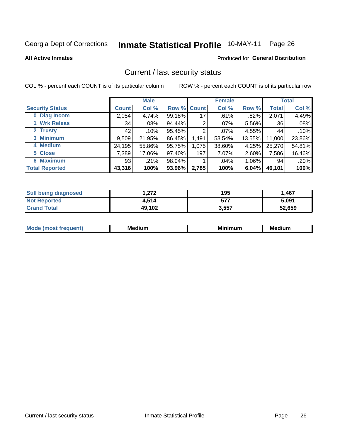## Inmate Statistical Profile 10-MAY-11 Page 26

**All Active Inmates** 

#### Produced for General Distribution

#### Current / last security status

COL % - percent each COUNT is of its particular column

|                        |                 | <b>Male</b> |             |       | <b>Female</b> |          |              | <b>Total</b> |
|------------------------|-----------------|-------------|-------------|-------|---------------|----------|--------------|--------------|
| <b>Security Status</b> | <b>Count</b>    | Col %       | Row % Count |       | Col %         | Row %    | <b>Total</b> | Col %        |
| 0 Diag Incom           | 2,054           | 4.74%       | $99.18\%$   | 17    | $.61\%$       | $.82\%$  | 2,071        | 4.49%        |
| 1 Wrk Releas           | 34              | $.08\%$     | 94.44%      | 2     | $.07\%$       | 5.56%    | 36           | .08%         |
| 2 Trusty               | 42 <sup>1</sup> | $.10\%$     | 95.45%      | 2     | .07%          | 4.55%    | 44           | .10%         |
| 3 Minimum              | 9,509           | 21.95%      | 86.45%      | 1,491 | 53.54%        | 13.55%   | 11,000       | 23.86%       |
| 4 Medium               | 24,195          | 55.86%      | 95.75%      | 1,075 | 38.60%        | 4.25%    | 25,270       | 54.81%       |
| 5 Close                | 7,389           | 17.06%      | 97.40%      | 197   | 7.07%         | 2.60%    | 7,586        | 16.46%       |
| <b>6 Maximum</b>       | 93              | .21%        | 98.94%      |       | $.04\%$       | $1.06\%$ | 94           | .20%         |
| <b>Total Reported</b>  | 43,316          | 100%        | 93.96%      | 2,785 | 100%          | 6.04%    | 46,101       | 100%         |

| <b>Still being diagnosed</b> | 272. ا | 195   | 1,467  |
|------------------------------|--------|-------|--------|
| <b>Not Reported</b>          | 4,514  | 577   | 5,091  |
| <b>Grand Total</b>           | 49,102 | 3,557 | 52,659 |

| <b>Mo</b><br><b>quent</b> | <b>Medium</b> | Mi<br>num | <b>Medium</b> |
|---------------------------|---------------|-----------|---------------|
|                           |               |           |               |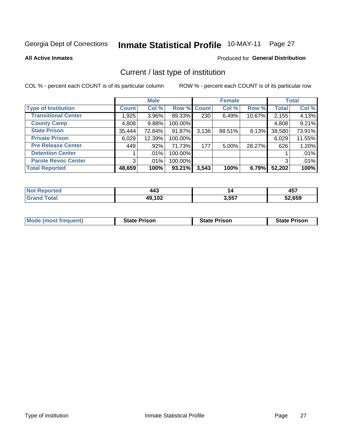#### Inmate Statistical Profile 10-MAY-11 Page 27

**All Active Inmates** 

#### Produced for General Distribution

### Current / last type of institution

COL % - percent each COUNT is of its particular column

|                            |              | <b>Male</b> |             |       | <b>Female</b> |        |              | <b>Total</b> |
|----------------------------|--------------|-------------|-------------|-------|---------------|--------|--------------|--------------|
| <b>Type of Institution</b> | <b>Count</b> | Col %       | Row % Count |       | Col %         | Row %  | <b>Total</b> | Col %        |
| <b>Transitional Center</b> | 1,925        | $3.96\%$    | 89.33%      | 230   | 6.49%         | 10.67% | 2,155        | 4.13%        |
| <b>County Camp</b>         | 4,808        | 9.88%       | 100.00%     |       |               |        | 4,808        | 9.21%        |
| <b>State Prison</b>        | 35,444       | 72.84%      | 91.87%      | 3,136 | 88.51%        | 8.13%  | 38,580       | 73.91%       |
| <b>Private Prison</b>      | 6,029        | 12.39%      | 100.00%     |       |               |        | 6,029        | 11.55%       |
| <b>Pre Release Center</b>  | 449          | .92%        | 71.73%      | 177   | $5.00\%$      | 28.27% | 626          | 1.20%        |
| <b>Detention Center</b>    |              | $.01\%$     | 100.00%     |       |               |        |              | .01%         |
| <b>Parole Revoc Center</b> | 3            | .01%        | 100.00%     |       |               |        |              | .01%         |
| <b>Total Reported</b>      | 48,659       | 100%        | 93.21%      | 3,543 | 100%          | 6.79%  | 52,202       | 100%         |

| n a<br>тео | 443                 | 14    | <b>AE7</b><br>TJ. |
|------------|---------------------|-------|-------------------|
|            | 49,102<br>лv<br>то. | 3,557 | 52.659            |

| <b>Mode (most frequent)</b> | <b>State Prison</b> | <b>State Prison</b> | <b>State Prison</b> |
|-----------------------------|---------------------|---------------------|---------------------|
|                             |                     |                     |                     |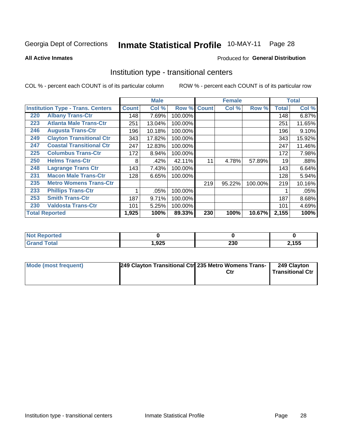#### **Inmate Statistical Profile 10-MAY-11** Page 28

**All Active Inmates** 

#### Produced for General Distribution

#### Institution type - transitional centers

COL % - percent each COUNT is of its particular column

|     |                                          | <b>Male</b>  |        | <b>Female</b> |              |        | <b>Total</b> |              |        |
|-----|------------------------------------------|--------------|--------|---------------|--------------|--------|--------------|--------------|--------|
|     | <b>Institution Type - Trans. Centers</b> | <b>Count</b> | Col %  | Row %         | <b>Count</b> | Col %  | Row %        | <b>Total</b> | Col %  |
| 220 | <b>Albany Trans-Ctr</b>                  | 148          | 7.69%  | 100.00%       |              |        |              | 148          | 6.87%  |
| 223 | <b>Atlanta Male Trans-Ctr</b>            | 251          | 13.04% | 100.00%       |              |        |              | 251          | 11.65% |
| 246 | <b>Augusta Trans-Ctr</b>                 | 196          | 10.18% | 100.00%       |              |        |              | 196          | 9.10%  |
| 249 | <b>Clayton Transitional Ctr</b>          | 343          | 17.82% | 100.00%       |              |        |              | 343          | 15.92% |
| 247 | <b>Coastal Transitional Ctr</b>          | 247          | 12.83% | 100.00%       |              |        |              | 247          | 11.46% |
| 225 | <b>Columbus Trans-Ctr</b>                | 172          | 8.94%  | 100.00%       |              |        |              | 172          | 7.98%  |
| 250 | <b>Helms Trans-Ctr</b>                   | 8            | .42%   | 42.11%        | 11           | 4.78%  | 57.89%       | 19           | .88%   |
| 248 | <b>Lagrange Trans Ctr</b>                | 143          | 7.43%  | 100.00%       |              |        |              | 143          | 6.64%  |
| 231 | <b>Macon Male Trans-Ctr</b>              | 128          | 6.65%  | 100.00%       |              |        |              | 128          | 5.94%  |
| 235 | <b>Metro Womens Trans-Ctr</b>            |              |        |               | 219          | 95.22% | 100.00%      | 219          | 10.16% |
| 233 | <b>Phillips Trans-Ctr</b>                | 1            | .05%   | 100.00%       |              |        |              |              | .05%   |
| 253 | <b>Smith Trans-Ctr</b>                   | 187          | 9.71%  | 100.00%       |              |        |              | 187          | 8.68%  |
| 230 | <b>Valdosta Trans-Ctr</b>                | 101          | 5.25%  | 100.00%       |              |        |              | 101          | 4.69%  |
|     | <b>Total Reported</b>                    | 1,925        | 100%   | 89.33%        | 230          | 100%   | 10.67%       | 2,155        | 100%   |

| <u>teportea</u> |      |               |      |
|-----------------|------|---------------|------|
| _____           | ,925 | $\sim$<br>zju | ,155 |

| Mode (most frequent) | 249 Clayton Transitional Ctr 235 Metro Womens Trans- | Ctr | 249 Clayton<br>Transitional Ctr |
|----------------------|------------------------------------------------------|-----|---------------------------------|
|                      |                                                      |     |                                 |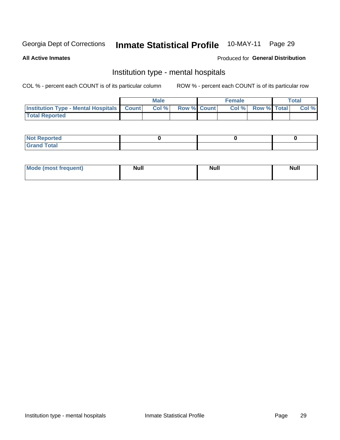#### 10-MAY-11 **Inmate Statistical Profile** Page 29

#### **All Active Inmates**

#### Produced for General Distribution

### Institution type - mental hospitals

COL % - percent each COUNT is of its particular column

|                                                  | Male |      |                    | <b>Female</b> |  |                   | <b>Total</b> |       |
|--------------------------------------------------|------|------|--------------------|---------------|--|-------------------|--------------|-------|
| <b>Institution Type - Mental Hospitals Count</b> |      | Col% | <b>Row % Count</b> |               |  | Col % Row % Total |              | Col % |
| <b>Total Reported</b>                            |      |      |                    |               |  |                   |              |       |

| <b>Not Reported</b>                     |  |  |
|-----------------------------------------|--|--|
| <b>otal</b><br>C <sub>r</sub><br>______ |  |  |

| Mode.<br>frequent) | <b>Nul</b><br>_____ | <b>Null</b> | <b>Null</b> |
|--------------------|---------------------|-------------|-------------|
|                    |                     |             |             |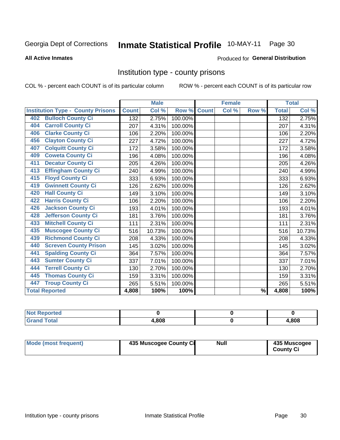#### **Inmate Statistical Profile 10-MAY-11** Page 30

#### **All Active Inmates**

#### Produced for General Distribution

#### Institution type - county prisons

COL % - percent each COUNT is of its particular column

|                                          |              | <b>Male</b> |         |              | <b>Female</b> |               |              | <b>Total</b> |
|------------------------------------------|--------------|-------------|---------|--------------|---------------|---------------|--------------|--------------|
| <b>Institution Type - County Prisons</b> | <b>Count</b> | Col %       | Row %   | <b>Count</b> | Col %         | Row %         | <b>Total</b> | Col %        |
| <b>Bulloch County Ci</b><br>402          | 132          | 2.75%       | 100.00% |              |               |               | 132          | 2.75%        |
| <b>Carroll County Ci</b><br>404          | 207          | 4.31%       | 100.00% |              |               |               | 207          | 4.31%        |
| <b>Clarke County Ci</b><br>406           | 106          | 2.20%       | 100.00% |              |               |               | 106          | 2.20%        |
| <b>Clayton County Ci</b><br>456          | 227          | 4.72%       | 100.00% |              |               |               | 227          | 4.72%        |
| <b>Colquitt County Ci</b><br>407         | 172          | 3.58%       | 100.00% |              |               |               | 172          | 3.58%        |
| <b>Coweta County Ci</b><br>409           | 196          | 4.08%       | 100.00% |              |               |               | 196          | 4.08%        |
| <b>Decatur County Ci</b><br>411          | 205          | 4.26%       | 100.00% |              |               |               | 205          | 4.26%        |
| <b>Effingham County Ci</b><br>413        | 240          | 4.99%       | 100.00% |              |               |               | 240          | 4.99%        |
| <b>Floyd County Ci</b><br>415            | 333          | 6.93%       | 100.00% |              |               |               | 333          | 6.93%        |
| <b>Gwinnett County Ci</b><br>419         | 126          | 2.62%       | 100.00% |              |               |               | 126          | 2.62%        |
| <b>Hall County Ci</b><br>420             | 149          | 3.10%       | 100.00% |              |               |               | 149          | 3.10%        |
| <b>Harris County Ci</b><br>422           | 106          | 2.20%       | 100.00% |              |               |               | 106          | 2.20%        |
| <b>Jackson County Ci</b><br>426          | 193          | 4.01%       | 100.00% |              |               |               | 193          | 4.01%        |
| <b>Jefferson County Ci</b><br>428        | 181          | 3.76%       | 100.00% |              |               |               | 181          | 3.76%        |
| <b>Mitchell County Ci</b><br>433         | 111          | 2.31%       | 100.00% |              |               |               | 111          | 2.31%        |
| <b>Muscogee County Ci</b><br>435         | 516          | 10.73%      | 100.00% |              |               |               | 516          | 10.73%       |
| <b>Richmond County Ci</b><br>439         | 208          | 4.33%       | 100.00% |              |               |               | 208          | 4.33%        |
| <b>Screven County Prison</b><br>440      | 145          | 3.02%       | 100.00% |              |               |               | 145          | 3.02%        |
| <b>Spalding County Ci</b><br>441         | 364          | 7.57%       | 100.00% |              |               |               | 364          | 7.57%        |
| <b>Sumter County Ci</b><br>443           | 337          | 7.01%       | 100.00% |              |               |               | 337          | 7.01%        |
| <b>Terrell County Ci</b><br>444          | 130          | 2.70%       | 100.00% |              |               |               | 130          | 2.70%        |
| <b>Thomas County Ci</b><br>445           | 159          | 3.31%       | 100.00% |              |               |               | 159          | 3.31%        |
| <b>Troup County Ci</b><br>447            | 265          | 5.51%       | 100.00% |              |               |               | 265          | 5.51%        |
| <b>Total Reported</b>                    | 4,808        | 100%        | 100%    |              |               | $\frac{9}{6}$ | 4,808        | 100%         |

| <b>Not</b><br>Reported       |       |       |
|------------------------------|-------|-------|
| <b>Total</b><br><b>Grand</b> | 4.808 | 4,808 |

| Mode (most frequent) | 435 Muscogee County Ci | <b>Null</b> | 435 Muscogee<br><b>County Ci</b> |
|----------------------|------------------------|-------------|----------------------------------|
|----------------------|------------------------|-------------|----------------------------------|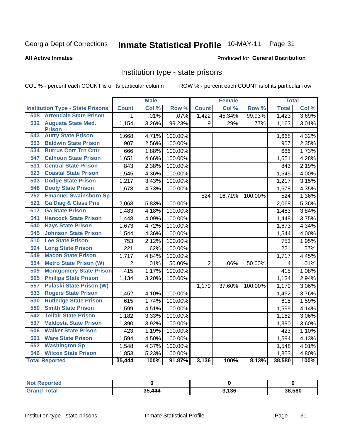## Inmate Statistical Profile 10-MAY-11 Page 31

#### **All Active Inmates**

#### Produced for General Distribution

#### Institution type - state prisons

COL % - percent each COUNT is of its particular column

|                                         |                | <b>Male</b> |         |                | <b>Female</b> |         | <b>Total</b> |       |
|-----------------------------------------|----------------|-------------|---------|----------------|---------------|---------|--------------|-------|
| <b>Institution Type - State Prisons</b> | <b>Count</b>   | Col %       | Row %   | <b>Count</b>   | Col %         | Row %   | <b>Total</b> | Col % |
| <b>Arrendale State Prison</b><br>508    | 1              | .01%        | .07%    | 1,422          | 45.34%        | 99.93%  | 1,423        | 3.69% |
| 532<br><b>Augusta State Med.</b>        | 1,154          | 3.26%       | 99.23%  | 9              | .29%          | .77%    | 1,163        | 3.01% |
| <b>Prison</b>                           |                |             |         |                |               |         |              |       |
| <b>Autry State Prison</b><br>543        | 1,668          | 4.71%       | 100.00% |                |               |         | 1,668        | 4.32% |
| <b>Baldwin State Prison</b><br>553      | 907            | 2.56%       | 100.00% |                |               |         | 907          | 2.35% |
| <b>Burrus Corr Trn Cntr</b><br>534      | 666            | 1.88%       | 100.00% |                |               |         | 666          | 1.73% |
| <b>Calhoun State Prison</b><br>547      | 1,651          | 4.66%       | 100.00% |                |               |         | 1,651        | 4.28% |
| <b>Central State Prison</b><br>531      | 843            | 2.38%       | 100.00% |                |               |         | 843          | 2.19% |
| <b>Coastal State Prison</b><br>523      | 1,545          | 4.36%       | 100.00% |                |               |         | 1,545        | 4.00% |
| <b>Dodge State Prison</b><br>503        | 1,217          | 3.43%       | 100.00% |                |               |         | 1,217        | 3.15% |
| <b>Dooly State Prison</b><br>548        | 1,678          | 4.73%       | 100.00% |                |               |         | 1,678        | 4.35% |
| <b>Emanuel-Swainsboro Sp</b><br>252     |                |             |         | 524            | 16.71%        | 100.00% | 524          | 1.36% |
| <b>Ga Diag &amp; Class Pris</b><br>521  | 2,068          | 5.83%       | 100.00% |                |               |         | 2,068        | 5.36% |
| 517<br><b>Ga State Prison</b>           | 1,483          | 4.18%       | 100.00% |                |               |         | 1,483        | 3.84% |
| <b>Hancock State Prison</b><br>541      | 1,448          | 4.09%       | 100.00% |                |               |         | 1,448        | 3.75% |
| 540<br><b>Hays State Prison</b>         | 1,673          | 4.72%       | 100.00% |                |               |         | 1,673        | 4.34% |
| <b>Johnson State Prison</b><br>545      | 1,544          | 4.36%       | 100.00% |                |               |         | 1,544        | 4.00% |
| 510<br><b>Lee State Prison</b>          | 753            | 2.12%       | 100.00% |                |               |         | 753          | 1.95% |
| <b>Long State Prison</b><br>564         | 221            | .62%        | 100.00% |                |               |         | 221          | .57%  |
| <b>Macon State Prison</b><br>549        | 1,717          | 4.84%       | 100.00% |                |               |         | 1,717        | 4.45% |
| <b>Metro State Prison (W)</b><br>554    | $\overline{2}$ | .01%        | 50.00%  | $\overline{2}$ | .06%          | 50.00%  | 4            | .01%  |
| <b>Montgomery State Prison</b><br>509   | 415            | 1.17%       | 100.00% |                |               |         | 415          | 1.08% |
| <b>Phillips State Prison</b><br>505     | 1,134          | 3.20%       | 100.00% |                |               |         | 1,134        | 2.94% |
| 557<br><b>Pulaski State Prison (W)</b>  |                |             |         | 1,179          | 37.60%        | 100.00% | 1,179        | 3.06% |
| <b>Rogers State Prison</b><br>533       | 1,452          | 4.10%       | 100.00% |                |               |         | 1,452        | 3.76% |
| <b>Rutledge State Prison</b><br>530     | 615            | 1.74%       | 100.00% |                |               |         | 615          | 1.59% |
| <b>Smith State Prison</b><br>550        | 1,599          | 4.51%       | 100.00% |                |               |         | 1,599        | 4.14% |
| <b>Telfair State Prison</b><br>542      | 1,182          | 3.33%       | 100.00% |                |               |         | 1,182        | 3.06% |
| 537<br><b>Valdosta State Prison</b>     | 1,390          | 3.92%       | 100.00% |                |               |         | 1,390        | 3.60% |
| <b>Walker State Prison</b><br>506       | 423            | 1.19%       | 100.00% |                |               |         | 423          | 1.10% |
| <b>Ware State Prison</b><br>501         | 1,594          | 4.50%       | 100.00% |                |               |         | 1,594        | 4.13% |
| <b>Washington Sp</b><br>552             | 1,548          | 4.37%       | 100.00% |                |               |         | 1,548        | 4.01% |
| <b>Wilcox State Prison</b><br>546       | 1,853          | 5.23%       | 100.00% |                |               |         | 1,853        | 4.80% |
| <b>Total Reported</b>                   | 35,444         | 100%        | 91.87%  | 3,136          | 100%          | 8.13%   | 38,580       | 100%  |

| Reported<br><b>NOT</b> |     |       |        |
|------------------------|-----|-------|--------|
| <b>Total</b>           | 444 | 3,136 | 38,580 |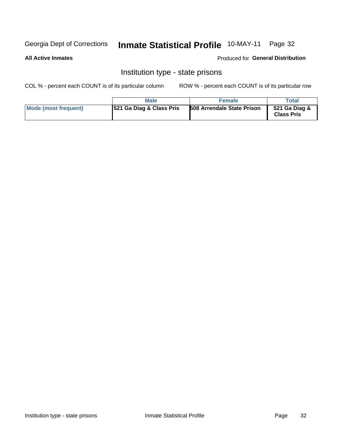## Inmate Statistical Profile 10-MAY-11 Page 32

#### **All Active Inmates**

#### Produced for General Distribution

### Institution type - state prisons

COL % - percent each COUNT is of its particular column

|                      | Male                                | <b>Female</b>                     | Total                              |
|----------------------|-------------------------------------|-----------------------------------|------------------------------------|
| Mode (most frequent) | <b>521 Ga Diag &amp; Class Pris</b> | <b>508 Arrendale State Prison</b> | 521 Ga Diag &<br><b>Class Pris</b> |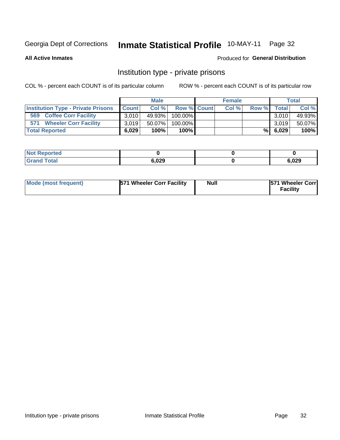## Inmate Statistical Profile 10-MAY-11 Page 32

**All Active Inmates** 

#### Produced for General Distribution

### Institution type - private prisons

COL % - percent each COUNT is of its particular column

|                                           | <b>Male</b>  |           |                    | <b>Female</b> |       |       | <b>Total</b> |        |
|-------------------------------------------|--------------|-----------|--------------------|---------------|-------|-------|--------------|--------|
| <b>Institution Type - Private Prisons</b> | <b>Count</b> | Col%      | <b>Row % Count</b> |               | Col % | Row % | Total        | Col %  |
| 569<br><b>Coffee Corr Facility</b>        | 3.0101       | 49.93%    | $100.00\%$         |               |       |       | 3.010        | 49.93% |
| <b>Wheeler Corr Facility</b><br>571       | 3.019        | $50.07\%$ | 100.00%            |               |       |       | 3.019        | 50.07% |
| <b>Total Reported</b>                     | 6.029        | 100%      | $100\%$            |               |       | %I    | 6,029        | 100%   |

| portea |       |               |
|--------|-------|---------------|
|        | 6,029 | מרח ב<br>,uzy |

| Mode (most frequent) | 571 Wheeler Corr Facility | <b>Null</b> | <b>571 Wheeler Corrl</b><br>Facilitv |
|----------------------|---------------------------|-------------|--------------------------------------|
|----------------------|---------------------------|-------------|--------------------------------------|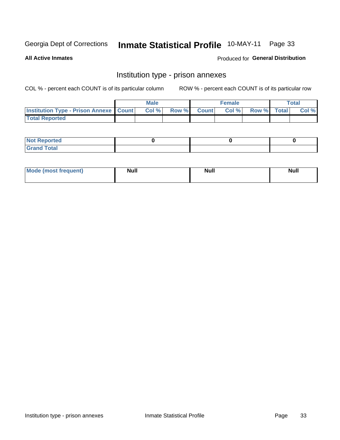## Inmate Statistical Profile 10-MAY-11 Page 33

**All Active Inmates** 

**Produced for General Distribution** 

### Institution type - prison annexes

COL % - percent each COUNT is of its particular column

|                                                   | <b>Male</b> |       |              | <b>Female</b> |             | <b>Total</b> |
|---------------------------------------------------|-------------|-------|--------------|---------------|-------------|--------------|
| <b>Institution Type - Prison Annexe   Count  </b> | Col %       | Row % | <b>Count</b> | Col %         | Row % Total | Col %        |
| <b>Total Reported</b>                             |             |       |              |               |             |              |

| <b>Reported</b><br>I NOT |  |  |
|--------------------------|--|--|
| <b>Total</b><br>$C$ ren  |  |  |

| <b>Mode</b>     | <b>Null</b> | <b>Null</b> | <b>Null</b> |
|-----------------|-------------|-------------|-------------|
| most frequent). |             |             |             |
|                 |             |             |             |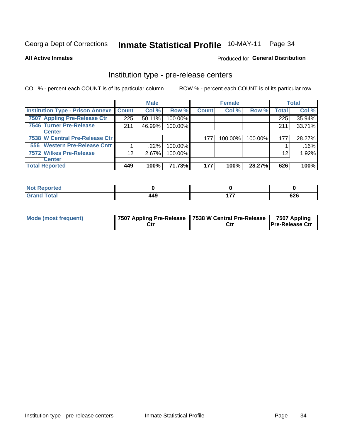## Inmate Statistical Profile 10-MAY-11 Page 34

**All Active Inmates** 

Produced for General Distribution

## Institution type - pre-release centers

COL % - percent each COUNT is of its particular column

|                                         |              | <b>Male</b> |         |              | <b>Female</b> |         |              | <b>Total</b> |
|-----------------------------------------|--------------|-------------|---------|--------------|---------------|---------|--------------|--------------|
| <b>Institution Type - Prison Annexe</b> | <b>Count</b> | Col %       | Row %   | <b>Count</b> | Col %         | Row %   | <b>Total</b> | Col %        |
| 7507 Appling Pre-Release Ctr            | 225          | 50.11%      | 100.00% |              |               |         | 225          | 35.94%       |
| <b>7546 Turner Pre-Release</b>          | 211          | 46.99%      | 100.00% |              |               |         | 211          | 33.71%       |
| <b>Center</b>                           |              |             |         |              |               |         |              |              |
| 7538 W Central Pre-Release Ctr          |              |             |         | 177          | 100.00%       | 100.00% | 177          | 28.27%       |
| 556 Western Pre-Release Cntr            |              | $.22\%$     | 100.00% |              |               |         |              | .16%         |
| 7572 Wilkes Pre-Release                 | 12           | 2.67%       | 100.00% |              |               |         | 12           | 1.92%        |
| <b>Center</b>                           |              |             |         |              |               |         |              |              |
| <b>Total Reported</b>                   | 449          | 100%        | 71.73%  | 177          | 100%          | 28.27%  | 626          | 100%         |

| neo            |     |            |
|----------------|-----|------------|
| otal<br>$\sim$ | 449 | coc<br>νΣο |

| Mode (most frequent) |  | 17507 Appling Pre-Release   7538 W Central Pre-Release  <br>Ctı | 7507 Appling<br><b>Pre-Release Ctr</b> |
|----------------------|--|-----------------------------------------------------------------|----------------------------------------|
|----------------------|--|-----------------------------------------------------------------|----------------------------------------|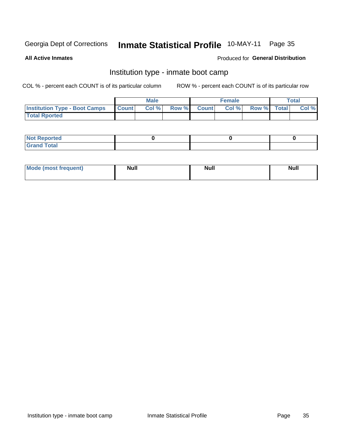#### **Inmate Statistical Profile 10-MAY-11** Page 35

**All Active Inmates** 

#### Produced for General Distribution

### Institution type - inmate boot camp

COL % - percent each COUNT is of its particular column

|                                      |              | <b>Male</b> |               |              | <b>Female</b> |             | <b>Total</b> |
|--------------------------------------|--------------|-------------|---------------|--------------|---------------|-------------|--------------|
| <b>Institution Type - Boot Camps</b> | <b>Count</b> | Col %       | <b>Row %I</b> | <b>Count</b> | Col %         | Row % Total | Col %        |
| <b>Total Rported</b>                 |              |             |               |              |               |             |              |

| <b>Not Reported</b>            |  |  |
|--------------------------------|--|--|
| <b>Total</b><br>C <sub>r</sub> |  |  |

| <b>I Mode (most frequent)</b> | <b>Null</b> | <b>Null</b> | <b>Null</b> |
|-------------------------------|-------------|-------------|-------------|
|                               |             |             |             |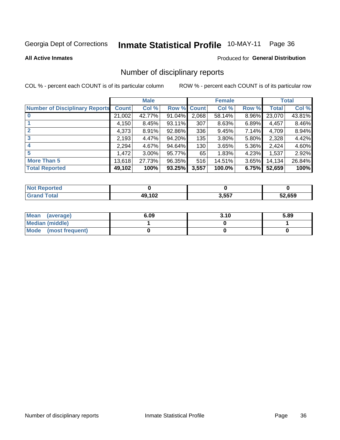# Inmate Statistical Profile 10-MAY-11 Page 36

**All Active Inmates** 

### Produced for General Distribution

## Number of disciplinary reports

COL % - percent each COUNT is of its particular column

|                                       |              | <b>Male</b> |             |       | <b>Female</b> |       |        | <b>Total</b> |
|---------------------------------------|--------------|-------------|-------------|-------|---------------|-------|--------|--------------|
| <b>Number of Disciplinary Reports</b> | <b>Count</b> | Col %       | Row % Count |       | Col %         | Row % | Total  | Col %        |
|                                       | 21,002       | 42.77%      | 91.04%      | 2,068 | 58.14%        | 8.96% | 23,070 | 43.81%       |
|                                       | 4,150        | 8.45%       | $93.11\%$   | 307   | 8.63%         | 6.89% | 4,457  | 8.46%        |
|                                       | 4,373        | 8.91%       | 92.86%      | 336   | 9.45%         | 7.14% | 4,709  | 8.94%        |
| 3                                     | 2,193        | 4.47%       | 94.20%      | 135   | 3.80%         | 5.80% | 2,328  | 4.42%        |
|                                       | 2,294        | 4.67%       | 94.64%      | 130   | 3.65%         | 5.36% | 2,424  | 4.60%        |
| 5                                     | .472         | $3.00\%$    | 95.77%      | 65    | 1.83%         | 4.23% | 1,537  | 2.92%        |
| <b>More Than 5</b>                    | 13,618       | 27.73%      | 96.35%      | 516   | 14.51%        | 3.65% | 14,134 | 26.84%       |
| <b>Total Reported</b>                 | 49,102       | 100%        | 93.25%      | 3,557 | 100.0%        | 6.75% | 52,659 | 100%         |

| <b>Not Reported</b> |        |       |        |
|---------------------|--------|-------|--------|
| <b>Total</b>        | 49,102 | 3,557 | 52.659 |

| Mean (average)       | 6.09 | 3.10 | 5.89 |
|----------------------|------|------|------|
| Median (middle)      |      |      |      |
| Mode (most frequent) |      |      |      |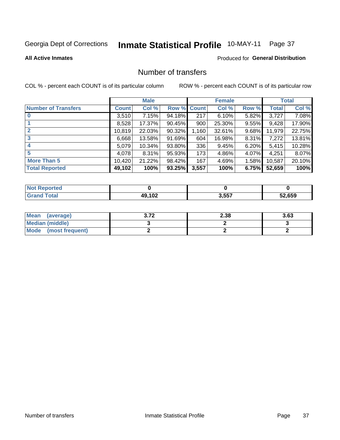# Inmate Statistical Profile 10-MAY-11 Page 37

**All Active Inmates** 

## **Produced for General Distribution**

## Number of transfers

COL % - percent each COUNT is of its particular column

|                            |         | <b>Male</b> |        |              | <b>Female</b> |          |              | <b>Total</b> |
|----------------------------|---------|-------------|--------|--------------|---------------|----------|--------------|--------------|
| <b>Number of Transfers</b> | Count l | Col %       | Row %  | <b>Count</b> | Col %         | Row %    | <b>Total</b> | Col %        |
|                            | 3,510   | 7.15%       | 94.18% | 217          | 6.10%         | $5.82\%$ | 3,727        | 7.08%        |
|                            | 8,528   | 17.37%      | 90.45% | 900          | 25.30%        | $9.55\%$ | 9,428        | 17.90%       |
| $\mathbf{2}$               | 10,819  | 22.03%      | 90.32% | 1,160        | 32.61%        | 9.68%    | 11,979       | 22.75%       |
| 3                          | 6,668   | 13.58%      | 91.69% | 604          | 16.98%        | 8.31%    | 7,272        | 13.81%       |
| 4                          | 5,079   | 10.34%      | 93.80% | 336          | 9.45%         | $6.20\%$ | 5,415        | 10.28%       |
| 5                          | 4,078   | $8.31\%$    | 95.93% | 173          | 4.86%         | 4.07%    | 4,251        | 8.07%        |
| <b>More Than 5</b>         | 10,420  | 21.22%      | 98.42% | 167          | 4.69%         | $1.58\%$ | 10,587       | 20.10%       |
| <b>Total Reported</b>      | 49,102  | 100%        | 93.25% | 3,557        | 100%          | 6.75%    | 52,659       | 100%         |

| prted<br><b>NOT</b> |                    |       |        |
|---------------------|--------------------|-------|--------|
| ⊺otar               | 49.10 <sup>-</sup> | 3,557 | 52.659 |

| Mean (average)       | יד כ<br>- J.IL | 2.38 | 3.63 |
|----------------------|----------------|------|------|
| Median (middle)      |                |      |      |
| Mode (most frequent) |                |      |      |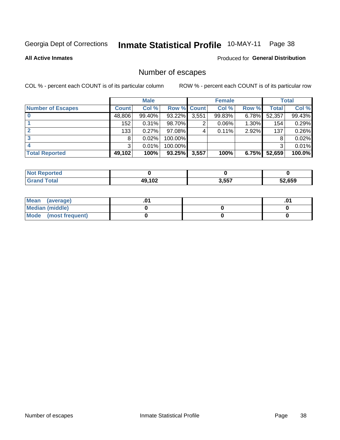# Inmate Statistical Profile 10-MAY-11 Page 38

**All Active Inmates** 

### Produced for General Distribution

## Number of escapes

COL % - percent each COUNT is of its particular column

|                          |              | <b>Male</b> |             |       | <b>Female</b> |          |        | <b>Total</b> |
|--------------------------|--------------|-------------|-------------|-------|---------------|----------|--------|--------------|
| <b>Number of Escapes</b> | <b>Count</b> | Col %       | Row % Count |       | Col %         | Row %    | Total  | Col %        |
|                          | 48,806       | 99.40%      | 93.22%      | 3,551 | 99.83%        | $6.78\%$ | 52,357 | 99.43%       |
|                          | 152          | 0.31%       | 98.70%      | 2     | $0.06\%$      | $1.30\%$ | 154    | 0.29%        |
| 2                        | 133          | 0.27%       | 97.08%      | 4     | 0.11%         | $2.92\%$ | 137    | 0.26%        |
| 3                        | 8            | 0.02%       | 100.00%     |       |               |          | 8      | 0.02%        |
|                          | 3            | 0.01%       | 100.00%     |       |               |          | 3      | 0.01%        |
| <b>Total Reported</b>    | 49,102       | 100%        | $93.25\%$   | 3,557 | 100%          | 6.75%    | 52,659 | 100.0%       |

| ported<br>NOT. |        |       |        |
|----------------|--------|-------|--------|
| <b>Total</b>   | 49,102 | 3,557 | 52,659 |

| Mean (average)       |  | .0 <sup>1</sup> |
|----------------------|--|-----------------|
| Median (middle)      |  |                 |
| Mode (most frequent) |  |                 |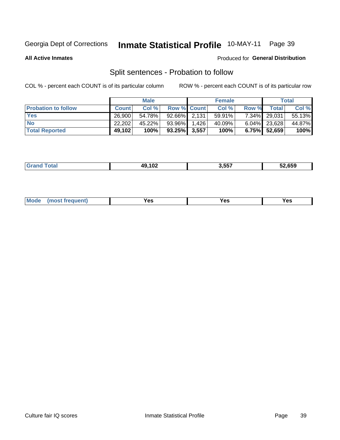#### **Inmate Statistical Profile 10-MAY-11** Page 39

**All Active Inmates** 

#### Produced for General Distribution

## Split sentences - Probation to follow

COL % - percent each COUNT is of its particular column

|                            |              | <b>Male</b> |                    |       | <b>Female</b> |          |                 | <b>Total</b> |
|----------------------------|--------------|-------------|--------------------|-------|---------------|----------|-----------------|--------------|
| <b>Probation to follow</b> | <b>Count</b> | Col%        | <b>Row % Count</b> |       | Col %         | Row %    | Total           | Col %        |
| <b>Yes</b>                 | 26.900       | 54.78%      | $92.66\%$ 2.131    |       | 59.91%        | $7.34\%$ | 29,031          | 55.13%       |
| <b>No</b>                  | 22,202       | 45.22%      | 93.96%             | 1.426 | 40.09%        |          | $6.04\%$ 23,628 | 44.87%       |
| <b>Total Reported</b>      | 49,102       | 100%        | $93.25\%$ 3,557    |       | 100%          |          | 6.75% 52,659    | 100%         |

|  |  | .102<br>10<br>1 V 4 | . <i></i> .<br>3.557 | 52,659 |
|--|--|---------------------|----------------------|--------|
|--|--|---------------------|----------------------|--------|

| M<br>reauent)<br>/٥<br>$\sim$<br>v.,<br>.<br>w<br>$\cdot$ - $\cdot$ |
|---------------------------------------------------------------------|
|---------------------------------------------------------------------|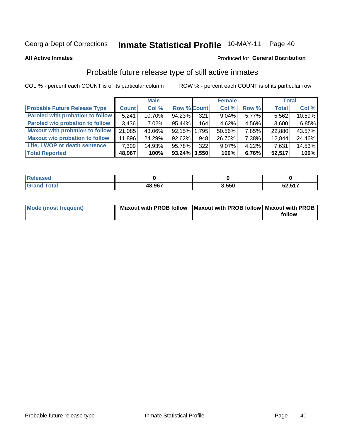#### Inmate Statistical Profile 10-MAY-11 Page 40

**All Active Inmates** 

#### Produced for General Distribution

## Probable future release type of still active inmates

COL % - percent each COUNT is of its particular column

|                                         |              | <b>Male</b> |                    |     | <b>Female</b> |          | <b>Total</b> |        |
|-----------------------------------------|--------------|-------------|--------------------|-----|---------------|----------|--------------|--------|
| <b>Probable Future Release Type</b>     | <b>Count</b> | Col %       | <b>Row % Count</b> |     | Col %         | Row %    | <b>Total</b> | Col %  |
| <b>Paroled with probation to follow</b> | 5,241        | 10.70%      | 94.23%             | 321 | 9.04%         | 5.77%    | 5,562        | 10.59% |
| Paroled w/o probation to follow         | 3,436        | 7.02%       | 95.44%             | 164 | 4.62%         | 4.56%    | 3,600        | 6.85%  |
| <b>Maxout with probation to follow</b>  | 21,085       | 43.06%      | 92.15% 1.795       |     | 50.56%        | 7.85%    | 22,880       | 43.57% |
| <b>Maxout w/o probation to follow</b>   | 11,896       | 24.29%      | 92.62%             | 948 | 26.70%        | 7.38%    | 12,844       | 24.46% |
| Life, LWOP or death sentence            | 7,309        | 14.93%      | 95.78%             | 322 | 9.07%         | $4.22\%$ | 7,631        | 14.53% |
| <b>Total Reported</b>                   | 48,967       | 100%        | $93.24\%$ 3,550    |     | 100%          | 6.76%    | 52,517       | 100%   |

| 48.967 | 3.550 | <b>50517</b><br>JZ,J I 1 |
|--------|-------|--------------------------|

| <b>Mode (most frequent)</b> | Maxout with PROB follow   Maxout with PROB follow   Maxout with PROB |        |
|-----------------------------|----------------------------------------------------------------------|--------|
|                             |                                                                      | follow |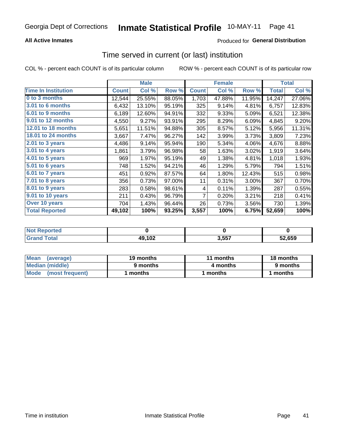## **All Active Inmates**

## **Produced for General Distribution**

# Time served in current (or last) institution

COL % - percent each COUNT is of its particular column

|                            |              | <b>Male</b> |        |              | <b>Female</b> |        |              | <b>Total</b> |
|----------------------------|--------------|-------------|--------|--------------|---------------|--------|--------------|--------------|
| <b>Time In Institution</b> | <b>Count</b> | Col %       | Row %  | <b>Count</b> | Col %         | Row %  | <b>Total</b> | Col %        |
| 0 to 3 months              | 12,544       | 25.55%      | 88.05% | 1,703        | 47.88%        | 11.95% | 14,247       | 27.06%       |
| <b>3.01 to 6 months</b>    | 6,432        | 13.10%      | 95.19% | 325          | 9.14%         | 4.81%  | 6,757        | 12.83%       |
| 6.01 to 9 months           | 6,189        | 12.60%      | 94.91% | 332          | 9.33%         | 5.09%  | 6,521        | 12.38%       |
| 9.01 to 12 months          | 4,550        | 9.27%       | 93.91% | 295          | 8.29%         | 6.09%  | 4,845        | 9.20%        |
| <b>12.01 to 18 months</b>  | 5,651        | 11.51%      | 94.88% | 305          | 8.57%         | 5.12%  | 5,956        | 11.31%       |
| <b>18.01 to 24 months</b>  | 3,667        | 7.47%       | 96.27% | 142          | 3.99%         | 3.73%  | 3,809        | 7.23%        |
| 2.01 to 3 years            | 4,486        | 9.14%       | 95.94% | 190          | 5.34%         | 4.06%  | 4,676        | 8.88%        |
| 3.01 to 4 years            | 1,861        | 3.79%       | 96.98% | 58           | 1.63%         | 3.02%  | 1,919        | 3.64%        |
| 4.01 to 5 years            | 969          | 1.97%       | 95.19% | 49           | 1.38%         | 4.81%  | 1,018        | 1.93%        |
| 5.01 to 6 years            | 748          | 1.52%       | 94.21% | 46           | 1.29%         | 5.79%  | 794          | 1.51%        |
| $6.01$ to 7 years          | 451          | 0.92%       | 87.57% | 64           | 1.80%         | 12.43% | 515          | 0.98%        |
| 7.01 to 8 years            | 356          | 0.73%       | 97.00% | 11           | 0.31%         | 3.00%  | 367          | 0.70%        |
| 8.01 to 9 years            | 283          | 0.58%       | 98.61% | 4            | 0.11%         | 1.39%  | 287          | 0.55%        |
| 9.01 to 10 years           | 211          | 0.43%       | 96.79% | 7            | 0.20%         | 3.21%  | 218          | 0.41%        |
| Over 10 years              | 704          | 1.43%       | 96.44% | 26           | 0.73%         | 3.56%  | 730          | 1.39%        |
| <b>Total Reported</b>      | 49,102       | 100%        | 93.25% | 3,557        | 100%          | 6.75%  | 52,659       | 100%         |

| orted<br><b>NOT</b> |        |      |        |
|---------------------|--------|------|--------|
| ntai                | 49,102 | 3557 | 52.659 |

| <b>Mean</b><br>(average) | 19 months | 11 months | 18 months |  |
|--------------------------|-----------|-----------|-----------|--|
| Median (middle)          | 9 months  | 4 months  | 9 months  |  |
| Mode<br>(most frequent)  | months    | months    | ∖ months  |  |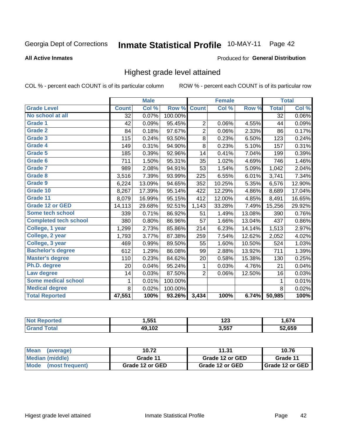#### Inmate Statistical Profile 10-MAY-11 Page 42

#### **All Active Inmates**

### Produced for General Distribution

## Highest grade level attained

COL % - percent each COUNT is of its particular column

|                              |              | <b>Male</b> |         |                | <b>Female</b> |        |              | <b>Total</b> |
|------------------------------|--------------|-------------|---------|----------------|---------------|--------|--------------|--------------|
| <b>Grade Level</b>           | <b>Count</b> | Col %       | Row %   | <b>Count</b>   | Col %         | Row %  | <b>Total</b> | Col %        |
| No school at all             | 32           | 0.07%       | 100.00% |                |               |        | 32           | 0.06%        |
| Grade 1                      | 42           | 0.09%       | 95.45%  | $\overline{c}$ | 0.06%         | 4.55%  | 44           | 0.09%        |
| <b>Grade 2</b>               | 84           | 0.18%       | 97.67%  | $\overline{2}$ | 0.06%         | 2.33%  | 86           | 0.17%        |
| <b>Grade 3</b>               | 115          | 0.24%       | 93.50%  | 8              | 0.23%         | 6.50%  | 123          | 0.24%        |
| Grade 4                      | 149          | 0.31%       | 94.90%  | 8              | 0.23%         | 5.10%  | 157          | 0.31%        |
| Grade 5                      | 185          | 0.39%       | 92.96%  | 14             | 0.41%         | 7.04%  | 199          | 0.39%        |
| Grade 6                      | 711          | 1.50%       | 95.31%  | 35             | 1.02%         | 4.69%  | 746          | 1.46%        |
| <b>Grade 7</b>               | 989          | 2.08%       | 94.91%  | 53             | 1.54%         | 5.09%  | 1,042        | 2.04%        |
| <b>Grade 8</b>               | 3,516        | 7.39%       | 93.99%  | 225            | 6.55%         | 6.01%  | 3,741        | 7.34%        |
| Grade 9                      | 6,224        | 13.09%      | 94.65%  | 352            | 10.25%        | 5.35%  | 6,576        | 12.90%       |
| Grade 10                     | 8,267        | 17.39%      | 95.14%  | 422            | 12.29%        | 4.86%  | 8,689        | 17.04%       |
| Grade 11                     | 8,079        | 16.99%      | 95.15%  | 412            | 12.00%        | 4.85%  | 8,491        | 16.65%       |
| <b>Grade 12 or GED</b>       | 14,113       | 29.68%      | 92.51%  | 1,143          | 33.28%        | 7.49%  | 15,256       | 29.92%       |
| <b>Some tech school</b>      | 339          | 0.71%       | 86.92%  | 51             | 1.49%         | 13.08% | 390          | 0.76%        |
| <b>Completed tech school</b> | 380          | 0.80%       | 86.96%  | 57             | 1.66%         | 13.04% | 437          | 0.86%        |
| College, 1 year              | 1,299        | 2.73%       | 85.86%  | 214            | 6.23%         | 14.14% | 1,513        | 2.97%        |
| College, 2 year              | 1,793        | 3.77%       | 87.38%  | 259            | 7.54%         | 12.62% | 2,052        | 4.02%        |
| College, 3 year              | 469          | 0.99%       | 89.50%  | 55             | 1.60%         | 10.50% | 524          | 1.03%        |
| <b>Bachelor's degree</b>     | 612          | 1.29%       | 86.08%  | 99             | 2.88%         | 13.92% | 711          | 1.39%        |
| <b>Master's degree</b>       | 110          | 0.23%       | 84.62%  | 20             | 0.58%         | 15.38% | 130          | 0.25%        |
| Ph.D. degree                 | 20           | 0.04%       | 95.24%  | 1              | 0.03%         | 4.76%  | 21           | 0.04%        |
| Law degree                   | 14           | 0.03%       | 87.50%  | $\overline{2}$ | 0.06%         | 12.50% | 16           | 0.03%        |
| Some medical school          | 1            | 0.01%       | 100.00% |                |               |        | $\mathbf{1}$ | 0.01%        |
| <b>Medical degree</b>        | 8            | 0.02%       | 100.00% |                |               |        | 8            | 0.02%        |
| <b>Total Reported</b>        | 47,551       | 100%        | 93.26%  | 3,434          | 100%          | 6.74%  | 50,985       | 100%         |

| 551 | ィクク<br>12J      | $\sim$         |
|-----|-----------------|----------------|
| 102 | 2557<br>່ ບ.ບບ. | 52.65Q<br>.ujj |

| <b>Mean</b><br>(average)       | 10.72           | 11.31           | 10.76           |  |
|--------------------------------|-----------------|-----------------|-----------------|--|
| Median (middle)                | Grade 11        | Grade 12 or GED | Grade 11        |  |
| <b>Mode</b><br>(most frequent) | Grade 12 or GED | Grade 12 or GED | Grade 12 or GED |  |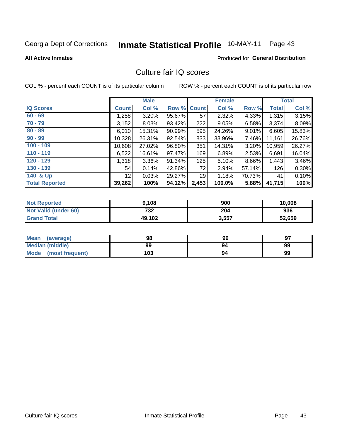#### **Inmate Statistical Profile 10-MAY-11** Page 43

#### **All Active Inmates**

## **Produced for General Distribution**

## Culture fair IQ scores

COL % - percent each COUNT is of its particular column

|                       |                 | <b>Male</b> |        |              | <b>Female</b> |          |              | <b>Total</b> |
|-----------------------|-----------------|-------------|--------|--------------|---------------|----------|--------------|--------------|
| <b>IQ Scores</b>      | <b>Count</b>    | Col %       | Row %  | <b>Count</b> | Col %         | Row %    | <b>Total</b> | Col %        |
| $60 - 69$             | 1,258           | 3.20%       | 95.67% | 57           | 2.32%         | 4.33%    | 1,315        | 3.15%        |
| $70 - 79$             | 3,152           | 8.03%       | 93.42% | 222          | 9.05%         | 6.58%    | 3,374        | 8.09%        |
| $80 - 89$             | 6,010           | 15.31%      | 90.99% | 595          | 24.26%        | $9.01\%$ | 6,605        | 15.83%       |
| $90 - 99$             | 10,328          | 26.31%      | 92.54% | 833          | 33.96%        | 7.46%    | 11,161       | 26.76%       |
| $100 - 109$           | 10,608          | 27.02%      | 96.80% | 351          | 14.31%        | $3.20\%$ | 10,959       | 26.27%       |
| $110 - 119$           | 6,522           | 16.61%      | 97.47% | 169          | 6.89%         | 2.53%    | 6,691        | 16.04%       |
| $120 - 129$           | 1,318           | $3.36\%$    | 91.34% | 125          | 5.10%         | 8.66%    | 1,443        | 3.46%        |
| $130 - 139$           | 54              | 0.14%       | 42.86% | 72           | 2.94%         | 57.14%   | 126          | 0.30%        |
| 140 & Up              | 12 <sub>1</sub> | 0.03%       | 29.27% | 29           | 1.18%         | 70.73%   | 41           | 0.10%        |
| <b>Total Reported</b> | 39,262          | 100%        | 94.12% | 2,453        | 100.0%        | 5.88%    | 41,715       | 100%         |

| <b>Not Reported</b>         | 9,108  | 900   | 10,008 |
|-----------------------------|--------|-------|--------|
| <b>Not Valid (under 60)</b> | 732    | 204   | 936    |
| <b>Grand Total</b>          | 49,102 | 3,557 | 52,659 |

| <b>Mean</b><br>(average) | 98  | 96 | 97 |
|--------------------------|-----|----|----|
| <b>Median (middle)</b>   | 99  | 94 | 99 |
| Mode<br>(most frequent)  | 103 | 94 | 99 |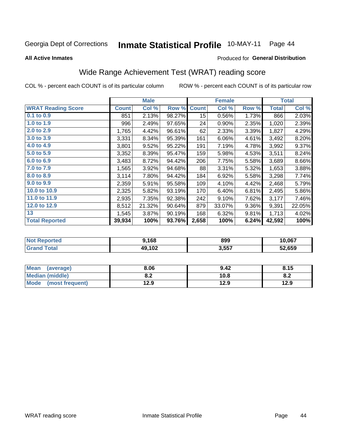#### Inmate Statistical Profile 10-MAY-11 Page 44

**All Active Inmates** 

## Produced for General Distribution

## Wide Range Achievement Test (WRAT) reading score

COL % - percent each COUNT is of its particular column

|                           |              | <b>Male</b> |        |              | <b>Female</b> |       |              | <b>Total</b> |
|---------------------------|--------------|-------------|--------|--------------|---------------|-------|--------------|--------------|
| <b>WRAT Reading Score</b> | <b>Count</b> | Col %       | Row %  | <b>Count</b> | Col %         | Row % | <b>Total</b> | Col %        |
| $0.1$ to $0.9$            | 851          | 2.13%       | 98.27% | 15           | 0.56%         | 1.73% | 866          | 2.03%        |
| 1.0 to 1.9                | 996          | 2.49%       | 97.65% | 24           | 0.90%         | 2.35% | 1,020        | 2.39%        |
| 2.0 to 2.9                | 1,765        | 4.42%       | 96.61% | 62           | 2.33%         | 3.39% | 1,827        | 4.29%        |
| 3.0 to 3.9                | 3,331        | 8.34%       | 95.39% | 161          | 6.06%         | 4.61% | 3,492        | 8.20%        |
| 4.0 to 4.9                | 3,801        | 9.52%       | 95.22% | 191          | 7.19%         | 4.78% | 3,992        | 9.37%        |
| 5.0 to 5.9                | 3,352        | 8.39%       | 95.47% | 159          | 5.98%         | 4.53% | 3,511        | 8.24%        |
| 6.0 to 6.9                | 3,483        | 8.72%       | 94.42% | 206          | 7.75%         | 5.58% | 3,689        | 8.66%        |
| 7.0 to 7.9                | 1,565        | 3.92%       | 94.68% | 88           | 3.31%         | 5.32% | 1,653        | 3.88%        |
| 8.0 to 8.9                | 3,114        | 7.80%       | 94.42% | 184          | 6.92%         | 5.58% | 3,298        | 7.74%        |
| 9.0 to 9.9                | 2,359        | 5.91%       | 95.58% | 109          | 4.10%         | 4.42% | 2,468        | 5.79%        |
| 10.0 to 10.9              | 2,325        | 5.82%       | 93.19% | 170          | 6.40%         | 6.81% | 2,495        | 5.86%        |
| 11.0 to 11.9              | 2,935        | 7.35%       | 92.38% | 242          | 9.10%         | 7.62% | 3,177        | 7.46%        |
| 12.0 to 12.9              | 8,512        | 21.32%      | 90.64% | 879          | 33.07%        | 9.36% | 9,391        | 22.05%       |
| 13                        | 1,545        | 3.87%       | 90.19% | 168          | 6.32%         | 9.81% | 1,713        | 4.02%        |
| <b>Total Reported</b>     | 39,934       | 100%        | 93.76% | 2,658        | 100%          | 6.24% | 42,592       | 100%         |

| <b>Not</b><br><b>Reported</b> | ,168   | 899   | 10,067 |
|-------------------------------|--------|-------|--------|
| ™otal                         | 49,102 | 3,557 | 52,659 |

| <b>Mean</b><br>(average)       | 8.06       | 9.42 | 8.15 |
|--------------------------------|------------|------|------|
| <b>Median (middle)</b>         | י ה<br>0.Z | 10.8 | O.A  |
| <b>Mode</b><br>(most frequent) | 12.9       | 12.9 | 12.9 |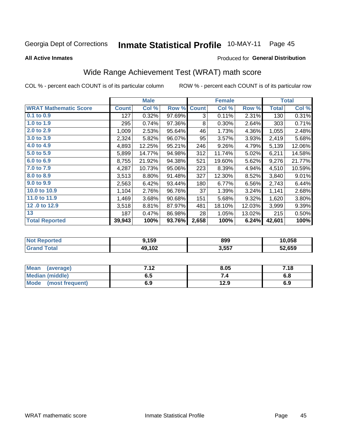#### **Inmate Statistical Profile 10-MAY-11** Page 45

**All Active Inmates** 

### Produced for General Distribution

## Wide Range Achievement Test (WRAT) math score

COL % - percent each COUNT is of its particular column

|                              |              | <b>Male</b> |        |              | <b>Female</b> |        |              | <b>Total</b> |
|------------------------------|--------------|-------------|--------|--------------|---------------|--------|--------------|--------------|
| <b>WRAT Mathematic Score</b> | <b>Count</b> | Col %       | Row %  | <b>Count</b> | Col %         | Row %  | <b>Total</b> | Col %        |
| 0.1 to 0.9                   | 127          | 0.32%       | 97.69% | 3            | 0.11%         | 2.31%  | 130          | 0.31%        |
| 1.0 to 1.9                   | 295          | 0.74%       | 97.36% | 8            | 0.30%         | 2.64%  | 303          | 0.71%        |
| 2.0 to 2.9                   | 1,009        | 2.53%       | 95.64% | 46           | 1.73%         | 4.36%  | 1,055        | 2.48%        |
| 3.0 to 3.9                   | 2,324        | 5.82%       | 96.07% | 95           | 3.57%         | 3.93%  | 2,419        | 5.68%        |
| 4.0 to 4.9                   | 4,893        | 12.25%      | 95.21% | 246          | 9.26%         | 4.79%  | 5,139        | 12.06%       |
| 5.0 to 5.9                   | 5,899        | 14.77%      | 94.98% | 312          | 11.74%        | 5.02%  | 6,211        | 14.58%       |
| 6.0 to 6.9                   | 8,755        | 21.92%      | 94.38% | 521          | 19.60%        | 5.62%  | 9,276        | 21.77%       |
| 7.0 to 7.9                   | 4,287        | 10.73%      | 95.06% | 223          | 8.39%         | 4.94%  | 4,510        | 10.59%       |
| 8.0 to 8.9                   | 3,513        | 8.80%       | 91.48% | 327          | 12.30%        | 8.52%  | 3,840        | 9.01%        |
| 9.0 to 9.9                   | 2,563        | 6.42%       | 93.44% | 180          | 6.77%         | 6.56%  | 2,743        | 6.44%        |
| 10.0 to 10.9                 | 1,104        | 2.76%       | 96.76% | 37           | 1.39%         | 3.24%  | 1,141        | 2.68%        |
| 11.0 to 11.9                 | 1,469        | 3.68%       | 90.68% | 151          | 5.68%         | 9.32%  | 1,620        | 3.80%        |
| 12.0 to 12.9                 | 3,518        | 8.81%       | 87.97% | 481          | 18.10%        | 12.03% | 3,999        | 9.39%        |
| 13                           | 187          | 0.47%       | 86.98% | 28           | 1.05%         | 13.02% | 215          | 0.50%        |
| <b>Total Reported</b>        | 39,943       | 100%        | 93.76% | 2,658        | 100%          | 6.24%  | 42,601       | 100%         |

| <b>Not</b><br><b>Reported</b> | 9,159  | 899   | 10,058 |
|-------------------------------|--------|-------|--------|
| <b>Total</b>                  | 49,102 | 3,557 | 52,659 |

| <b>Mean</b><br>(average)       | 712<br>. | 8.05 | 7.18 |
|--------------------------------|----------|------|------|
| <b>Median (middle)</b>         | כ.ס      |      | o.o  |
| <b>Mode</b><br>(most frequent) | 6.9      | 12.9 | 6.9  |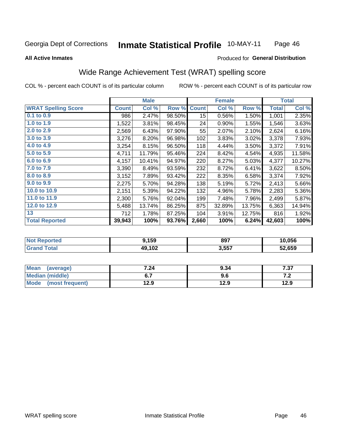#### **Inmate Statistical Profile 10-MAY-11** Page 46

#### **All Active Inmates**

## Produced for General Distribution

## Wide Range Achievement Test (WRAT) spelling score

COL % - percent each COUNT is of its particular column

|                            |              | <b>Male</b> |        |                 | <b>Female</b> |        |              | <b>Total</b> |
|----------------------------|--------------|-------------|--------|-----------------|---------------|--------|--------------|--------------|
| <b>WRAT Spelling Score</b> | <b>Count</b> | Col %       | Row %  | <b>Count</b>    | Col %         | Row %  | <b>Total</b> | Col %        |
| $0.1$ to $0.9$             | 986          | 2.47%       | 98.50% | 15 <sub>1</sub> | 0.56%         | 1.50%  | 1,001        | 2.35%        |
| 1.0 to 1.9                 | 1,522        | 3.81%       | 98.45% | 24              | 0.90%         | 1.55%  | 1,546        | 3.63%        |
| 2.0 to 2.9                 | 2,569        | 6.43%       | 97.90% | 55              | 2.07%         | 2.10%  | 2,624        | 6.16%        |
| 3.0 to 3.9                 | 3,276        | 8.20%       | 96.98% | 102             | 3.83%         | 3.02%  | 3,378        | 7.93%        |
| 4.0 to 4.9                 | 3,254        | 8.15%       | 96.50% | 118             | 4.44%         | 3.50%  | 3,372        | 7.91%        |
| 5.0 to 5.9                 | 4,711        | 11.79%      | 95.46% | 224             | 8.42%         | 4.54%  | 4,935        | 11.58%       |
| 6.0 to 6.9                 | 4,157        | 10.41%      | 94.97% | 220             | 8.27%         | 5.03%  | 4,377        | 10.27%       |
| 7.0 to 7.9                 | 3,390        | 8.49%       | 93.59% | 232             | 8.72%         | 6.41%  | 3,622        | 8.50%        |
| 8.0 to 8.9                 | 3,152        | 7.89%       | 93.42% | 222             | 8.35%         | 6.58%  | 3,374        | 7.92%        |
| 9.0 to 9.9                 | 2,275        | 5.70%       | 94.28% | 138             | 5.19%         | 5.72%  | 2,413        | 5.66%        |
| 10.0 to 10.9               | 2,151        | 5.39%       | 94.22% | 132             | 4.96%         | 5.78%  | 2,283        | 5.36%        |
| 11.0 to 11.9               | 2,300        | 5.76%       | 92.04% | 199             | 7.48%         | 7.96%  | 2,499        | 5.87%        |
| 12.0 to 12.9               | 5,488        | 13.74%      | 86.25% | 875             | 32.89%        | 13.75% | 6,363        | 14.94%       |
| 13                         | 712          | 1.78%       | 87.25% | 104             | 3.91%         | 12.75% | 816          | 1.92%        |
| <b>Total Reported</b>      | 39,943       | 100%        | 93.76% | 2,660           | 100%          | 6.24%  | 42,603       | 100%         |

| prtea<br>NO      | <b>1,159</b> | 897   | 10,056 |
|------------------|--------------|-------|--------|
| $T_{\Delta}$ ini | 49,102       | 3,557 | 52,659 |

| <b>Mean</b><br>(average) | 7.24 | 9.34 | 7.37  |
|--------------------------|------|------|-------|
| Median (middle)          |      | 9.6  | . . Z |
| Mode (most frequent)     | 12.9 | 12.9 | 12.9  |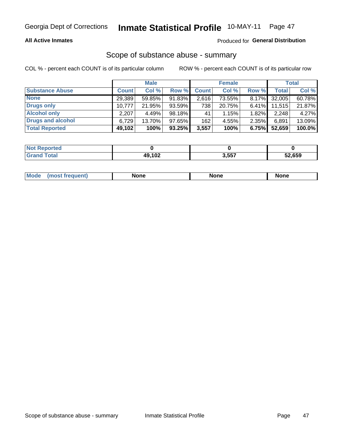## **All Active Inmates**

## Produced for General Distribution

## Scope of substance abuse - summary

COL % - percent each COUNT is of its particular column

|                        |              | <b>Male</b> |           |              | <b>Female</b> |          |        | <b>Total</b> |
|------------------------|--------------|-------------|-----------|--------------|---------------|----------|--------|--------------|
| <b>Substance Abuse</b> | <b>Count</b> | Col %       | Row %     | <b>Count</b> | Col %         | Row %    | Total  | Col %        |
| <b>None</b>            | 29,389       | 59.85%      | 91.83%    | 2,616        | 73.55%        | $8.17\%$ | 32,005 | 60.78%       |
| <b>Drugs only</b>      | 10,777       | 21.95%      | $93.59\%$ | 738          | 20.75%        | $6.41\%$ | 11,515 | 21.87%       |
| <b>Alcohol only</b>    | 2.207        | 4.49%       | 98.18%    | 41           | 1.15%         | $1.82\%$ | 2,248  | 4.27%        |
| Drugs and alcohol      | 6.729        | 13.70%      | 97.65%    | 162          | 4.55%         | 2.35%    | 6,891  | 13.09%       |
| <b>Total Reported</b>  | 49,102       | 100%        | $93.25\%$ | 3,557        | 100%          | 6.75%    | 52,659 | 100.0%       |

| <b>Not Reported</b> |        |       |        |
|---------------------|--------|-------|--------|
| <b>Grand Total</b>  | 49,102 | 3,557 | 52,659 |

|  | Mode<br>auenu | None | None | None |
|--|---------------|------|------|------|
|--|---------------|------|------|------|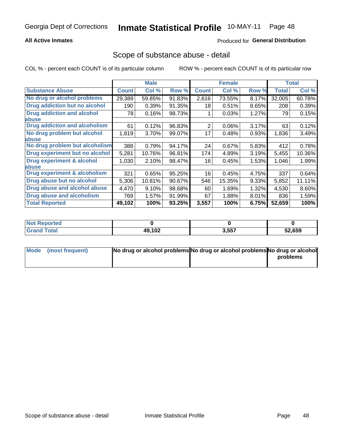## **All Active Inmates**

## **Produced for General Distribution**

## Scope of substance abuse - detail

COL % - percent each COUNT is of its particular column

|                                      |              | <b>Male</b> |        |              | <b>Female</b> |       |              | <b>Total</b> |
|--------------------------------------|--------------|-------------|--------|--------------|---------------|-------|--------------|--------------|
| <b>Substance Abuse</b>               | <b>Count</b> | Col %       | Row %  | <b>Count</b> | Col %         | Row % | <b>Total</b> | Col %        |
| No drug or alcohol problems          | 29,389       | 59.85%      | 91.83% | 2,616        | 73.55%        | 8.17% | 32,005       | 60.78%       |
| Drug addiction but no alcohol        | 190          | 0.39%       | 91.35% | 18           | 0.51%         | 8.65% | 208          | 0.39%        |
| <b>Drug addiction and alcohol</b>    | 78           | 0.16%       | 98.73% |              | 0.03%         | 1.27% | 79           | 0.15%        |
| <b>labuse</b>                        |              |             |        |              |               |       |              |              |
| <b>Drug addiction and alcoholism</b> | 61           | 0.12%       | 96.83% | 2            | 0.06%         | 3.17% | 63           | 0.12%        |
| No drug problem but alcohol          | 1,819        | 3.70%       | 99.07% | 17           | 0.48%         | 0.93% | 1,836        | 3.49%        |
| <b>labuse</b>                        |              |             |        |              |               |       |              |              |
| No drug problem but alcoholism       | 388          | 0.79%       | 94.17% | 24           | 0.67%         | 5.83% | 412          | 0.78%        |
| Drug experiment but no alcohol       | 5,281        | 10.76%      | 96.81% | 174          | 4.89%         | 3.19% | 5,455        | 10.36%       |
| <b>Drug experiment &amp; alcohol</b> | 1,030        | 2.10%       | 98.47% | 16           | 0.45%         | 1.53% | 1,046        | 1.99%        |
| <b>labuse</b>                        |              |             |        |              |               |       |              |              |
| Drug experiment & alcoholism         | 321          | 0.65%       | 95.25% | 16           | 0.45%         | 4.75% | 337          | 0.64%        |
| Drug abuse but no alcohol            | 5,306        | 10.81%      | 90.67% | 546          | 15.35%        | 9.33% | 5,852        | 11.11%       |
| Drug abuse and alcohol abuse         | 4,470        | 9.10%       | 98.68% | 60           | 1.69%         | 1.32% | 4,530        | 8.60%        |
| <b>Drug abuse and alcoholism</b>     | 769          | 1.57%       | 91.99% | 67           | 1.88%         | 8.01% | 836          | 1.59%        |
| <b>Total Reported</b>                | 49,102       | 100%        | 93.25% | 3,557        | 100%          | 6.75% | 52,659       | 100%         |

| orted<br>NOT |        |       |        |
|--------------|--------|-------|--------|
| <b>otal</b>  | 49,102 | 3,557 | 52,659 |

| Mode (most frequent) | No drug or alcohol problems No drug or alcohol problems No drug or alcohol |          |
|----------------------|----------------------------------------------------------------------------|----------|
|                      |                                                                            | problems |
|                      |                                                                            |          |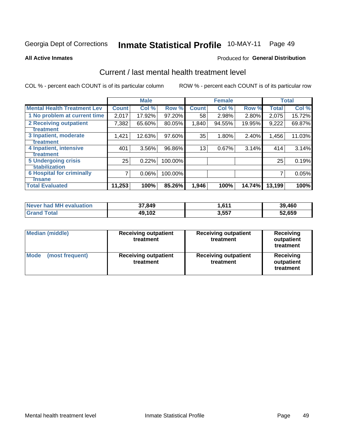# Inmate Statistical Profile 10-MAY-11 Page 49

**All Active Inmates** 

## **Produced for General Distribution**

## Current / last mental health treatment level

COL % - percent each COUNT is of its particular column

|                                    |              | <b>Male</b> |           |              | <b>Female</b> |        |              | <b>Total</b> |
|------------------------------------|--------------|-------------|-----------|--------------|---------------|--------|--------------|--------------|
| <b>Mental Health Treatment Lev</b> | <b>Count</b> | Col %       | Row %     | <b>Count</b> | Col %         | Row %  | <b>Total</b> | Col %        |
| 1 No problem at current time       | 2,017        | 17.92%      | $97.20\%$ | 58           | 2.98%         | 2.80%  | 2,075        | 15.72%       |
| 2 Receiving outpatient             | 7,382        | 65.60%      | 80.05%    | 1,840        | 94.55%        | 19.95% | 9,222        | 69.87%       |
| <b>Treatment</b>                   |              |             |           |              |               |        |              |              |
| 3 Inpatient, moderate              | 1,421        | 12.63%      | 97.60%    | 35           | 1.80%         | 2.40%  | 1,456        | 11.03%       |
| <b>Treatment</b>                   |              |             |           |              |               |        |              |              |
| 4 Inpatient, intensive             | 401          | 3.56%       | 96.86%    | 13           | 0.67%         | 3.14%  | 414          | 3.14%        |
| <b>Treatment</b>                   |              |             |           |              |               |        |              |              |
| <b>5 Undergoing crisis</b>         | 25           | 0.22%       | 100.00%   |              |               |        | 25           | 0.19%        |
| <b>stabilization</b>               |              |             |           |              |               |        |              |              |
| <b>6 Hospital for criminally</b>   | 7            | 0.06%       | 100.00%   |              |               |        |              | 0.05%        |
| <b>Tinsane</b>                     |              |             |           |              |               |        |              |              |
| <b>Total Evaluated</b>             | 11,253       | 100%        | 85.26%    | 1,946        | 100%          | 14.74% | 13,199       | 100%         |

| Never had MH evaluation | 37,849 | 611. ا | 39,460 |
|-------------------------|--------|--------|--------|
| <b>Grand Total</b>      | 49,102 | 3,557  | 52,659 |

| <b>Median (middle)</b>         | <b>Receiving outpatient</b><br>treatment | <b>Receiving outpatient</b><br>treatment | <b>Receiving</b><br>outpatient<br>treatment |
|--------------------------------|------------------------------------------|------------------------------------------|---------------------------------------------|
| <b>Mode</b><br>(most frequent) | <b>Receiving outpatient</b><br>treatment | <b>Receiving outpatient</b><br>treatment | Receiving<br>outpatient<br>treatment        |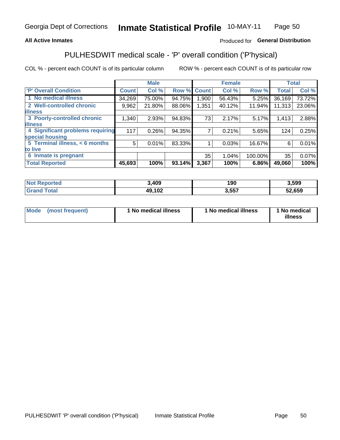## **All Active Inmates**

## Produced for General Distribution

## PULHESDWIT medical scale - 'P' overall condition ('P'hysical)

COL % - percent each COUNT is of its particular column

|                                  |              | <b>Male</b> |        |              | <b>Female</b> |         |              | <b>Total</b> |
|----------------------------------|--------------|-------------|--------|--------------|---------------|---------|--------------|--------------|
| 'P' Overall Condition            | <b>Count</b> | Col %       | Row %  | <b>Count</b> | Col %         | Row %   | <b>Total</b> | Col %        |
| 1 No medical illness             | 34,269       | 75.00%      | 94.75% | 1.900        | 56.43%        | 5.25%   | 36,169       | 73.72%       |
| 2 Well-controlled chronic        | 9,962        | 21.80%      | 88.06% | 1,351        | 40.12%        | 11.94%  | 11,313       | 23.06%       |
| <b>illness</b>                   |              |             |        |              |               |         |              |              |
| 3 Poorly-controlled chronic      | 1,340        | 2.93%       | 94.83% | 73           | 2.17%         | 5.17%   | 1,413        | 2.88%        |
| <b>illness</b>                   |              |             |        |              |               |         |              |              |
| 4 Significant problems requiring | 117          | 0.26%       | 94.35% |              | 0.21%         | 5.65%   | 124          | 0.25%        |
| special housing                  |              |             |        |              |               |         |              |              |
| 5 Terminal illness, < 6 months   | 5            | 0.01%       | 83.33% |              | 0.03%         | 16.67%  | 6            | 0.01%        |
| to live                          |              |             |        |              |               |         |              |              |
| 6 Inmate is pregnant             |              |             |        | 35           | 1.04%         | 100.00% | 35           | 0.07%        |
| <b>Total Reported</b>            | 45,693       | 100%        | 93.14% | 3,367        | 100%          | 6.86%   | 49,060       | 100%         |

| <b>rted</b> | .409       | 1 M M<br>ט ט | ,599   |
|-------------|------------|--------------|--------|
|             | ,102<br>40 | E E 7        | 52,659 |

| Mode | (most frequent) | 1 No medical illness | 1 No medical illness | 1 No medical<br>illness |
|------|-----------------|----------------------|----------------------|-------------------------|
|------|-----------------|----------------------|----------------------|-------------------------|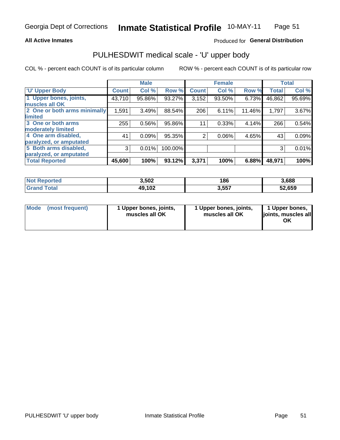### **All Active Inmates**

## Produced for General Distribution

# PULHESDWIT medical scale - 'U' upper body

COL % - percent each COUNT is of its particular column

|                              |              | <b>Male</b> |         |                | <b>Female</b> |        |              | <b>Total</b> |
|------------------------------|--------------|-------------|---------|----------------|---------------|--------|--------------|--------------|
| <b>U' Upper Body</b>         | <b>Count</b> | Col %       | Row %   | <b>Count</b>   | Col %         | Row %  | <b>Total</b> | Col %        |
| 1 Upper bones, joints,       | 43,710       | 95.86%      | 93.27%  | 3,152          | 93.50%        | 6.73%  | 46,862       | 95.69%       |
| muscles all OK               |              |             |         |                |               |        |              |              |
| 2 One or both arms minimally | 1,591        | 3.49%       | 88.54%  | 206            | 6.11%         | 11.46% | 1,797        | 3.67%        |
| limited                      |              |             |         |                |               |        |              |              |
| 3 One or both arms           | 255          | 0.56%       | 95.86%  | 11             | 0.33%         | 4.14%  | 266          | 0.54%        |
| <b>moderately limited</b>    |              |             |         |                |               |        |              |              |
| 4 One arm disabled,          | 41           | 0.09%       | 95.35%  | $\overline{2}$ | 0.06%         | 4.65%  | 43           | 0.09%        |
| paralyzed, or amputated      |              |             |         |                |               |        |              |              |
| 5 Both arms disabled,        | 3            | 0.01%       | 100.00% |                |               |        | 3            | 0.01%        |
| paralyzed, or amputated      |              |             |         |                |               |        |              |              |
| <b>Total Reported</b>        | 45,600       | 100%        | 93.12%  | 3,371          | 100%          | 6.88%  | 48,971       | 100%         |

| <b>Not Reported</b> | 3,502  | 186   | 3,688  |
|---------------------|--------|-------|--------|
| <b>Grand Total</b>  | 49,102 | 3,557 | 52,659 |

| <b>Mode</b> | (most frequent) | 1 Upper bones, joints,<br>muscles all OK | 1 Upper bones, joints,<br>muscles all OK | 1 Upper bones,<br>joints, muscles all<br>ΟK |
|-------------|-----------------|------------------------------------------|------------------------------------------|---------------------------------------------|
|-------------|-----------------|------------------------------------------|------------------------------------------|---------------------------------------------|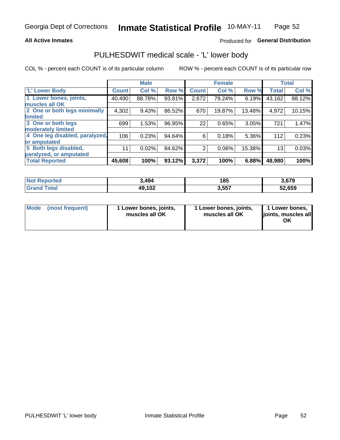### **All Active Inmates**

## Produced for General Distribution

## PULHESDWIT medical scale - 'L' lower body

COL % - percent each COUNT is of its particular column

|                                |              | <b>Male</b> |        |              | <b>Female</b> |        |              | <b>Total</b> |
|--------------------------------|--------------|-------------|--------|--------------|---------------|--------|--------------|--------------|
| 'L' Lower Body                 | <b>Count</b> | Col %       | Row %  | <b>Count</b> | Col %         | Row %  | <b>Total</b> | Col %        |
| 1 Lower bones, joints,         | 40,490       | 88.78%      | 93.81% | 2,672        | 79.24%        | 6.19%  | 43,162       | 88.12%       |
| muscles all OK                 |              |             |        |              |               |        |              |              |
| 2 One or both legs minimally   | 4,302        | 9.43%       | 86.52% | 670          | 19.87%        | 13.48% | 4,972        | 10.15%       |
| limited                        |              |             |        |              |               |        |              |              |
| 3 One or both legs             | 699          | 1.53%       | 96.95% | 22           | 0.65%         | 3.05%  | 721          | 1.47%        |
| moderately limited             |              |             |        |              |               |        |              |              |
| 4 One leg disabled, paralyzed, | 106          | 0.23%       | 94.64% | 6            | 0.18%         | 5.36%  | 112          | 0.23%        |
| or amputated                   |              |             |        |              |               |        |              |              |
| 5 Both legs disabled,          | 11           | 0.02%       | 84.62% | 2            | 0.06%         | 15.38% | 13           | 0.03%        |
| paralyzed, or amputated        |              |             |        |              |               |        |              |              |
| <b>Total Reported</b>          | 45,608       | 100%        | 93.12% | 3,372        | 100%          | 6.88%  | 48,980       | 100%         |

| <b>Not Reported</b>   | 3,494  | 185   | 3,679  |
|-----------------------|--------|-------|--------|
| <b>Total</b><br>Grand | 49,102 | 3,557 | 52,659 |

| Mode | (most frequent) | 1 Lower bones, joints,<br>muscles all OK | I Lower bones, joints,<br>muscles all OK | 1 Lower bones,<br>joints, muscles all<br>ΟK |
|------|-----------------|------------------------------------------|------------------------------------------|---------------------------------------------|
|------|-----------------|------------------------------------------|------------------------------------------|---------------------------------------------|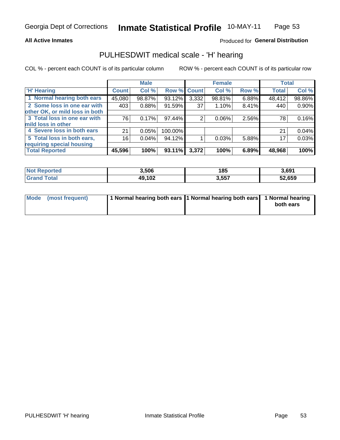### **All Active Inmates**

## Produced for General Distribution

# PULHESDWIT medical scale - 'H' hearing

COL % - percent each COUNT is of its particular column

|                                |              | <b>Male</b> |             |                 | <b>Female</b> |       | <b>Total</b> |        |
|--------------------------------|--------------|-------------|-------------|-----------------|---------------|-------|--------------|--------|
| <b>H' Hearing</b>              | <b>Count</b> | Col %       | Row % Count |                 | Col %         | Row % | <b>Total</b> | Col %  |
| 1 Normal hearing both ears     | 45,080       | 98.87%      | 93.12%      | 3,332           | 98.81%        | 6.88% | 48,412       | 98.86% |
| 2 Some loss in one ear with    | 403          | 0.88%       | 91.59%      | 37 <sup>1</sup> | 1.10%         | 8.41% | 440          | 0.90%  |
| other OK, or mild loss in both |              |             |             |                 |               |       |              |        |
| 3 Total loss in one ear with   | 76           | 0.17%       | 97.44%      | 2               | $0.06\%$      | 2.56% | 78           | 0.16%  |
| mild loss in other             |              |             |             |                 |               |       |              |        |
| 4 Severe loss in both ears     | 21           | 0.05%       | 100.00%     |                 |               |       | 21           | 0.04%  |
| 5 Total loss in both ears,     | 16           | 0.04%       | 94.12%      |                 | 0.03%         | 5.88% | 17           | 0.03%  |
| requiring special housing      |              |             |             |                 |               |       |              |        |
| <b>Total Reported</b>          | 45,596       | 100%        | 93.11%      | 3,372           | 100%          | 6.89% | 48,968       | 100%   |

| <b>Not Reno</b><br>ాorted | 3,506  | 185   | 3,691  |
|---------------------------|--------|-------|--------|
| Total                     | 49,102 | 3,557 | 52,659 |

| Mode (most frequent) | 1 Normal hearing both ears 11 Normal hearing both ears 1 Normal hearing | both ears |
|----------------------|-------------------------------------------------------------------------|-----------|
|                      |                                                                         |           |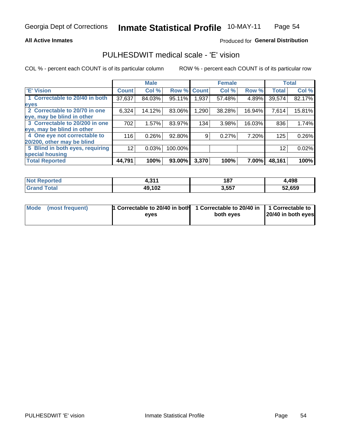### **All Active Inmates**

## Produced for General Distribution

## PULHESDWIT medical scale - 'E' vision

COL % - percent each COUNT is of its particular column

|                                 |              | <b>Male</b> |         |              | <b>Female</b> |        |              | <b>Total</b> |
|---------------------------------|--------------|-------------|---------|--------------|---------------|--------|--------------|--------------|
| 'E' Vision                      | <b>Count</b> | Col %       | Row %   | <b>Count</b> | Col %         | Row %  | <b>Total</b> | Col %        |
| 1 Correctable to 20/40 in both  | 37,637       | 84.03%      | 95.11%  | .937         | 57.48%        | 4.89%  | 39,574       | 82.17%       |
| eyes                            |              |             |         |              |               |        |              |              |
| 2 Correctable to 20/70 in one   | 6,324        | 14.12%      | 83.06%  | 1,290        | 38.28%        | 16.94% | 7,614        | 15.81%       |
| eye, may be blind in other      |              |             |         |              |               |        |              |              |
| 3 Correctable to 20/200 in one  | 702          | 1.57%       | 83.97%  | 134          | 3.98%         | 16.03% | 836          | 1.74%        |
| eye, may be blind in other      |              |             |         |              |               |        |              |              |
| 4 One eye not correctable to    | 116          | 0.26%       | 92.80%  | 9            | 0.27%         | 7.20%  | 125          | 0.26%        |
| 20/200, other may be blind      |              |             |         |              |               |        |              |              |
| 5 Blind in both eyes, requiring | 12           | 0.03%       | 100.00% |              |               |        | 12           | 0.02%        |
| special housing                 |              |             |         |              |               |        |              |              |
| <b>Total Reported</b>           | 44,791       | 100%        | 93.00%  | 3,370        | 100%          | 7.00%  | 48,161       | 100%         |

| <b>Not Reported</b> | 0.11<br>- - | 187   | 4,498  |
|---------------------|-------------|-------|--------|
| <b>Total</b>        | 49,102      | 3,557 | 52,659 |

| Mode (most frequent) | 1 Correctable to 20/40 in both<br>eves | 1 Correctable to 20/40 in   1 Correctable to  <br>both eves | 20/40 in both eyes |
|----------------------|----------------------------------------|-------------------------------------------------------------|--------------------|
|                      |                                        |                                                             |                    |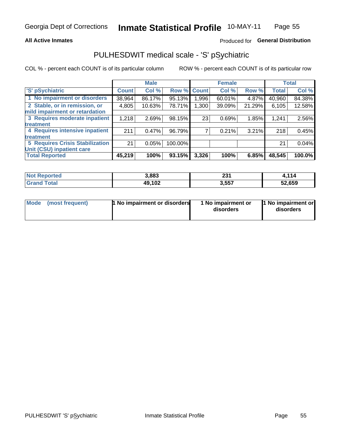### **All Active Inmates**

## Produced for General Distribution

## PULHESDWIT medical scale - 'S' pSychiatric

COL % - percent each COUNT is of its particular column

|                                        |              | <b>Male</b> |         |              | <b>Female</b> |        |              | <b>Total</b> |
|----------------------------------------|--------------|-------------|---------|--------------|---------------|--------|--------------|--------------|
| 'S' pSychiatric                        | <b>Count</b> | Col %       | Row %   | <b>Count</b> | Col %         | Row %  | <b>Total</b> | Col %        |
| 1 No impairment or disorders           | 38,964       | 86.17%      | 95.13%  | .996         | 60.01%        | 4.87%  | 40,960       | 84.38%       |
| 2 Stable, or in remission, or          | 4,805        | 10.63%      | 78.71%  | 1,300        | 39.09%        | 21.29% | 6,105        | 12.58%       |
| mild impairment or retardation         |              |             |         |              |               |        |              |              |
| 3 Requires moderate inpatient          | 1,218        | 2.69%       | 98.15%  | 23           | 0.69%         | 1.85%  | 1,241        | 2.56%        |
| treatment                              |              |             |         |              |               |        |              |              |
| 4 Requires intensive inpatient         | 211          | 0.47%       | 96.79%  |              | 0.21%         | 3.21%  | 218          | 0.45%        |
| treatment                              |              |             |         |              |               |        |              |              |
| <b>5 Requires Crisis Stabilization</b> | 21           | 0.05%       | 100.00% |              |               |        | 21           | 0.04%        |
| Unit (CSU) inpatient care              |              |             |         |              |               |        |              |              |
| <b>Total Reported</b>                  | 45,219       | 100%        | 93.15%  | 3,326        | 100%          | 6.85%  | 48,545       | 100.0%       |

| <b>Not Reported</b> | 3,883  | 221<br>ا د∠ | 1,114  |
|---------------------|--------|-------------|--------|
| Total<br>Grand      | 49,102 | 3,557       | 52,659 |

| Mode            | <b>1 No impairment or disorders</b> | 1 No impairment or | 1 No impairment or |
|-----------------|-------------------------------------|--------------------|--------------------|
| (most frequent) |                                     | disorders          | disorders          |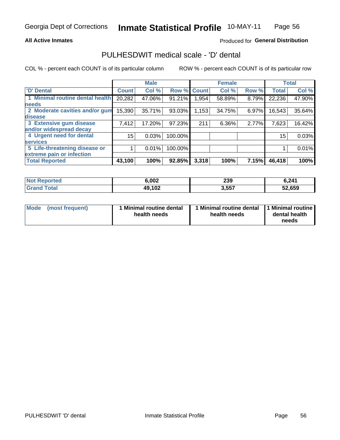### **All Active Inmates**

## Produced for General Distribution

## PULHESDWIT medical scale - 'D' dental

COL % - percent each COUNT is of its particular column

|                                 |              | <b>Male</b> |         |              | <b>Female</b> |       |              | <b>Total</b> |
|---------------------------------|--------------|-------------|---------|--------------|---------------|-------|--------------|--------------|
| <b>D'</b> Dental                | <b>Count</b> | Col %       | Row %   | <b>Count</b> | Col %         | Row % | <b>Total</b> | Col %        |
| 1 Minimal routine dental health | 20,282       | 47.06%      | 91.21%  | .954         | 58.89%        | 8.79% | 22,236       | 47.90%       |
| <b>needs</b>                    |              |             |         |              |               |       |              |              |
| 2 Moderate cavities and/or gum  | 15,390       | 35.71%      | 93.03%  | 1,153        | 34.75%        | 6.97% | 16,543       | 35.64%       |
| disease                         |              |             |         |              |               |       |              |              |
| 3 Extensive gum disease         | 7,412        | 17.20%      | 97.23%  | 211          | 6.36%         | 2.77% | 7,623        | 16.42%       |
| and/or widespread decay         |              |             |         |              |               |       |              |              |
| 4 Urgent need for dental        | 15           | 0.03%       | 100.00% |              |               |       | 15           | 0.03%        |
| <b>services</b>                 |              |             |         |              |               |       |              |              |
| 5 Life-threatening disease or   |              | 0.01%       | 100.00% |              |               |       |              | 0.01%        |
| extreme pain or infection       |              |             |         |              |               |       |              |              |
| <b>Total Reported</b>           | 43,100       | 100%        | 92.85%  | 3,318        | 100%          | 7.15% | 46,418       | 100%         |

| <b>Not Reported</b> | 6,002  | 239   | 6,241  |
|---------------------|--------|-------|--------|
| <b>Grand Total</b>  | 49,102 | 3,557 | 52,659 |

| 1 Minimal routine dental<br>Mode<br>(most frequent)<br>health needs | 1 Minimal routine dental 1 Minimal routine<br>health needs | dental health<br>needs |
|---------------------------------------------------------------------|------------------------------------------------------------|------------------------|
|---------------------------------------------------------------------|------------------------------------------------------------|------------------------|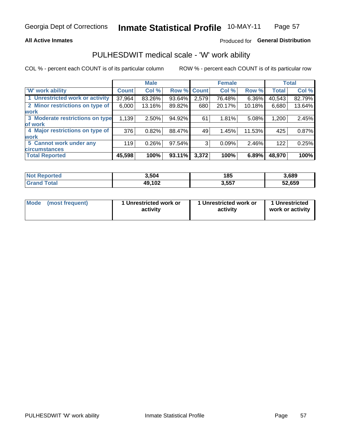### **All Active Inmates**

## Produced for General Distribution

## PULHESDWIT medical scale - 'W' work ability

COL % - percent each COUNT is of its particular column

|                                 |                    | <b>Male</b> |        |             | <b>Female</b> |          |              | <b>Total</b> |
|---------------------------------|--------------------|-------------|--------|-------------|---------------|----------|--------------|--------------|
| <b>W' work ability</b>          | Count <sup>1</sup> | Col %       |        | Row % Count | Col %         | Row %    | <b>Total</b> | Col %        |
| 1 Unrestricted work or activity | 37,964             | 83.26%      | 93.64% | 2,579       | 76.48%        | $6.36\%$ | 40,543       | 82.79%       |
| 2 Minor restrictions on type of | 6,000              | 13.16%      | 89.82% | 680         | 20.17%        | 10.18%   | 6,680        | 13.64%       |
| <b>work</b>                     |                    |             |        |             |               |          |              |              |
| 3 Moderate restrictions on type | 1,139              | $2.50\%$    | 94.92% | 61          | 1.81%         | 5.08%    | 1,200        | 2.45%        |
| lof work                        |                    |             |        |             |               |          |              |              |
| 4 Major restrictions on type of | 376                | 0.82%       | 88.47% | 49          | 1.45%         | 11.53%   | 425          | 0.87%        |
| <b>work</b>                     |                    |             |        |             |               |          |              |              |
| 5 Cannot work under any         | 119                | 0.26%       | 97.54% | 3           | 0.09%         | 2.46%    | 122          | 0.25%        |
| <b>circumstances</b>            |                    |             |        |             |               |          |              |              |
| <b>Total Reported</b>           | 45,598             | 100%        | 93.11% | 3,372       | 100%          | 6.89%    | 48,970       | 100%         |

| <b>Not Reported</b>          | 3,504  | 185   | 3,689  |
|------------------------------|--------|-------|--------|
| <b>Total</b><br><b>Grand</b> | 49,102 | 3,557 | 52,659 |

| Mode            | 1 Unrestricted work or | 1 Unrestricted work or | 1 Unrestricted   |
|-----------------|------------------------|------------------------|------------------|
| (most frequent) | activity               | activity               | work or activity |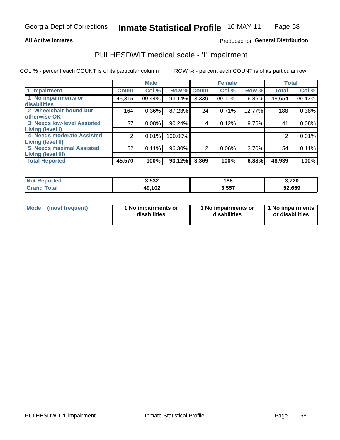### **All Active Inmates**

## Produced for General Distribution

## PULHESDWIT medical scale - 'I' impairment

COL % - percent each COUNT is of its particular column

|                                                              |              | <b>Male</b> |         |             | <b>Female</b> |        |              | <b>Total</b> |
|--------------------------------------------------------------|--------------|-------------|---------|-------------|---------------|--------|--------------|--------------|
| <b>T' Impairment</b>                                         | <b>Count</b> | Col %       |         | Row % Count | Col %         | Row %  | <b>Total</b> | Col %        |
| 1 No impairments or<br>disabilities                          | 45,315       | 99.44%      | 93.14%  | 3,339       | 99.11%        | 6.86%  | 48,654       | 99.42%       |
| 2 Wheelchair-bound but<br>otherwise OK                       | 164          | 0.36%       | 87.23%  | 24          | 0.71%         | 12.77% | 188          | 0.38%        |
| <b>3 Needs low-level Assisted</b><br>Living (level I)        | 37           | 0.08%       | 90.24%  | 4           | 0.12%         | 9.76%  | 41           | 0.08%        |
| 4 Needs moderate Assisted<br><b>Living (level II)</b>        |              | 0.01%       | 100.00% |             |               |        |              | 0.01%        |
| <b>5 Needs maximal Assisted</b><br><b>Living (level III)</b> | 52           | 0.11%       | 96.30%  | 2           | 0.06%         | 3.70%  | 54           | 0.11%        |
| <b>Total Reported</b>                                        | 45,570       | 100%        | 93.12%  | 3,369       | 100%          | 6.88%  | 48,939       | 100%         |

| <b>Not</b><br>Reported | 3,532  | 188   | 3,720  |
|------------------------|--------|-------|--------|
| Total                  | 49,102 | 3,557 | 52,659 |

| Mode | (most frequent) | 1 No impairments or<br>disabilities | 1 No impairments or<br>disabilities | 1 No impairments<br>or disabilities |
|------|-----------------|-------------------------------------|-------------------------------------|-------------------------------------|
|------|-----------------|-------------------------------------|-------------------------------------|-------------------------------------|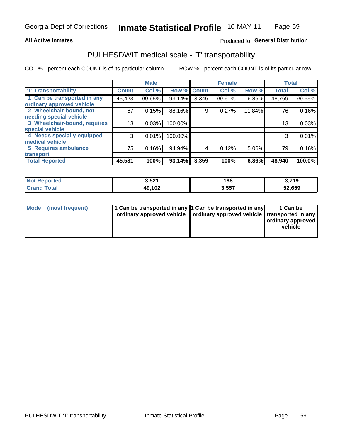### **All Active Inmates**

## Produced fo General Distribution

## PULHESDWIT medical scale - 'T' transportability

COL % - percent each COUNT is of its particular column

|                              |                    | <b>Male</b> |         |              | <b>Female</b> |        |              | <b>Total</b> |
|------------------------------|--------------------|-------------|---------|--------------|---------------|--------|--------------|--------------|
| <b>T' Transportability</b>   | Count <sup>!</sup> | Col %       | Row %   | <b>Count</b> | Col %         | Row %  | <b>Total</b> | Col %        |
| 1 Can be transported in any  | 45,423             | 99.65%      | 93.14%  | 3,346        | 99.61%        | 6.86%  | 48,769       | 99.65%       |
| ordinary approved vehicle    |                    |             |         |              |               |        |              |              |
| 2 Wheelchair-bound, not      | 67                 | 0.15%       | 88.16%  | 9            | 0.27%         | 11.84% | 76           | 0.16%        |
| needing special vehicle      |                    |             |         |              |               |        |              |              |
| 3 Wheelchair-bound, requires | 13 <sub>1</sub>    | 0.03%       | 100.00% |              |               |        | 13           | 0.03%        |
| special vehicle              |                    |             |         |              |               |        |              |              |
| 4 Needs specially-equipped   | 3                  | 0.01%       | 100.00% |              |               |        |              | 0.01%        |
| medical vehicle              |                    |             |         |              |               |        |              |              |
| <b>5 Requires ambulance</b>  | 75                 | 0.16%       | 94.94%  | 4            | 0.12%         | 5.06%  | 79           | 0.16%        |
| transport                    |                    |             |         |              |               |        |              |              |
| <b>Total Reported</b>        | 45,581             | 100%        | 93.14%  | 3,359        | 100%          | 6.86%  | 48,940       | 100.0%       |

| <b>eported</b><br>ומש | 3,521  | 198         | 3,719  |
|-----------------------|--------|-------------|--------|
| 'otal                 | 49,102 | 2557<br>טט. | 52,659 |

|  | Mode (most frequent) | 1 Can be transported in any 1 Can be transported in any<br>ordinary approved vehicle   ordinary approved vehicle   transported in any |  | 1 Can be<br>  ordinary approved  <br>vehicle |
|--|----------------------|---------------------------------------------------------------------------------------------------------------------------------------|--|----------------------------------------------|
|--|----------------------|---------------------------------------------------------------------------------------------------------------------------------------|--|----------------------------------------------|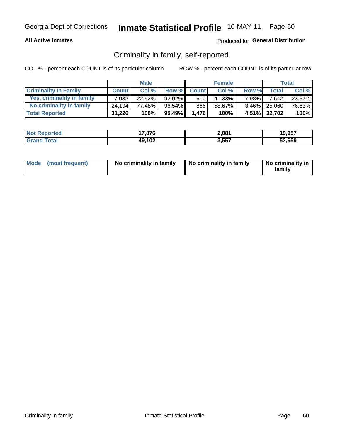## **All Active Inmates**

## Produced for General Distribution

## Criminality in family, self-reported

COL % - percent each COUNT is of its particular column

|                              |              | <b>Male</b> |           |              | <b>Female</b> |       |              | Total   |
|------------------------------|--------------|-------------|-----------|--------------|---------------|-------|--------------|---------|
| <b>Criminality In Family</b> | <b>Count</b> | Col%        | Row %     | <b>Count</b> | Col %         | Row % | <b>Total</b> | Col %   |
| Yes, criminality in family   | 7.032        | $22.52\%$   | $92.02\%$ | 610          | 41.33%        | 7.98% | 7,642        | 23.37%  |
| No criminality in family     | 24.194       | 77.48%      | $96.54\%$ | 866          | 58.67%        |       | 3.46% 25,060 | 76.63%  |
| <b>Total Reported</b>        | 31,226       | 100%        | 95.49%    | 1.476        | 100%          |       | 4.51% 32,702 | $100\%$ |

| <b>Not Reported</b> | 7,876<br>. – | 2,081 | 19,957 |
|---------------------|--------------|-------|--------|
| ⊺otai               | 49,102       | 3,557 | 52,659 |

|  | Mode (most frequent) | No criminality in family | No criminality in family | No criminality in<br>family |
|--|----------------------|--------------------------|--------------------------|-----------------------------|
|--|----------------------|--------------------------|--------------------------|-----------------------------|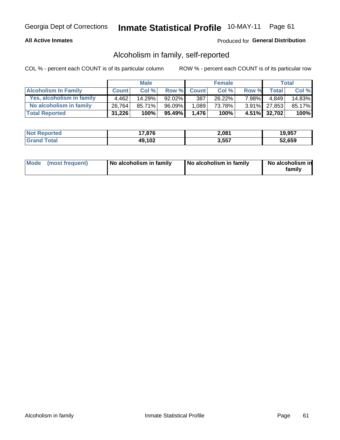## **All Active Inmates**

## Produced for General Distribution

## Alcoholism in family, self-reported

COL % - percent each COUNT is of its particular column

|                             |              | <b>Male</b> |              |              | <b>Female</b> |       |              | Total   |
|-----------------------------|--------------|-------------|--------------|--------------|---------------|-------|--------------|---------|
| <b>Alcoholism In Family</b> | <b>Count</b> | Col %       | <b>Row %</b> | <b>Count</b> | Col %         | Row % | <b>Total</b> | Col %   |
| Yes, alcoholism in family   | 4.462        | 14.29%      | $92.02\%$    | 387          | 26.22%        | 7.98% | 4.849        | 14.83%  |
| No alcoholism in family     | 26,764       | 85.71%      | 96.09%       | 1.089        | 73.78%        |       | 3.91% 27,853 | 85.17%  |
| <b>Total Reported</b>       | 31,226       | 100%        | 95.49%       | 1.476        | 100%          |       | 4.51% 32,702 | $100\%$ |

| <b>Not Reported</b> | 7.876<br>. – | 2,081 | 19.957 |
|---------------------|--------------|-------|--------|
| l Grand T<br>Гоtаl  | 49,102       | 3,557 | 52,659 |

|  | Mode (most frequent) | No alcoholism in family | No alcoholism in family | No alcoholism in<br>family |
|--|----------------------|-------------------------|-------------------------|----------------------------|
|--|----------------------|-------------------------|-------------------------|----------------------------|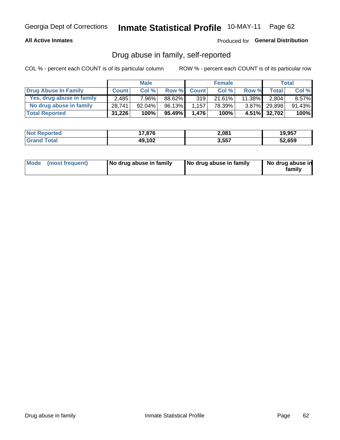## **All Active Inmates**

## Produced for General Distribution

## Drug abuse in family, self-reported

COL % - percent each COUNT is of its particular column

|                           |              | <b>Male</b> |        |              | <b>Female</b> |           |              | Total    |
|---------------------------|--------------|-------------|--------|--------------|---------------|-----------|--------------|----------|
| Drug Abuse In Family      | <b>Count</b> | Col%        | Row %  | <b>Count</b> | Col %         | Row %     | <b>Total</b> | Col %    |
| Yes, drug abuse in family | 2,485        | 7.96%       | 88.62% | 319          | 21.61%        | $11.38\%$ | 2,804        | $8.57\%$ |
| No drug abuse in family   | 28,741,      | $92.04\%$   | 96.13% | 1.157        | 78.39%        |           | 3.87% 29,898 | 91.43%   |
| <b>Total Reported</b>     | 31,226       | 100%        | 95.49% | 1,476        | 100%          |           | 4.51% 32,702 | $100\%$  |

| <b>Not Reported</b> | 7,876<br>. – | 2,081 | 19,957 |
|---------------------|--------------|-------|--------|
| ⊺otai               | 49,102       | 3,557 | 52,659 |

|  | Mode (most frequent) | No drug abuse in family | No drug abuse in family | No drug abuse in<br>familv |
|--|----------------------|-------------------------|-------------------------|----------------------------|
|--|----------------------|-------------------------|-------------------------|----------------------------|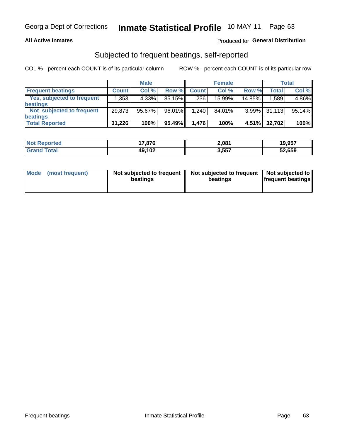## **All Active Inmates**

## Produced for General Distribution

## Subjected to frequent beatings, self-reported

COL % - percent each COUNT is of its particular column

|                            |              | <b>Male</b> |           |              | <b>Female</b> |          |        | Total  |
|----------------------------|--------------|-------------|-----------|--------------|---------------|----------|--------|--------|
| <b>Frequent beatings</b>   | <b>Count</b> | Col %       | Row %     | <b>Count</b> | Col %         | Row %    | Total  | Col%   |
| Yes, subjected to frequent | 1.3531       | 4.33%       | 85.15%    | 236          | $15.99\%$     | 14.85%   | .589   | 4.86%  |
| beatings                   |              |             |           |              |               |          |        |        |
| Not subjected to frequent  | 29,873       | 95.67%      | 96.01%    | 1,240        | 84.01%        | $3.99\%$ | 31.113 | 95.14% |
| beatings                   |              |             |           |              |               |          |        |        |
| <b>Total Reported</b>      | 31,226       | 100%        | $95.49\%$ | 1,476        | 100%          | 4.51%    | 32,702 | 100%   |

| <b>Not</b><br>Reported | .876   | 2,081 | 19,957 |
|------------------------|--------|-------|--------|
| 'Grand Total           | 49,102 | 3,557 | 52,659 |

| Mode (most frequent) | Not subjected to frequent<br>beatings | Not subjected to frequent<br>beatings | Not subjected to<br><b>frequent beatings</b> |
|----------------------|---------------------------------------|---------------------------------------|----------------------------------------------|
|                      |                                       |                                       |                                              |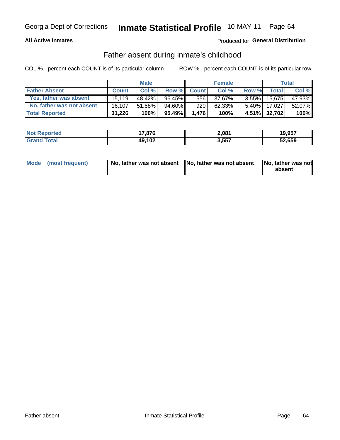## **All Active Inmates**

## **Produced for General Distribution**

## Father absent during inmate's childhood

COL % - percent each COUNT is of its particular column

|                           |              | <b>Male</b> |           |              | <b>Female</b> |          |              | Total  |
|---------------------------|--------------|-------------|-----------|--------------|---------------|----------|--------------|--------|
| <b>Father Absent</b>      | <b>Count</b> | Col%        | Row %     | <b>Count</b> | Col %         | Row %    | <b>Total</b> | Col %  |
| Yes, father was absent    | 15.119       | 48.42%      | $96.45\%$ | 556          | 37.67%        | $3.55\%$ | 15.675       | 47.93% |
| No, father was not absent | 16.107       | 51.58%      | 94.60%    | 920          | 62.33%        | $5.40\%$ | 17.027       | 52.07% |
| <b>Total Reported</b>     | 31,226       | 100%        | 95.49%    | 1.476        | 100%          |          | 4.51% 32,702 | 100%   |

| <b>Not Reported</b> | 7,876<br>. . | 2,081 | 19,957 |
|---------------------|--------------|-------|--------|
| <b>Srand Total</b>  | 49,102       | 3,557 | 52,659 |

|  | Mode (most frequent) |  | No, father was not absent No, father was not absent No, father was not | absent |
|--|----------------------|--|------------------------------------------------------------------------|--------|
|--|----------------------|--|------------------------------------------------------------------------|--------|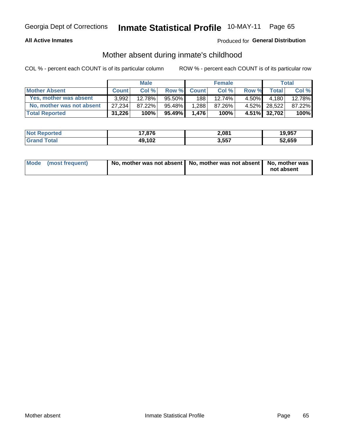## **All Active Inmates**

## **Produced for General Distribution**

## Mother absent during inmate's childhood

COL % - percent each COUNT is of its particular column

|                           |              | <b>Male</b> |           |              | <b>Female</b> |          |              | Total  |
|---------------------------|--------------|-------------|-----------|--------------|---------------|----------|--------------|--------|
| <b>Mother Absent</b>      | <b>Count</b> | Col%        | Row %     | <b>Count</b> | Col %         | Row %    | <b>Total</b> | Col %  |
| Yes, mother was absent    | 3.992        | 12.78%      | $95.50\%$ | 188          | 12.74%        | $4.50\%$ | 4.180        | 12.78% |
| No, mother was not absent | 27.234       | 87.22%      | 95.48%    | 1,288        | 87.26%        | $4.52\%$ | 28,522       | 87.22% |
| <b>Total Reported</b>     | 31,226       | 100%        | 95.49%    | 1.476        | 100%          |          | 4.51% 32,702 | 100%   |

| <b>Not Reported</b> | 7.876<br>. – | 2,081 | 19.957 |
|---------------------|--------------|-------|--------|
| l Grand T<br>Гоtаl  | 49,102       | 3,557 | 52,659 |

| Mode (most frequent) | No, mother was not absent   No, mother was not absent   No, mother was | not absent |
|----------------------|------------------------------------------------------------------------|------------|
|                      |                                                                        |            |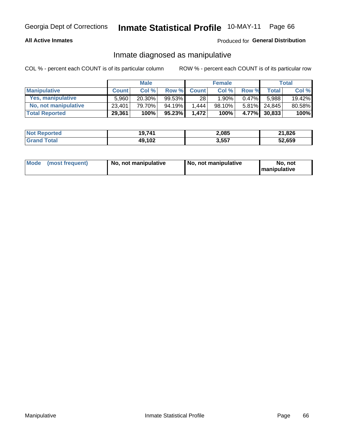## **All Active Inmates**

## Produced for General Distribution

## Inmate diagnosed as manipulative

COL % - percent each COUNT is of its particular column

|                       |              | <b>Male</b> |           |              | <b>Female</b> |          |              | Total  |
|-----------------------|--------------|-------------|-----------|--------------|---------------|----------|--------------|--------|
| <b>Manipulative</b>   | <b>Count</b> | Col %       | Row %     | <b>Count</b> | Col%          | Row %    | <b>Total</b> | Col %  |
| Yes, manipulative     | 5.960        | 20.30%      | 99.53%    | 28           | $1.90\%$      | $0.47\%$ | 5.988        | 19.42% |
| No, not manipulative  | 23,401       | 79.70%      | 94.19%    | .444         | 98.10%        | $5.81\%$ | 24.845       | 80.58% |
| <b>Total Reported</b> | 29,361       | 100%        | $95.23\%$ | 1.472        | 100%          |          | 4.77% 30.833 | 100%   |

| <b>Not Reported</b>   | 19,741 | 2,085 | ∠1,826 |
|-----------------------|--------|-------|--------|
| <b>Grand</b><br>™otai | 49,102 | 3,557 | 52,659 |

|  | Mode (most frequent) | No, not manipulative | No, not manipulative | No. not<br><b>I</b> manipulative |
|--|----------------------|----------------------|----------------------|----------------------------------|
|--|----------------------|----------------------|----------------------|----------------------------------|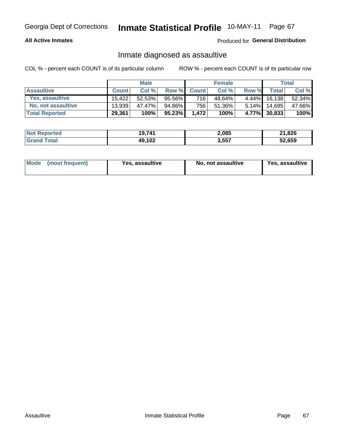## **All Active Inmates**

## Produced for General Distribution

## Inmate diagnosed as assaultive

COL % - percent each COUNT is of its particular column

|                       |              | <b>Male</b> |        |              | <b>Female</b> |          |              | Total  |
|-----------------------|--------------|-------------|--------|--------------|---------------|----------|--------------|--------|
| <b>Assaultive</b>     | <b>Count</b> | Col%        | Row %  | <b>Count</b> | Col %         | Row %    | <b>Total</b> | Col %  |
| Yes, assaultive       | 15.422       | 52.53%      | 95.56% | 716          | 48.64%        | $4.44\%$ | 16,138       | 52.34% |
| No, not assaultive    | 13.939       | 47.47%      | 94.86% | 756          | 51.36%        | $5.14\%$ | 14,695       | 47.66% |
| <b>Total Reported</b> | 29,361       | 100%        | 95.23% | 1.472        | 100%          |          | 4.77% 30,833 | 100%   |

| <b>Not Reported</b> | 19,741 | 2,085 | 21,826 |
|---------------------|--------|-------|--------|
| Tota                | 49,102 | 3,557 | 52,659 |

| Mode (most frequent) | Yes, assaultive | No, not assaultive | <b>Yes, assaultive</b> |
|----------------------|-----------------|--------------------|------------------------|
|----------------------|-----------------|--------------------|------------------------|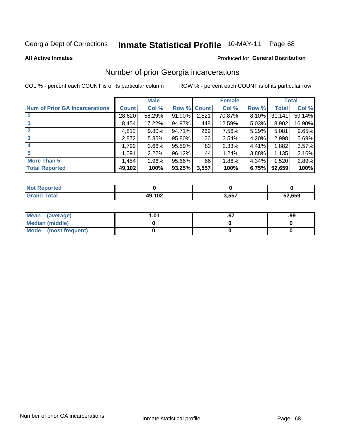#### Inmate Statistical Profile 10-MAY-11 Page 68

**All Active Inmates** 

## **Produced for General Distribution**

## Number of prior Georgia incarcerations

COL % - percent each COUNT is of its particular column

|                                       |              | <b>Male</b> |             |       | <b>Female</b> |       |        | <b>Total</b> |
|---------------------------------------|--------------|-------------|-------------|-------|---------------|-------|--------|--------------|
| <b>Num of Prior GA Incarcerations</b> | <b>Count</b> | Col %       | Row % Count |       | Col %         | Row % | Total  | Col %        |
|                                       | 28,620       | 58.29%      | 91.90%      | 2,521 | 70.87%        | 8.10% | 31,141 | 59.14%       |
|                                       | 8,454        | 17.22%      | 94.97%      | 448   | 12.59%        | 5.03% | 8,902  | 16.90%       |
| $\overline{2}$                        | 4,812        | 9.80%       | 94.71%      | 269   | 7.56%         | 5.29% | 5,081  | 9.65%        |
| 3                                     | 2,872        | 5.85%       | 95.80%      | 126   | 3.54%         | 4.20% | 2,998  | 5.69%        |
| $\boldsymbol{4}$                      | 1,799        | 3.66%       | 95.59%      | 83    | 2.33%         | 4.41% | 1,882  | 3.57%        |
| 5                                     | 1,091        | 2.22%       | 96.12%      | 44    | 1.24%         | 3.88% | 1,135  | 2.16%        |
| <b>More Than 5</b>                    | 1,454        | 2.96%       | 95.66%      | 66    | 1.86%         | 4.34% | 1,520  | 2.89%        |
| <b>Total Reported</b>                 | 49,102       | 100%        | 93.25%      | 3,557 | 100%          | 6.75% | 52,659 | 100%         |

| orted<br>NO. |        |       |                  |
|--------------|--------|-------|------------------|
| 'ota.<br>Gr  | 49,102 | 3,557 | EN CEN<br>ວ∠,໐ວຯ |

| Mean (average)       | l.01 | .99 |
|----------------------|------|-----|
| Median (middle)      |      |     |
| Mode (most frequent) |      |     |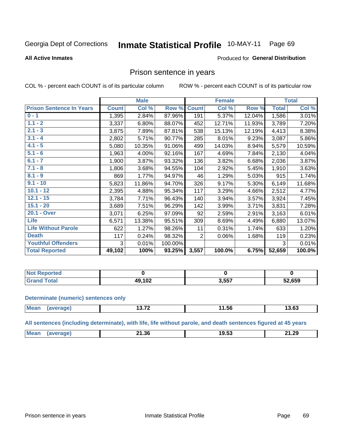#### Inmate Statistical Profile 10-MAY-11 Page 69

#### **All Active Inmates**

#### Produced for General Distribution

## Prison sentence in years

COL % - percent each COUNT is of its particular column

ROW % - percent each COUNT is of its particular row

|                                 |              | <b>Male</b> |         |              | <b>Female</b> |        |              | <b>Total</b> |
|---------------------------------|--------------|-------------|---------|--------------|---------------|--------|--------------|--------------|
| <b>Prison Sentence In Years</b> | <b>Count</b> | Col %       | Row %   | <b>Count</b> | Col %         | Row %  | <b>Total</b> | Col %        |
| $0 - 1$                         | 1,395        | 2.84%       | 87.96%  | 191          | 5.37%         | 12.04% | 1,586        | 3.01%        |
| $1.1 - 2$                       | 3,337        | 6.80%       | 88.07%  | 452          | 12.71%        | 11.93% | 3,789        | 7.20%        |
| $2.1 - 3$                       | 3,875        | 7.89%       | 87.81%  | 538          | 15.13%        | 12.19% | 4,413        | 8.38%        |
| $3.1 - 4$                       | 2,802        | 5.71%       | 90.77%  | 285          | 8.01%         | 9.23%  | 3,087        | 5.86%        |
| $4.1 - 5$                       | 5,080        | 10.35%      | 91.06%  | 499          | 14.03%        | 8.94%  | 5,579        | 10.59%       |
| $5.1 - 6$                       | 1,963        | 4.00%       | 92.16%  | 167          | 4.69%         | 7.84%  | 2,130        | 4.04%        |
| $6.1 - 7$                       | 1,900        | 3.87%       | 93.32%  | 136          | 3.82%         | 6.68%  | 2,036        | 3.87%        |
| $7.1 - 8$                       | 1,806        | 3.68%       | 94.55%  | 104          | 2.92%         | 5.45%  | 1,910        | 3.63%        |
| $8.1 - 9$                       | 869          | 1.77%       | 94.97%  | 46           | 1.29%         | 5.03%  | 915          | 1.74%        |
| $9.1 - 10$                      | 5,823        | 11.86%      | 94.70%  | 326          | 9.17%         | 5.30%  | 6,149        | 11.68%       |
| $10.1 - 12$                     | 2,395        | 4.88%       | 95.34%  | 117          | 3.29%         | 4.66%  | 2,512        | 4.77%        |
| $12.1 - 15$                     | 3,784        | 7.71%       | 96.43%  | 140          | 3.94%         | 3.57%  | 3,924        | 7.45%        |
| $15.1 - 20$                     | 3,689        | 7.51%       | 96.29%  | 142          | 3.99%         | 3.71%  | 3,831        | 7.28%        |
| 20.1 - Over                     | 3,071        | 6.25%       | 97.09%  | 92           | 2.59%         | 2.91%  | 3,163        | 6.01%        |
| <b>Life</b>                     | 6,571        | 13.38%      | 95.51%  | 309          | 8.69%         | 4.49%  | 6,880        | 13.07%       |
| <b>Life Without Parole</b>      | 622          | 1.27%       | 98.26%  | 11           | 0.31%         | 1.74%  | 633          | 1.20%        |
| <b>Death</b>                    | 117          | 0.24%       | 98.32%  | 2            | 0.06%         | 1.68%  | 119          | 0.23%        |
| <b>Youthful Offenders</b>       | 3            | 0.01%       | 100.00% |              |               |        | 3            | 0.01%        |
| <b>Total Reported</b>           | 49,102       | 100%        | 93.25%  | 3,557        | 100.0%        | 6.75%  | 52,659       | 100.0%       |

| <b>Not Reported</b> |           |       |        |
|---------------------|-----------|-------|--------|
| <b>c</b> otal       | 102<br>49 | 3,557 | 52,659 |

#### **Determinate (numeric) sentences only**

| Mear<br>1119.011 | יי ה<br>$13.1 -$ | 1.5t<br>__ | $\sim$ 00<br>ט.טי |
|------------------|------------------|------------|-------------------|
|                  |                  |            |                   |

All sentences (including determinate), with life, life without parole, and death sentences figured at 45 years

| Me | .1.36<br>. .<br>___ | 18 PC<br>. ש | 21.20<br>— III J |
|----|---------------------|--------------|------------------|
|    |                     |              |                  |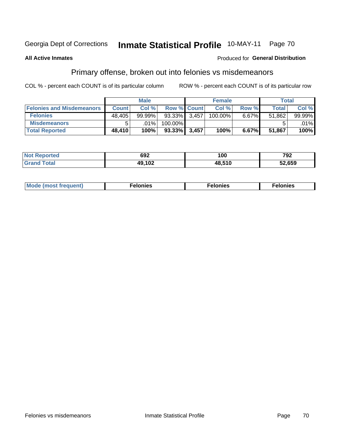#### Inmate Statistical Profile 10-MAY-11 Page 70

### **All Active Inmates**

### Produced for General Distribution

## Primary offense, broken out into felonies vs misdemeanors

COL % - percent each COUNT is of its particular column

|                                  |              | <b>Male</b> |              |       | <b>Female</b> |       | Total        |         |
|----------------------------------|--------------|-------------|--------------|-------|---------------|-------|--------------|---------|
| <b>Felonies and Misdemeanors</b> | <b>Count</b> | Col%        | Row % Count  |       | Col%          | Row % | <b>Total</b> | Col %   |
| <b>Felonies</b>                  | 48,405       | 99.99%      | 93.33%       | 3.457 | 100.00%       | 6.67% | 51.862       | 99.99%  |
| <b>Misdemeanors</b>              | 5            | .01%        | $100.00\%$   |       |               |       |              | $.01\%$ |
| <b>Total Reported</b>            | 48,410       | 100%        | 93.33% 3,457 |       | 100%          | 6.67% | 51,867       | 100%    |

| <b>Not</b><br>eported | 692                        | ,<br>. vu     | 792    |
|-----------------------|----------------------------|---------------|--------|
| Grar<br><b>otal</b>   | 10.10 <sup>-</sup><br>1 V. | <b>AR 510</b> | 52,659 |

| M      | .    | nes | onies |
|--------|------|-----|-------|
| nuenti | ____ | .   | .     |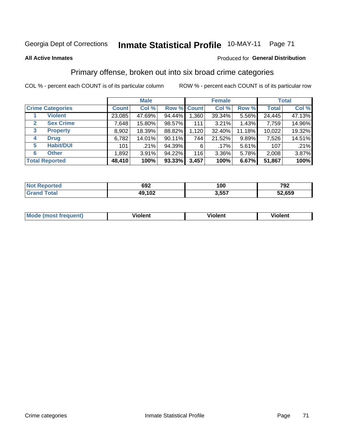#### **Inmate Statistical Profile 10-MAY-11** Page 71

#### **All Active Inmates**

### Produced for General Distribution

## Primary offense, broken out into six broad crime categories

COL % - percent each COUNT is of its particular column

|                                 |              | <b>Male</b> |           |             | <b>Female</b> |        |              | <b>Total</b> |
|---------------------------------|--------------|-------------|-----------|-------------|---------------|--------|--------------|--------------|
| <b>Crime Categories</b>         | <b>Count</b> | Col %       |           | Row % Count | Col %         | Row %  | <b>Total</b> | Col %        |
| <b>Violent</b>                  | 23,085       | 47.69%      | 94.44%    | 1,360       | 39.34%        | 5.56%  | 24,445       | 47.13%       |
| <b>Sex Crime</b><br>2           | 7,648        | 15.80%      | 98.57%    | 111         | 3.21%         | 1.43%  | 7,759        | 14.96%       |
| $\mathbf{3}$<br><b>Property</b> | 8,902        | 18.39%      | 88.82%    | 1,120       | 32.40%        | 11.18% | 10,022       | 19.32%       |
| <b>Drug</b><br>4                | 6,782        | 14.01%      | 90.11%    | 744         | 21.52%        | 9.89%  | 7,526        | 14.51%       |
| <b>Habit/DUI</b><br>5           | 101          | .21%        | 94.39%    | 6           | .17%          | 5.61%  | 107          | .21%         |
| <b>Other</b><br>6               | 1,892        | 3.91%       | 94.22%    | 116         | 3.36%         | 5.78%  | 2,008        | 3.87%        |
| <b>Total Reported</b>           | 48,410       | 100%        | $93.33\%$ | 3,457       | 100%          | 6.67%  | 51,867       | 100%         |

| тес<br>N | 692 | 100           | 792  |
|----------|-----|---------------|------|
|          | 102 | 2 557         | .659 |
|          | 49. | $\cdot$ , JJ. | JZ   |

| Mc | .<br>$\cdots$ | VIOIEM |
|----|---------------|--------|
|    |               |        |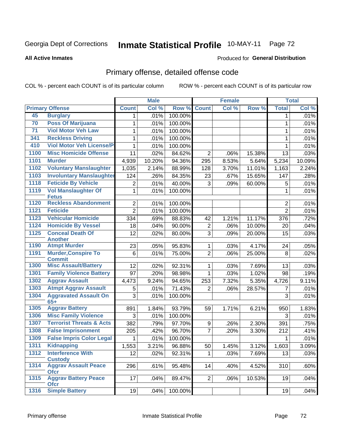#### **Inmate Statistical Profile 10-MAY-11** Page 72

#### **All Active Inmates**

### Produced for General Distribution

## Primary offense, detailed offense code

COL % - percent each COUNT is of its particular column

|      |                                             |                | <b>Male</b> |         |                | <b>Female</b> |        |                | <b>Total</b> |
|------|---------------------------------------------|----------------|-------------|---------|----------------|---------------|--------|----------------|--------------|
|      | <b>Primary Offense</b>                      | <b>Count</b>   | Col %       | Row %   | <b>Count</b>   | Col %         | Row %  | <b>Total</b>   | Col %        |
| 45   | <b>Burglary</b>                             | 1.             | .01%        | 100.00% |                |               |        | 1.             | .01%         |
| 70   | <b>Poss Of Marijuana</b>                    | 1              | .01%        | 100.00% |                |               |        | $\mathbf{1}$   | .01%         |
| 71   | <b>Viol Motor Veh Law</b>                   | 1              | .01%        | 100.00% |                |               |        | 1              | .01%         |
| 341  | <b>Reckless Driving</b>                     | 1              | .01%        | 100.00% |                |               |        | 1              | .01%         |
| 410  | <b>Viol Motor Veh License/P</b>             | 1              | .01%        | 100.00% |                |               |        | 1              | .01%         |
| 1100 | <b>Misc Homicide Offense</b>                | 11             | .02%        | 84.62%  | $\overline{2}$ | .06%          | 15.38% | 13             | .03%         |
| 1101 | <b>Murder</b>                               | 4,939          | 10.20%      | 94.36%  | 295            | 8.53%         | 5.64%  | 5,234          | 10.09%       |
| 1102 | <b>Voluntary Manslaughter</b>               | 1,035          | 2.14%       | 88.99%  | 128            | 3.70%         | 11.01% | 1,163          | 2.24%        |
| 1103 | <b>Involuntary Manslaughter</b>             | 124            | .26%        | 84.35%  | 23             | .67%          | 15.65% | 147            | .28%         |
| 1118 | <b>Feticide By Vehicle</b>                  | $\overline{2}$ | .01%        | 40.00%  | 3              | .09%          | 60.00% | 5              | .01%         |
| 1119 | <b>Vol Manslaughter Of</b><br><b>Fetus</b>  | $\mathbf{1}$   | .01%        | 100.00% |                |               |        | $\mathbf{1}$   | .01%         |
| 1120 | <b>Reckless Abandonment</b>                 | $\overline{2}$ | .01%        | 100.00% |                |               |        | $\overline{2}$ | .01%         |
| 1121 | <b>Feticide</b>                             | $\overline{2}$ | .01%        | 100.00% |                |               |        | $\overline{2}$ | .01%         |
| 1123 | <b>Vehicular Homicide</b>                   | 334            | .69%        | 88.83%  | 42             | 1.21%         | 11.17% | 376            | .72%         |
| 1124 | <b>Homicide By Vessel</b>                   | 18             | .04%        | 90.00%  | $\overline{2}$ | .06%          | 10.00% | 20             | .04%         |
| 1125 | <b>Conceal Death Of</b>                     | 12             | .02%        | 80.00%  | 3              | .09%          | 20.00% | 15             | .03%         |
|      | <b>Another</b>                              |                |             |         |                |               |        |                |              |
| 1190 | <b>Atmpt Murder</b>                         | 23             | .05%        | 95.83%  | 1              | .03%          | 4.17%  | 24             | .05%         |
| 1191 | <b>Murder, Conspire To</b><br><b>Commit</b> | 6              | .01%        | 75.00%  | $\overline{2}$ | .06%          | 25.00% | 8              | .02%         |
| 1300 | <b>Misc Assault/Battery</b>                 | 12             | .02%        | 92.31%  | 1              | .03%          | 7.69%  | 13             | .03%         |
| 1301 | <b>Family Violence Battery</b>              | 97             | .20%        | 98.98%  | $\mathbf{1}$   | .03%          | 1.02%  | 98             | .19%         |
| 1302 | <b>Aggrav Assault</b>                       | 4,473          | 9.24%       | 94.65%  | 253            | 7.32%         | 5.35%  | 4,726          | 9.11%        |
| 1303 | <b>Atmpt Aggrav Assault</b>                 | 5              | .01%        | 71.43%  | $\overline{2}$ | .06%          | 28.57% | $\overline{7}$ | .01%         |
| 1304 | <b>Aggravated Assault On</b>                | 3              | .01%        | 100.00% |                |               |        | 3              | .01%         |
|      | $65+$                                       |                |             |         |                |               |        |                |              |
| 1305 | <b>Aggrav Battery</b>                       | 891            | 1.84%       | 93.79%  | 59             | 1.71%         | 6.21%  | 950            | 1.83%        |
| 1306 | <b>Misc Family Violence</b>                 | 3              | .01%        | 100.00% |                |               |        | 3              | .01%         |
| 1307 | <b>Terrorist Threats &amp; Acts</b>         | 382            | .79%        | 97.70%  | 9              | .26%          | 2.30%  | 391            | .75%         |
| 1308 | <b>False Imprisonment</b>                   | 205            | .42%        | 96.70%  | $\overline{7}$ | .20%          | 3.30%  | 212            | .41%         |
| 1309 | <b>False Impris Color Legal</b>             | 1              | .01%        | 100.00% |                |               |        |                | .01%         |
|      | 1311 Kidnapping                             | 1,553          | 3.21%       | 96.88%  | 50             | 1.45%         | 3.12%  | 1,603          | 3.09%        |
| 1312 | <b>Interference With</b><br><b>Custody</b>  | 12             | .02%        | 92.31%  | 1              | .03%          | 7.69%  | 13             | .03%         |
| 1314 | <b>Aggrav Assault Peace</b><br><b>Ofcr</b>  | 296            | .61%        | 95.48%  | 14             | .40%          | 4.52%  | 310            | .60%         |
| 1315 | <b>Aggrav Battery Peace</b><br><b>Ofcr</b>  | 17             | .04%        | 89.47%  | 2 <sup>1</sup> | .06%          | 10.53% | 19             | .04%         |
| 1316 | <b>Simple Battery</b>                       | 19             | .04%        | 100.00% |                |               |        | 19             | .04%         |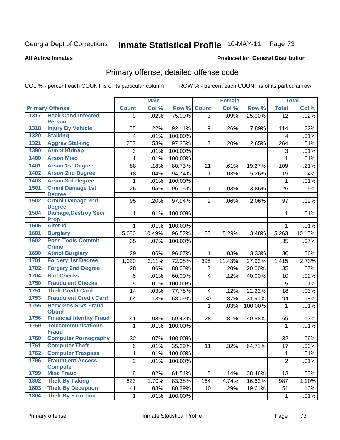#### **Inmate Statistical Profile 10-MAY-11** Page 73

#### **All Active Inmates**

### Produced for General Distribution

## Primary offense, detailed offense code

COL % - percent each COUNT is of its particular column

|      |                                             |                | <b>Male</b> |         |                | <b>Female</b> |         |                 | <b>Total</b> |
|------|---------------------------------------------|----------------|-------------|---------|----------------|---------------|---------|-----------------|--------------|
|      | <b>Primary Offense</b>                      | <b>Count</b>   | Col %       | Row %   | <b>Count</b>   | Col %         | Row %   | <b>Total</b>    | Col %        |
| 1317 | <b>Reck Cond Infected</b>                   | 9              | .02%        | 75.00%  | $\overline{3}$ | .09%          | 25.00%  | $\overline{12}$ | .02%         |
| 1318 | <b>Person</b>                               |                |             |         |                |               |         |                 |              |
|      | <b>Injury By Vehicle</b>                    | 105            | .22%        | 92.11%  | 9              | .26%          | 7.89%   | 114             | .22%         |
| 1320 | <b>Stalking</b>                             | 4              | .01%        | 100.00% |                |               |         | $\overline{4}$  | .01%         |
| 1321 | <b>Aggrav Stalking</b>                      | 257            | .53%        | 97.35%  | $\overline{7}$ | .20%          | 2.65%   | 264             | .51%         |
| 1390 | <b>Atmpt Kidnap</b>                         | 3              | .01%        | 100.00% |                |               |         | 3               | .01%         |
| 1400 | <b>Arson Misc</b>                           | 1              | .01%        | 100.00% |                |               |         | 1               | .01%         |
| 1401 | <b>Arson 1st Degree</b>                     | 88             | .18%        | 80.73%  | 21             | .61%          | 19.27%  | 109             | .21%         |
| 1402 | <b>Arson 2nd Degree</b>                     | 18             | .04%        | 94.74%  | $\mathbf{1}$   | .03%          | 5.26%   | 19              | .04%         |
| 1403 | <b>Arson 3rd Degree</b>                     | $\mathbf{1}$   | .01%        | 100.00% |                |               |         | 1               | .01%         |
| 1501 | <b>Crmnl Damage 1st</b><br><b>Degree</b>    | 25             | .05%        | 96.15%  | 1              | .03%          | 3.85%   | 26              | .05%         |
| 1502 | <b>Crmnl Damage 2nd</b><br><b>Degree</b>    | 95             | .20%        | 97.94%  | $\overline{2}$ | .06%          | 2.06%   | 97              | .19%         |
| 1504 | <b>Damage, Destroy Secr</b><br><b>Prop</b>  | $\mathbf{1}$   | .01%        | 100.00% |                |               |         | 1               | .01%         |
| 1506 | <b>Alter Id</b>                             | $\mathbf{1}$   | .01%        | 100.00% |                |               |         | 1               | .01%         |
| 1601 | <b>Burglary</b>                             | 5,080          | 10.49%      | 96.52%  | 183            | 5.29%         | 3.48%   | 5,263           | 10.15%       |
| 1602 | <b>Poss Tools Commit</b><br><b>Crime</b>    | 35             | .07%        | 100.00% |                |               |         | 35              | .07%         |
| 1690 | <b>Atmpt Burglary</b>                       | 29             | .06%        | 96.67%  | 1              | .03%          | 3.33%   | 30              | .06%         |
| 1701 | <b>Forgery 1st Degree</b>                   | 1,020          | 2.11%       | 72.08%  | 395            | 11.43%        | 27.92%  | 1,415           | 2.73%        |
| 1702 | <b>Forgery 2nd Degree</b>                   | 28             | .06%        | 80.00%  | 7              | .20%          | 20.00%  | 35              | .07%         |
| 1704 | <b>Bad Checks</b>                           | 6              | .01%        | 60.00%  | 4              | .12%          | 40.00%  | 10              | .02%         |
| 1750 | <b>Fraudulent Checks</b>                    | 5              | .01%        | 100.00% |                |               |         | 5               | .01%         |
| 1751 | <b>Theft Credit Card</b>                    | 14             | .03%        | 77.78%  | 4              | .12%          | 22.22%  | 18              | .03%         |
| 1753 | <b>Fraudulent Credit Card</b>               | 64             | .13%        | 68.09%  | 30             | .87%          | 31.91%  | 94              | .18%         |
| 1755 | <b>Recv Gds, Srvs Fraud</b><br><b>Obtnd</b> |                |             |         | 1              | .03%          | 100.00% | 1               | .01%         |
| 1756 | <b>Financial Identity Fraud</b>             | 41             | .08%        | 59.42%  | 28             | .81%          | 40.58%  | 69              | .13%         |
| 1759 | <b>Telecommunications</b><br><b>Fraud</b>   | $\mathbf{1}$   | .01%        | 100.00% |                |               |         | $\mathbf{1}$    | .01%         |
| 1760 | <b>Computer Pornography</b>                 | 32             | .07%        | 100.00% |                |               |         | 32              | .06%         |
| 1761 | <b>Computer Theft</b>                       | $\overline{6}$ | .01%        | 35.29%  | 11             | .32%          | 64.71%  | $17\,$          | .03%         |
| 1762 | <b>Computer Trespass</b>                    | $\mathbf{1}$   | .01%        | 100.00% |                |               |         | $\mathbf 1$     | .01%         |
| 1796 | <b>Fraudulent Access</b>                    | $\overline{2}$ | .01%        | 100.00% |                |               |         | $\overline{2}$  | .01%         |
|      | <b>Compute</b>                              |                |             |         |                |               |         |                 |              |
| 1799 | <b>Misc Fraud</b>                           | 8              | .02%        | 61.54%  | 5              | .14%          | 38.46%  | 13              | .03%         |
| 1802 | <b>Theft By Taking</b>                      | 823            | 1.70%       | 83.38%  | 164            | 4.74%         | 16.62%  | 987             | 1.90%        |
| 1803 | <b>Theft By Deception</b>                   | 41             | .08%        | 80.39%  | 10             | .29%          | 19.61%  | 51              | .10%         |
| 1804 | <b>Theft By Extortion</b>                   | $\mathbf{1}$   | .01%        | 100.00% |                |               |         | $\mathbf{1}$    | .01%         |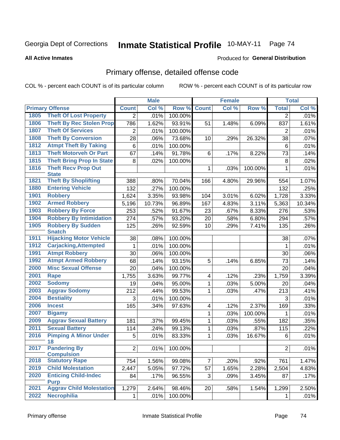#### **Inmate Statistical Profile 10-MAY-11** Page 74

#### **All Active Inmates**

### Produced for General Distribution

## Primary offense, detailed offense code

COL % - percent each COUNT is of its particular column

|      |                                            | <b>Male</b>    |        | <b>Female</b> |                         |       | <b>Total</b> |                |        |
|------|--------------------------------------------|----------------|--------|---------------|-------------------------|-------|--------------|----------------|--------|
|      | <b>Primary Offense</b>                     | <b>Count</b>   | Col %  | Row %         | <b>Count</b>            | Col % | Row %        | <b>Total</b>   | Col %  |
| 1805 | <b>Theft Of Lost Property</b>              | 2 <sup>1</sup> | .01%   | 100.00%       |                         |       |              | $\overline{2}$ | .01%   |
| 1806 | <b>Theft By Rec Stolen Prop</b>            | 786            | 1.62%  | 93.91%        | 51                      | 1.48% | 6.09%        | 837            | 1.61%  |
| 1807 | <b>Theft Of Services</b>                   | $\overline{2}$ | .01%   | 100.00%       |                         |       |              | $\overline{2}$ | .01%   |
| 1808 | <b>Theft By Conversion</b>                 | 28             | .06%   | 73.68%        | 10                      | .29%  | 26.32%       | 38             | .07%   |
| 1812 | <b>Atmpt Theft By Taking</b>               | 6              | .01%   | 100.00%       |                         |       |              | 6              | .01%   |
| 1813 | <b>Theft Motorveh Or Part</b>              | 67             | .14%   | 91.78%        | 6                       | .17%  | 8.22%        | 73             | .14%   |
| 1815 | <b>Theft Bring Prop In State</b>           | 8              | .02%   | 100.00%       |                         |       |              | 8              | .02%   |
| 1816 | <b>Theft Recv Prop Out</b><br><b>State</b> |                |        |               | 1                       | .03%  | 100.00%      | $\mathbf{1}$   | .01%   |
| 1821 | <b>Theft By Shoplifting</b>                | 388            | .80%   | 70.04%        | 166                     | 4.80% | 29.96%       | 554            | 1.07%  |
| 1880 | <b>Entering Vehicle</b>                    | 132            | .27%   | 100.00%       |                         |       |              | 132            | .25%   |
| 1901 | <b>Robbery</b>                             | 1,624          | 3.35%  | 93.98%        | 104                     | 3.01% | 6.02%        | 1,728          | 3.33%  |
| 1902 | <b>Armed Robbery</b>                       | 5,196          | 10.73% | 96.89%        | 167                     | 4.83% | 3.11%        | 5,363          | 10.34% |
| 1903 | <b>Robbery By Force</b>                    | 253            | .52%   | 91.67%        | 23                      | .67%  | 8.33%        | 276            | .53%   |
| 1904 | <b>Robbery By Intimidation</b>             | 274            | .57%   | 93.20%        | 20                      | .58%  | 6.80%        | 294            | .57%   |
| 1905 | <b>Robbery By Sudden</b><br><b>Snatch</b>  | 125            | .26%   | 92.59%        | 10                      | .29%  | 7.41%        | 135            | .26%   |
| 1911 | <b>Hijacking Motor Vehicle</b>             | 38             | .08%   | 100.00%       |                         |       |              | 38             | .07%   |
| 1912 | <b>Carjacking, Attempted</b>               | 1              | .01%   | 100.00%       |                         |       |              | $\mathbf{1}$   | .01%   |
| 1991 | <b>Atmpt Robbery</b>                       | 30             | .06%   | 100.00%       |                         |       |              | 30             | .06%   |
| 1992 | <b>Atmpt Armed Robbery</b>                 | 68             | .14%   | 93.15%        | 5                       | .14%  | 6.85%        | 73             | .14%   |
| 2000 | <b>Misc Sexual Offense</b>                 | 20             | .04%   | 100.00%       |                         |       |              | 20             | .04%   |
| 2001 | <b>Rape</b>                                | 1,755          | 3.63%  | 99.77%        | $\overline{\mathbf{4}}$ | .12%  | .23%         | 1,759          | 3.39%  |
| 2002 | <b>Sodomy</b>                              | 19             | .04%   | 95.00%        | 1                       | .03%  | 5.00%        | 20             | .04%   |
| 2003 | <b>Aggrav Sodomy</b>                       | 212            | .44%   | 99.53%        | 1                       | .03%  | .47%         | 213            | .41%   |
| 2004 | <b>Bestiality</b>                          | 3              | .01%   | 100.00%       |                         |       |              | 3              | .01%   |
| 2006 | <b>Incest</b>                              | 165            | .34%   | 97.63%        | $\overline{\mathbf{4}}$ | .12%  | 2.37%        | 169            | .33%   |
| 2007 | <b>Bigamy</b>                              |                |        |               | 1                       | .03%  | 100.00%      | $\mathbf{1}$   | .01%   |
| 2009 | <b>Aggrav Sexual Battery</b>               | 181            | .37%   | 99.45%        | 1                       | .03%  | .55%         | 182            | .35%   |
| 2011 | <b>Sexual Battery</b>                      | 114            | .24%   | 99.13%        | 1                       | .03%  | .87%         | 115            | .22%   |
| 2016 | <b>Pimping A Minor Under</b><br>18         | 5              | .01%   | 83.33%        | $\mathbf{1}$            | .03%  | 16.67%       | 6              | .01%   |
| 2017 | <b>Pandering By</b><br><b>Compulsion</b>   | $\overline{2}$ | .01%   | 100.00%       |                         |       |              | $\overline{2}$ | .01%   |
| 2018 | <b>Statutory Rape</b>                      | 754            | 1.56%  | 99.08%        | $\overline{7}$          | .20%  | .92%         | 761            | 1.47%  |
| 2019 | <b>Child Molestation</b>                   | 2,447          | 5.05%  | 97.72%        | 57                      | 1.65% | 2.28%        | 2,504          | 4.83%  |
| 2020 | <b>Enticing Child-Indec</b>                | 84             | .17%   | 96.55%        | 3                       | .09%  | 3.45%        | 87             | .17%   |
|      | <b>Purp</b>                                |                |        |               |                         |       |              |                |        |
| 2021 | <b>Aggrav Child Molestation</b>            | 1,279          | 2.64%  | 98.46%        | 20                      | .58%  | 1.54%        | 1,299          | 2.50%  |
| 2022 | <b>Necrophilia</b>                         | $\mathbf 1$    | .01%   | 100.00%       |                         |       |              | 1              | .01%   |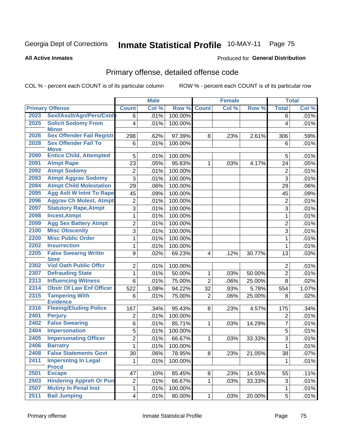#### **Inmate Statistical Profile 10-MAY-11** Page 75

#### **All Active Inmates**

### Produced for General Distribution

## Primary offense, detailed offense code

COL % - percent each COUNT is of its particular column

|      |                                            |                         | <b>Male</b> |         |                         | <b>Female</b> |        |                | <b>Total</b> |
|------|--------------------------------------------|-------------------------|-------------|---------|-------------------------|---------------|--------|----------------|--------------|
|      | <b>Primary Offense</b>                     | <b>Count</b>            | Col %       | Row %   | <b>Count</b>            | Col %         | Row %  | <b>Total</b>   | Col %        |
| 2023 | Sexl/Asslt/Agn/Pers/Cstdy                  | 6                       | .01%        | 100.00% |                         |               |        | 6              | .01%         |
| 2025 | <b>Solicit Sodomy From</b><br><b>Minor</b> | $\overline{\mathbf{4}}$ | .01%        | 100.00% |                         |               |        | 4              | .01%         |
| 2026 | <b>Sex Offender Fail Registr</b>           | 298                     | .62%        | 97.39%  | 8                       | .23%          | 2.61%  | 306            | .59%         |
| 2028 | <b>Sex Offender Fail To</b><br><b>Move</b> | 6                       | .01%        | 100.00% |                         |               |        | 6              | .01%         |
| 2090 | <b>Entice Child, Attempted</b>             | 5                       | .01%        | 100.00% |                         |               |        | 5              | .01%         |
| 2091 | <b>Atmpt Rape</b>                          | 23                      | .05%        | 95.83%  | 1                       | .03%          | 4.17%  | 24             | .05%         |
| 2092 | <b>Atmpt Sodomy</b>                        | $\overline{c}$          | .01%        | 100.00% |                         |               |        | $\overline{2}$ | .01%         |
| 2093 | <b>Atmpt Aggrav Sodomy</b>                 | $\overline{3}$          | .01%        | 100.00% |                         |               |        | 3              | .01%         |
| 2094 | <b>Atmpt Child Molestation</b>             | 29                      | .06%        | 100.00% |                         |               |        | 29             | $.06\%$      |
| 2095 | <b>Agg Aslt W Intnt To Rape</b>            | 45                      | .09%        | 100.00% |                         |               |        | 45             | .09%         |
| 2096 | <b>Aggrav Ch Molest, Atmpt</b>             | 2                       | .01%        | 100.00% |                         |               |        | $\overline{2}$ | .01%         |
| 2097 | <b>Statutory Rape, Atmpt</b>               | $\overline{3}$          | .01%        | 100.00% |                         |               |        | 3              | .01%         |
| 2098 | <b>Incest, Atmpt</b>                       | $\mathbf 1$             | .01%        | 100.00% |                         |               |        | 1              | .01%         |
| 2099 | <b>Agg Sex Battery Atmpt</b>               | $\overline{2}$          | .01%        | 100.00% |                         |               |        | $\overline{2}$ | .01%         |
| 2100 | <b>Misc Obscenity</b>                      | $\overline{3}$          | .01%        | 100.00% |                         |               |        | $\overline{3}$ | .01%         |
| 2200 | <b>Misc Public Order</b>                   | $\mathbf{1}$            | .01%        | 100.00% |                         |               |        | 1              | .01%         |
| 2202 | <b>Insurrection</b>                        | 1                       | .01%        | 100.00% |                         |               |        | 1              | .01%         |
| 2205 | <b>False Swearng Writtn</b><br><b>Stmt</b> | 9                       | .02%        | 69.23%  | $\overline{\mathbf{4}}$ | .12%          | 30.77% | 13             | .03%         |
| 2302 | <b>Viol Oath Public Offcr</b>              | $\overline{2}$          | .01%        | 100.00% |                         |               |        | $\overline{2}$ | .01%         |
| 2307 | <b>Defrauding State</b>                    | $\mathbf{1}$            | .01%        | 50.00%  | 1                       | .03%          | 50.00% | $\overline{2}$ | .01%         |
| 2313 | <b>Influencing Witness</b>                 | 6                       | .01%        | 75.00%  | $\overline{2}$          | .06%          | 25.00% | 8              | .02%         |
| 2314 | <b>Obstr Of Law Enf Officer</b>            | 522                     | 1.08%       | 94.22%  | 32                      | .93%          | 5.78%  | 554            | 1.07%        |
| 2315 | <b>Tampering With</b><br><b>Evidence</b>   | 6                       | .01%        | 75.00%  | $\overline{2}$          | .06%          | 25.00% | 8              | .02%         |
| 2316 | <b>Fleeing/Eluding Police</b>              | 167                     | .34%        | 95.43%  | 8                       | .23%          | 4.57%  | 175            | .34%         |
| 2401 | <b>Perjury</b>                             | 2                       | .01%        | 100.00% |                         |               |        | $\overline{2}$ | .01%         |
| 2402 | <b>False Swearing</b>                      | $\overline{6}$          | .01%        | 85.71%  | 1                       | .03%          | 14.29% | $\overline{7}$ | .01%         |
| 2404 | <b>Impersonation</b>                       | 5                       | .01%        | 100.00% |                         |               |        | 5              | .01%         |
| 2405 | <b>Impersonating Officer</b>               | $\overline{2}$          | .01%        | 66.67%  | 1                       | .03%          | 33.33% | 3              | .01%         |
| 2406 | <b>Barratry</b>                            | $\overline{1}$          | .01%        | 100.00% |                         |               |        | $\mathbf 1$    | .01%         |
| 2408 | <b>False Statements Govt</b>               | 30                      | .06%        | 78.95%  | 8                       | .23%          | 21.05% | 38             | .07%         |
| 2411 | <b>Impersntng In Legal</b><br><b>Procd</b> | 1                       | .01%        | 100.00% |                         |               |        | $\mathbf 1$    | .01%         |
| 2501 | <b>Escape</b>                              | 47                      | .10%        | 85.45%  | 8                       | .23%          | 14.55% | 55             | .11%         |
| 2503 | <b>Hindering Appreh Or Pun</b>             | $\overline{\mathbf{c}}$ | .01%        | 66.67%  | 1                       | .03%          | 33.33% | 3              | .01%         |
| 2507 | <b>Mutiny In Penal Inst</b>                | $\mathbf 1$             | .01%        | 100.00% |                         |               |        | 1              | .01%         |
| 2511 | <b>Bail Jumping</b>                        | 4                       | .01%        | 80.00%  | $\mathbf 1$             | .03%          | 20.00% | 5              | .01%         |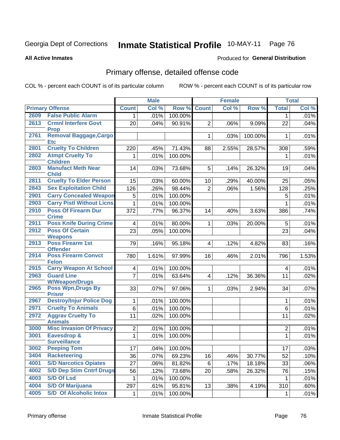#### **Inmate Statistical Profile 10-MAY-11** Page 76

#### **All Active Inmates**

### Produced for General Distribution

## Primary offense, detailed offense code

COL % - percent each COUNT is of its particular column

|      |                                               |                         | <b>Male</b> |         |                | <b>Female</b> |         |                         | <b>Total</b> |
|------|-----------------------------------------------|-------------------------|-------------|---------|----------------|---------------|---------|-------------------------|--------------|
|      | <b>Primary Offense</b>                        | <b>Count</b>            | Col %       | Row %   | <b>Count</b>   | Col %         | Row %   | <b>Total</b>            | Col %        |
| 2609 | <b>False Public Alarm</b>                     | 1 <sup>1</sup>          | .01%        | 100.00% |                |               |         | $\mathbf{1}$            | .01%         |
| 2613 | <b>Crmnl Interfere Govt</b><br><b>Prop</b>    | 20                      | .04%        | 90.91%  | $\overline{2}$ | .06%          | 9.09%   | 22                      | .04%         |
| 2761 | <b>Removal Baggage, Cargo</b><br><b>Etc</b>   |                         |             |         | $\mathbf{1}$   | .03%          | 100.00% | 1                       | $.01\%$      |
| 2801 | <b>Cruelty To Children</b>                    | 220                     | .45%        | 71.43%  | 88             | 2.55%         | 28.57%  | 308                     | .59%         |
| 2802 | <b>Atmpt Cruelty To</b><br><b>Children</b>    | 1                       | .01%        | 100.00% |                |               |         | 1                       | .01%         |
| 2803 | <b>Manufact Meth Near</b><br><b>Child</b>     | 14                      | .03%        | 73.68%  | 5              | .14%          | 26.32%  | 19                      | .04%         |
| 2811 | <b>Cruelty To Elder Person</b>                | 15                      | .03%        | 60.00%  | 10             | .29%          | 40.00%  | 25                      | .05%         |
| 2843 | <b>Sex Exploitation Child</b>                 | 126                     | .26%        | 98.44%  | $\overline{2}$ | .06%          | 1.56%   | 128                     | .25%         |
| 2901 | <b>Carry Concealed Weapon</b>                 | 5                       | .01%        | 100.00% |                |               |         | 5                       | .01%         |
| 2903 | <b>Carry Pistl Without Licns</b>              | $\mathbf{1}$            | .01%        | 100.00% |                |               |         | 1                       | .01%         |
| 2910 | <b>Poss Of Firearm Dur</b><br><b>Crime</b>    | 372                     | .77%        | 96.37%  | 14             | .40%          | 3.63%   | 386                     | .74%         |
| 2911 | <b>Poss Knife During Crime</b>                | 4 <sup>1</sup>          | .01%        | 80.00%  | $\mathbf{1}$   | .03%          | 20.00%  | 5                       | .01%         |
| 2912 | <b>Poss Of Certain</b><br><b>Weapons</b>      | $\overline{23}$         | .05%        | 100.00% |                |               |         | 23                      | .04%         |
| 2913 | <b>Poss Firearm 1st</b><br><b>Offender</b>    | 79                      | .16%        | 95.18%  | $\overline{4}$ | .12%          | 4.82%   | 83                      | .16%         |
| 2914 | <b>Poss Firearm Convct</b><br><b>Felon</b>    | 780                     | 1.61%       | 97.99%  | 16             | .46%          | 2.01%   | 796                     | 1.53%        |
| 2915 | <b>Carry Weapon At School</b>                 | $\overline{\mathbf{4}}$ | .01%        | 100.00% |                |               |         | $\overline{\mathbf{4}}$ | .01%         |
| 2963 | <b>Guard Line</b><br><b>W/Weapon/Drugs</b>    | $\overline{7}$          | .01%        | 63.64%  | $\overline{4}$ | .12%          | 36.36%  | 11                      | .02%         |
| 2965 | <b>Poss Wpn, Drugs By</b><br><b>Prisnr</b>    | 33                      | .07%        | 97.06%  | $\mathbf{1}$   | .03%          | 2.94%   | 34                      | .07%         |
| 2967 | <b>Destroy/Injur Police Dog</b>               | $\mathbf{1}$            | .01%        | 100.00% |                |               |         | 1                       | .01%         |
| 2971 | <b>Cruelty To Animals</b>                     | 6                       | .01%        | 100.00% |                |               |         | 6                       | .01%         |
| 2972 | <b>Aggrav Cruelty To</b><br><b>Animals</b>    | 11                      | .02%        | 100.00% |                |               |         | 11                      | .02%         |
| 3000 | <b>Misc Invasion Of Privacy</b>               | $\overline{2}$          | .01%        | 100.00% |                |               |         | $\overline{2}$          | .01%         |
| 3001 | <b>Eavesdrop &amp;</b><br><b>Surveillance</b> | $\mathbf{1}$            | .01%        | 100.00% |                |               |         | 1                       | .01%         |
| 3002 | <b>Peeping Tom</b>                            | 17                      | .04%        | 100.00% |                |               |         | 17                      | .03%         |
| 3404 | <b>Racketeering</b>                           | 36                      | .07%        | 69.23%  | 16             | .46%          | 30.77%  | 52                      | .10%         |
| 4001 | <b>S/D Narcotics Opiates</b>                  | 27                      | .06%        | 81.82%  | 6              | .17%          | 18.18%  | 33                      | .06%         |
| 4002 | <b>S/D Dep Stim Cntrf Drugs</b>               | 56                      | .12%        | 73.68%  | 20             | .58%          | 26.32%  | 76                      | .15%         |
| 4003 | <b>S/D Of Lsd</b>                             | $\mathbf 1$             | .01%        | 100.00% |                |               |         | $\mathbf 1$             | .01%         |
| 4004 | <b>S/D Of Marijuana</b>                       | 297                     | .61%        | 95.81%  | 13             | .38%          | 4.19%   | 310                     | .60%         |
| 4005 | <b>S/D Of Alcoholic Intox</b>                 | $\mathbf{1}$            | .01%        | 100.00% |                |               |         | 1                       | .01%         |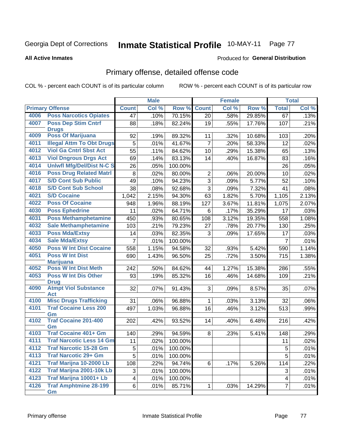#### **Inmate Statistical Profile 10-MAY-11** Page 77

#### **All Active Inmates**

### **Produced for General Distribution**

## Primary offense, detailed offense code

COL % - percent each COUNT is of its particular column

|      |                                            |                         | <b>Male</b> |         |                | <b>Female</b> |        |                         | <b>Total</b> |
|------|--------------------------------------------|-------------------------|-------------|---------|----------------|---------------|--------|-------------------------|--------------|
|      | <b>Primary Offense</b>                     | <b>Count</b>            | Col %       | Row %   | <b>Count</b>   | Col %         | Row %  | <b>Total</b>            | Col %        |
| 4006 | <b>Poss Narcotics Opiates</b>              | 47                      | .10%        | 70.15%  | 20             | .58%          | 29.85% | 67                      | .13%         |
| 4007 | <b>Poss Dep Stim Cntrf</b>                 | 88                      | .18%        | 82.24%  | 19             | .55%          | 17.76% | 107                     | .21%         |
|      | <b>Drugs</b>                               |                         |             |         |                |               |        |                         |              |
| 4009 | <b>Poss Of Marijuana</b>                   | 92                      | .19%        | 89.32%  | 11             | .32%          | 10.68% | 103                     | .20%         |
| 4011 | <b>Illegal Attm To Obt Drugs</b>           | 5                       | .01%        | 41.67%  | $\overline{7}$ | .20%          | 58.33% | 12                      | .02%         |
| 4012 | <b>Viol Ga Cntrl Sbst Act</b>              | 55                      | .11%        | 84.62%  | 10             | .29%          | 15.38% | 65                      | .13%         |
| 4013 | <b>Viol Dngrous Drgs Act</b>               | 69                      | .14%        | 83.13%  | 14             | .40%          | 16.87% | 83                      | .16%         |
| 4014 | <b>Uniwfl Mfg/Del/Dist N-C S</b>           | 26                      | .05%        | 100.00% |                |               |        | 26                      | .05%         |
| 4016 | <b>Poss Drug Related Matri</b>             | 8                       | .02%        | 80.00%  | $\overline{c}$ | .06%          | 20.00% | 10                      | .02%         |
| 4017 | <b>S/D Cont Sub Public</b>                 | 49                      | .10%        | 94.23%  | $\overline{3}$ | .09%          | 5.77%  | 52                      | .10%         |
| 4018 | <b>S/D Cont Sub School</b>                 | 38                      | .08%        | 92.68%  | 3              | .09%          | 7.32%  | 41                      | .08%         |
| 4021 | <b>S/D Cocaine</b>                         | 1,042                   | 2.15%       | 94.30%  | 63             | 1.82%         | 5.70%  | 1,105                   | 2.13%        |
| 4022 | <b>Poss Of Cocaine</b>                     | 948                     | 1.96%       | 88.19%  | 127            | 3.67%         | 11.81% | 1,075                   | 2.07%        |
| 4030 | <b>Poss Ephedrine</b>                      | 11                      | .02%        | 64.71%  | $\,6$          | .17%          | 35.29% | 17                      | .03%         |
| 4031 | <b>Poss Methamphetamine</b>                | 450                     | .93%        | 80.65%  | 108            | 3.12%         | 19.35% | 558                     | 1.08%        |
| 4032 | <b>Sale Methamphetamine</b>                | 103                     | .21%        | 79.23%  | 27             | .78%          | 20.77% | 130                     | .25%         |
| 4033 | <b>Poss Mda/Extsy</b>                      | 14                      | .03%        | 82.35%  | 3              | .09%          | 17.65% | 17                      | .03%         |
| 4034 | <b>Sale Mda/Extsy</b>                      | $\overline{7}$          | .01%        | 100.00% |                |               |        | $\overline{7}$          | .01%         |
| 4050 | <b>Poss W Int Dist Cocaine</b>             | 558                     | 1.15%       | 94.58%  | 32             | .93%          | 5.42%  | 590                     | 1.14%        |
| 4051 | <b>Poss W Int Dist</b>                     | 690                     | 1.43%       | 96.50%  | 25             | .72%          | 3.50%  | 715                     | 1.38%        |
|      | <b>Marijuana</b>                           |                         |             |         |                |               |        |                         |              |
| 4052 | <b>Poss W Int Dist Meth</b>                | 242                     | .50%        | 84.62%  | 44             | 1.27%         | 15.38% | 286                     | .55%         |
| 4053 | <b>Poss W Int Dis Other</b><br><b>Drug</b> | 93                      | .19%        | 85.32%  | 16             | .46%          | 14.68% | 109                     | .21%         |
| 4090 | <b>Atmpt Viol Substance</b>                | 32                      | .07%        | 91.43%  | 3 <sup>1</sup> | .09%          | 8.57%  | 35                      | .07%         |
|      | <b>Act</b>                                 |                         |             |         |                |               |        |                         |              |
| 4100 | <b>Misc Drugs Trafficking</b>              | 31                      | .06%        | 96.88%  | $\mathbf{1}$   | .03%          | 3.13%  | 32                      | .06%         |
| 4101 | <b>Traf Cocaine Less 200</b>               | 497                     | 1.03%       | 96.88%  | 16             | .46%          | 3.12%  | 513                     | .99%         |
|      | Gm                                         |                         |             |         |                |               |        |                         |              |
| 4102 | <b>Traf Cocaine 201-400</b><br>Gm          | 202                     | .42%        | 93.52%  | 14             | .40%          | 6.48%  | 216                     | .42%         |
| 4103 | <b>Traf Cocaine 401+ Gm</b>                | 140                     | .29%        | 94.59%  | 8              | .23%          | 5.41%  | 148                     | .29%         |
| 4111 | <b>Traf Narcotic Less 14 Gm</b>            | 11                      | .02%        | 100.00% |                |               |        | 11                      | .02%         |
| 4112 | <b>Traf Narcotic 15-28 Gm</b>              | 5                       | .01%        | 100.00% |                |               |        | 5                       | $.01\%$      |
| 4113 | <b>Traf Narcotic 29+ Gm</b>                | $\overline{5}$          | .01%        | 100.00% |                |               |        | 5                       | .01%         |
| 4121 | Traf Marijna 10-2000 Lb                    | 108                     | .22%        | 94.74%  | $6 \mid$       | .17%          | 5.26%  | 114                     | .22%         |
| 4122 | Traf Marijna 2001-10k Lb                   | 3                       | .01%        | 100.00% |                |               |        | 3                       | .01%         |
| 4123 | Traf Marijna 10001+ Lb                     | $\overline{\mathbf{4}}$ | .01%        | 100.00% |                |               |        | $\overline{\mathbf{4}}$ | .01%         |
| 4126 | <b>Traf Amphtmine 28-199</b>               | $6\vert$                | .01%        | 85.71%  | $\mathbf{1}$   | .03%          | 14.29% | $\overline{7}$          | .01%         |
|      | Gm                                         |                         |             |         |                |               |        |                         |              |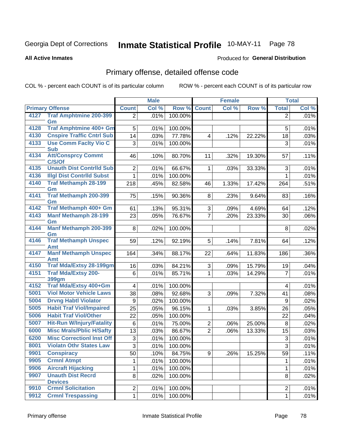#### **Inmate Statistical Profile 10-MAY-11** Page 78

**All Active Inmates** 

### Produced for General Distribution

## Primary offense, detailed offense code

COL % - percent each COUNT is of its particular column

|      |                                       |                         | <b>Male</b> |         | <b>Female</b>  |       |        |                           | <b>Total</b> |
|------|---------------------------------------|-------------------------|-------------|---------|----------------|-------|--------|---------------------------|--------------|
|      | <b>Primary Offense</b>                | <b>Count</b>            | Col %       | Row %   | <b>Count</b>   | Col % | Row %  | <b>Total</b>              | Col %        |
| 4127 | <b>Traf Amphtmine 200-399</b>         | $\overline{2}$          | .01%        | 100.00% |                |       |        | $\overline{2}$            | .01%         |
| 4128 | Gm<br><b>Traf Amphtmine 400+ Gm</b>   |                         |             |         |                |       |        |                           |              |
|      | <b>Cnspire Traffic Cntrl Sub</b>      | 5                       | .01%        | 100.00% |                |       |        | 5                         | .01%         |
| 4130 | <b>Use Comm Facity Vio C</b>          | 14                      | .03%        | 77.78%  | 4              | .12%  | 22.22% | 18                        | .03%         |
| 4133 | <b>Sub</b>                            | 3                       | .01%        | 100.00% |                |       |        | 3                         | .01%         |
| 4134 | <b>Att/Consprcy Commt</b>             | 46                      | .10%        | 80.70%  | 11             | .32%  | 19.30% | 57                        | .11%         |
|      | C/S/Of                                |                         |             |         |                |       |        |                           |              |
| 4135 | <b>Unauth Dist Contrild Sub</b>       | 2                       | .01%        | 66.67%  | $\mathbf 1$    | .03%  | 33.33% | 3                         | .01%         |
| 4136 | <b>Illgl Dist Contrild Subst</b>      | 1                       | .01%        | 100.00% |                |       |        | 1                         | .01%         |
| 4140 | <b>Traf Methamph 28-199</b>           | 218                     | .45%        | 82.58%  | 46             | 1.33% | 17.42% | 264                       | .51%         |
| 4141 | Gm<br><b>Traf Methamph 200-399</b>    |                         |             |         |                |       |        |                           |              |
|      | Gm                                    | 75                      | .15%        | 90.36%  | 8              | .23%  | 9.64%  | 83                        | .16%         |
| 4142 | <b>Traf Methamph 400+ Gm</b>          | 61                      | .13%        | 95.31%  | 3              | .09%  | 4.69%  | 64                        | .12%         |
| 4143 | <b>Manf Methamph 28-199</b>           | 23                      | .05%        | 76.67%  | $\overline{7}$ | .20%  | 23.33% | 30                        | .06%         |
|      | Gm                                    |                         |             |         |                |       |        |                           |              |
| 4144 | <b>Manf Methamph 200-399</b>          | 8                       | .02%        | 100.00% |                |       |        | 8                         | .02%         |
| 4146 | Gm<br><b>Traf Methamph Unspec</b>     | 59                      | .12%        | 92.19%  | 5              | .14%  | 7.81%  | 64                        | .12%         |
|      | Amt                                   |                         |             |         |                |       |        |                           |              |
| 4147 | <b>Manf Methamph Unspec</b>           | 164                     | .34%        | 88.17%  | 22             | .64%  | 11.83% | 186                       | .36%         |
|      | <b>Amt</b>                            |                         |             |         |                |       |        |                           |              |
| 4150 | <b>Traf Mda/Extsy 28-199gm</b>        | 16                      | .03%        | 84.21%  | 3              | .09%  | 15.79% | 19                        | .04%         |
| 4151 | <b>Traf Mda/Extsy 200-</b>            | 6                       | .01%        | 85.71%  | $\mathbf 1$    | .03%  | 14.29% | $\overline{7}$            | .01%         |
| 4152 | <b>399gm</b><br>Traf Mda/Extsy 400+Gm | $\overline{\mathbf{4}}$ | .01%        | 100.00% |                |       |        | $\overline{\mathbf{4}}$   | .01%         |
| 5001 | <b>Viol Motor Vehicle Laws</b>        | 38                      | .08%        | 92.68%  | 3              | .09%  | 7.32%  | 41                        | .08%         |
| 5004 | <b>Drvng Habtl Violator</b>           | 9                       | .02%        | 100.00% |                |       |        | 9                         | .02%         |
| 5005 | <b>Habit Traf Viol/Impaired</b>       | 25                      | .05%        | 96.15%  | 1              | .03%  | 3.85%  | 26                        | .05%         |
| 5006 | <b>Habit Traf Viol/Other</b>          | 22                      | .05%        | 100.00% |                |       |        | 22                        | .04%         |
| 5007 | <b>Hit-Run W/Injury/Fatality</b>      | 6                       | .01%        | 75.00%  | $\overline{2}$ | .06%  | 25.00% | 8                         | .02%         |
| 6000 | <b>Misc Mrals/Pblic H/Safty</b>       | 13                      | .03%        | 86.67%  | $\overline{2}$ | .06%  | 13.33% | 15                        | .03%         |
| 6200 | <b>Misc CorrectionI Inst Off</b>      | 3                       | .01%        | 100.00% |                |       |        | $\ensuremath{\mathsf{3}}$ | .01%         |
| 8001 | <b>Violatn Othr States Law</b>        | $\overline{3}$          | .01%        | 100.00% |                |       |        | $\overline{3}$            | .01%         |
| 9901 | <b>Conspiracy</b>                     | 50                      | .10%        | 84.75%  | 9              | .26%  | 15.25% | 59                        | .11%         |
| 9905 | <b>Crmnl Atmpt</b>                    | 1                       | .01%        | 100.00% |                |       |        | 1                         | .01%         |
| 9906 | <b>Aircraft Hijacking</b>             | 1                       | .01%        | 100.00% |                |       |        | 1                         | .01%         |
| 9907 | <b>Unauth Dist Recrd</b>              | 8                       | .02%        | 100.00% |                |       |        | 8                         | .02%         |
|      | <b>Devices</b>                        |                         |             |         |                |       |        |                           |              |
| 9910 | <b>Crmnl Solicitation</b>             | $\overline{2}$          | .01%        | 100.00% |                |       |        | $\boldsymbol{2}$          | .01%         |
| 9912 | <b>Crmnl Trespassing</b>              | 1                       | .01%        | 100.00% |                |       |        | $\mathbf{1}$              | .01%         |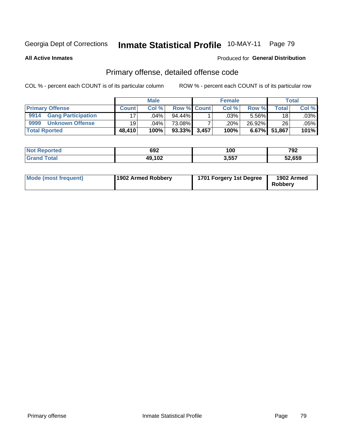#### **Inmate Statistical Profile 10-MAY-11** Page 79

**All Active Inmates** 

### Produced for General Distribution

## Primary offense, detailed offense code

COL % - percent each COUNT is of its particular column

|                                   | <b>Male</b>     |         |             | <b>Female</b> |       |          | <b>Total</b> |         |
|-----------------------------------|-----------------|---------|-------------|---------------|-------|----------|--------------|---------|
| <b>Primary Offense</b>            | <b>Count</b>    | Col %   | Row % Count |               | Col % | Row %    | Total        | Col %   |
| 9914<br><b>Gang Participation</b> | 17 <sup>1</sup> | 04%     | $94.44\%$   |               | .03%  | 5.56%    | 18           | $.03\%$ |
| 9999<br><b>Unknown Offense</b>    | 19              | $.04\%$ | 73.08%      |               | .20%  | 26.92%   | 26           | $.05\%$ |
| <b>Total Rported</b>              | 48,410          | 100%    | 93.33%      | 3,457         | 100%  | $6.67\%$ | 51,867       | 101%    |

| тео | 692                  | 100   | ר ס<br>. JŁ |
|-----|----------------------|-------|-------------|
|     | ,,,,,<br>л<br>73.IVZ | 3,557 | 52,659      |

| Mode (most frequent) | 1902 Armed Robbery | 1701 Forgery 1st Degree | 1902 Armed<br><b>Robbery</b> |
|----------------------|--------------------|-------------------------|------------------------------|
|----------------------|--------------------|-------------------------|------------------------------|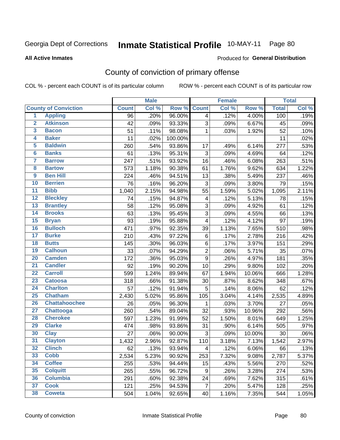#### **Inmate Statistical Profile 10-MAY-11** Page 80

Produced for General Distribution

#### **All Active Inmates**

## County of conviction of primary offense

COL % - percent each COUNT is of its particular column

|                         |                             |              | <b>Male</b> |         |                         | <b>Female</b> |        |              | <b>Total</b> |
|-------------------------|-----------------------------|--------------|-------------|---------|-------------------------|---------------|--------|--------------|--------------|
|                         | <b>County of Conviction</b> | <b>Count</b> | Col %       | Row %   | <b>Count</b>            | Col %         | Row %  | <b>Total</b> | Col %        |
| $\overline{1}$          | <b>Appling</b>              | 96           | .20%        | 96.00%  | $\overline{4}$          | .12%          | 4.00%  | 100          | .19%         |
| $\overline{2}$          | <b>Atkinson</b>             | 42           | .09%        | 93.33%  | 3                       | .09%          | 6.67%  | 45           | .09%         |
| 3                       | <b>Bacon</b>                | 51           | .11%        | 98.08%  | 1                       | .03%          | 1.92%  | 52           | .10%         |
| 4                       | <b>Baker</b>                | 11           | .02%        | 100.00% |                         |               |        | 11           | .02%         |
| 5                       | <b>Baldwin</b>              | 260          | .54%        | 93.86%  | 17                      | .49%          | 6.14%  | 277          | .53%         |
| $\overline{\mathbf{6}}$ | <b>Banks</b>                | 61           | .13%        | 95.31%  | 3                       | .09%          | 4.69%  | 64           | .12%         |
| 7                       | <b>Barrow</b>               | 247          | .51%        | 93.92%  | 16                      | .46%          | 6.08%  | 263          | .51%         |
| 8                       | <b>Bartow</b>               | 573          | 1.18%       | 90.38%  | 61                      | 1.76%         | 9.62%  | 634          | 1.22%        |
| $\overline{9}$          | <b>Ben Hill</b>             | 224          | .46%        | 94.51%  | 13                      | .38%          | 5.49%  | 237          | .46%         |
| 10                      | <b>Berrien</b>              | 76           | .16%        | 96.20%  | 3                       | .09%          | 3.80%  | 79           | .15%         |
| $\overline{11}$         | <b>Bibb</b>                 | 1,040        | 2.15%       | 94.98%  | 55                      | 1.59%         | 5.02%  | 1,095        | 2.11%        |
| 12                      | <b>Bleckley</b>             | 74           | .15%        | 94.87%  | $\overline{\mathbf{4}}$ | .12%          | 5.13%  | 78           | .15%         |
| $\overline{13}$         | <b>Brantley</b>             | 58           | .12%        | 95.08%  | 3                       | .09%          | 4.92%  | 61           | .12%         |
| 14                      | <b>Brooks</b>               | 63           | .13%        | 95.45%  | $\overline{3}$          | .09%          | 4.55%  | 66           | .13%         |
| 15                      | <b>Bryan</b>                | 93           | .19%        | 95.88%  | 4                       | .12%          | 4.12%  | 97           | .19%         |
| 16                      | <b>Bulloch</b>              | 471          | .97%        | 92.35%  | 39                      | 1.13%         | 7.65%  | 510          | .98%         |
| $\overline{17}$         | <b>Burke</b>                | 210          | .43%        | 97.22%  | 6                       | .17%          | 2.78%  | 216          | .42%         |
| 18                      | <b>Butts</b>                | 145          | .30%        | 96.03%  | 6                       | .17%          | 3.97%  | 151          | .29%         |
| 19                      | <b>Calhoun</b>              | 33           | .07%        | 94.29%  | $\overline{2}$          | .06%          | 5.71%  | 35           | .07%         |
| 20                      | <b>Camden</b>               | 172          | .36%        | 95.03%  | 9                       | .26%          | 4.97%  | 181          | .35%         |
| $\overline{21}$         | <b>Candler</b>              | 92           | .19%        | 90.20%  | 10                      | .29%          | 9.80%  | 102          | .20%         |
| $\overline{22}$         | <b>Carroll</b>              | 599          | 1.24%       | 89.94%  | 67                      | 1.94%         | 10.06% | 666          | 1.28%        |
| $\overline{23}$         | <b>Catoosa</b>              | 318          | .66%        | 91.38%  | 30                      | .87%          | 8.62%  | 348          | .67%         |
| 24                      | <b>Charlton</b>             | 57           | .12%        | 91.94%  | 5                       | .14%          | 8.06%  | 62           | .12%         |
| 25                      | <b>Chatham</b>              | 2,430        | 5.02%       | 95.86%  | 105                     | 3.04%         | 4.14%  | 2,535        | 4.89%        |
| 26                      | <b>Chattahoochee</b>        | 26           | .05%        | 96.30%  | $\mathbf 1$             | .03%          | 3.70%  | 27           | .05%         |
| $\overline{27}$         | <b>Chattooga</b>            | 260          | .54%        | 89.04%  | 32                      | .93%          | 10.96% | 292          | .56%         |
| 28                      | <b>Cherokee</b>             | 597          | 1.23%       | 91.99%  | 52                      | 1.50%         | 8.01%  | 649          | 1.25%        |
| 29                      | <b>Clarke</b>               | 474          | .98%        | 93.86%  | 31                      | .90%          | 6.14%  | 505          | .97%         |
| 30                      | <b>Clay</b>                 | 27           | .06%        | 90.00%  | 3                       | .09%          | 10.00% | 30           | .06%         |
| $\overline{31}$         | <b>Clayton</b>              | 1,432        | 2.96%       | 92.87%  | 110                     | 3.18%         | 7.13%  | 1,542        | 2.97%        |
| 32                      | <b>Clinch</b>               | 62           | .13%        | 93.94%  | 4                       | .12%          | 6.06%  | 66           | .13%         |
| 33                      | <b>Cobb</b>                 | 2,534        | 5.23%       | 90.92%  | 253                     | 7.32%         | 9.08%  | 2,787        | 5.37%        |
| 34                      | <b>Coffee</b>               | 255          | .53%        | 94.44%  | 15                      | .43%          | 5.56%  | 270          | .52%         |
| 35                      | <b>Colquitt</b>             | 265          | .55%        | 96.72%  | 9                       | .26%          | 3.28%  | 274          | .53%         |
| 36                      | <b>Columbia</b>             | 291          | .60%        | 92.38%  | 24                      | .69%          | 7.62%  | 315          | .61%         |
| 37                      | <b>Cook</b>                 | 121          | .25%        | 94.53%  | $\overline{7}$          | .20%          | 5.47%  | 128          | .25%         |
| 38                      | <b>Coweta</b>               | 504          | 1.04%       | 92.65%  | 40                      | 1.16%         | 7.35%  | 544          | 1.05%        |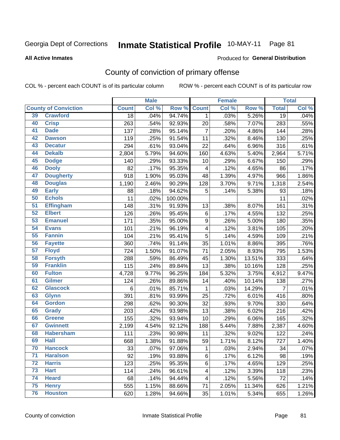# Inmate Statistical Profile 10-MAY-11 Page 81

**All Active Inmates** 

#### Produced for General Distribution

## County of conviction of primary offense

COL % - percent each COUNT is of its particular column

|                 |                             |                 | <b>Male</b> |         |                  | <b>Female</b> |        |                 | <b>Total</b> |
|-----------------|-----------------------------|-----------------|-------------|---------|------------------|---------------|--------|-----------------|--------------|
|                 | <b>County of Conviction</b> | <b>Count</b>    | Col %       | Row %   | <b>Count</b>     | Col %         | Row %  | <b>Total</b>    | Col %        |
| 39              | <b>Crawford</b>             | $\overline{18}$ | .04%        | 94.74%  | $\mathbf{1}$     | .03%          | 5.26%  | $\overline{19}$ | .04%         |
| 40              | <b>Crisp</b>                | 263             | .54%        | 92.93%  | 20               | .58%          | 7.07%  | 283             | .55%         |
| 41              | <b>Dade</b>                 | 137             | .28%        | 95.14%  | $\overline{7}$   | .20%          | 4.86%  | 144             | .28%         |
| 42              | <b>Dawson</b>               | 119             | .25%        | 91.54%  | 11               | .32%          | 8.46%  | 130             | .25%         |
| 43              | <b>Decatur</b>              | 294             | .61%        | 93.04%  | 22               | .64%          | 6.96%  | 316             | .61%         |
| 44              | <b>Dekalb</b>               | 2,804           | 5.79%       | 94.60%  | 160              | 4.63%         | 5.40%  | 2,964           | 5.71%        |
| 45              | <b>Dodge</b>                | 140             | .29%        | 93.33%  | 10               | .29%          | 6.67%  | 150             | .29%         |
| 46              | <b>Dooly</b>                | 82              | .17%        | 95.35%  | 4                | .12%          | 4.65%  | 86              | .17%         |
| 47              | <b>Dougherty</b>            | 918             | 1.90%       | 95.03%  | 48               | 1.39%         | 4.97%  | 966             | 1.86%        |
| 48              | <b>Douglas</b>              | 1,190           | 2.46%       | 90.29%  | 128              | 3.70%         | 9.71%  | 1,318           | 2.54%        |
| 49              | <b>Early</b>                | 88              | .18%        | 94.62%  | 5                | .14%          | 5.38%  | 93              | .18%         |
| 50              | <b>Echols</b>               | 11              | .02%        | 100.00% |                  |               |        | 11              | .02%         |
| $\overline{51}$ | <b>Effingham</b>            | 148             | .31%        | 91.93%  | 13               | .38%          | 8.07%  | 161             | .31%         |
| 52              | <b>Elbert</b>               | 126             | .26%        | 95.45%  | 6                | .17%          | 4.55%  | 132             | .25%         |
| 53              | <b>Emanuel</b>              | 171             | .35%        | 95.00%  | $\boldsymbol{9}$ | .26%          | 5.00%  | 180             | .35%         |
| 54              | <b>Evans</b>                | 101             | .21%        | 96.19%  | 4                | .12%          | 3.81%  | 105             | .20%         |
| 55              | <b>Fannin</b>               | 104             | .21%        | 95.41%  | 5                | .14%          | 4.59%  | 109             | .21%         |
| 56              | <b>Fayette</b>              | 360             | .74%        | 91.14%  | 35               | 1.01%         | 8.86%  | 395             | .76%         |
| 57              | <b>Floyd</b>                | 724             | 1.50%       | 91.07%  | 71               | 2.05%         | 8.93%  | 795             | 1.53%        |
| 58              | <b>Forsyth</b>              | 288             | .59%        | 86.49%  | 45               | 1.30%         | 13.51% | 333             | .64%         |
| 59              | <b>Franklin</b>             | 115             | .24%        | 89.84%  | 13               | .38%          | 10.16% | 128             | .25%         |
| 60              | <b>Fulton</b>               | 4,728           | 9.77%       | 96.25%  | 184              | 5.32%         | 3.75%  | 4,912           | 9.47%        |
| 61              | Gilmer                      | 124             | .26%        | 89.86%  | 14               | .40%          | 10.14% | 138             | .27%         |
| 62              | <b>Glascock</b>             | 6               | .01%        | 85.71%  | $\mathbf{1}$     | .03%          | 14.29% | $\overline{7}$  | .01%         |
| 63              | <b>Glynn</b>                | 391             | .81%        | 93.99%  | 25               | .72%          | 6.01%  | 416             | .80%         |
| 64              | <b>Gordon</b>               | 298             | .62%        | 90.30%  | 32               | .93%          | 9.70%  | 330             | .64%         |
| 65              | <b>Grady</b>                | 203             | .42%        | 93.98%  | 13               | .38%          | 6.02%  | 216             | .42%         |
| 66              | <b>Greene</b>               | 155             | .32%        | 93.94%  | 10               | .29%          | 6.06%  | 165             | .32%         |
| 67              | <b>Gwinnett</b>             | 2,199           | 4.54%       | 92.12%  | 188              | 5.44%         | 7.88%  | 2,387           | 4.60%        |
| 68              | <b>Habersham</b>            | 111             | .23%        | 90.98%  | 11               | .32%          | 9.02%  | 122             | .24%         |
| 69              | <b>Hall</b>                 | 668             | 1.38%       | 91.88%  | 59               | 1.71%         | 8.12%  | 727             | 1.40%        |
| 70              | <b>Hancock</b>              | 33              | .07%        | 97.06%  | 1                | .03%          | 2.94%  | 34              | .07%         |
| 71              | <b>Haralson</b>             | 92              | .19%        | 93.88%  | 6                | .17%          | 6.12%  | 98              | .19%         |
| 72              | <b>Harris</b>               | 123             | .25%        | 95.35%  | 6                | .17%          | 4.65%  | 129             | .25%         |
| 73              | <b>Hart</b>                 | 114             | .24%        | 96.61%  | 4                | .12%          | 3.39%  | 118             | .23%         |
| 74              | <b>Heard</b>                | 68              | .14%        | 94.44%  | 4                | .12%          | 5.56%  | 72              | .14%         |
| 75              | <b>Henry</b>                | 555             | 1.15%       | 88.66%  | 71               | 2.05%         | 11.34% | 626             | 1.21%        |
| 76              | <b>Houston</b>              | 620             | 1.28%       | 94.66%  | 35               | 1.01%         | 5.34%  | 655             | 1.26%        |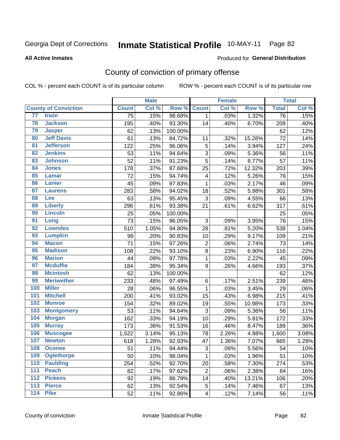# Inmate Statistical Profile 10-MAY-11 Page 82

#### **All Active Inmates**

#### Produced for General Distribution

## County of conviction of primary offense

COL % - percent each COUNT is of its particular column

|                 |                             |                 | <b>Male</b> |         |                         | <b>Female</b> |        |                 | <b>Total</b> |
|-----------------|-----------------------------|-----------------|-------------|---------|-------------------------|---------------|--------|-----------------|--------------|
|                 | <b>County of Conviction</b> | <b>Count</b>    | Col %       | Row %   | <b>Count</b>            | Col %         | Row %  | <b>Total</b>    | Col %        |
| 77              | <b>Irwin</b>                | $\overline{75}$ | .15%        | 98.68%  | $\mathbf{1}$            | .03%          | 1.32%  | $\overline{76}$ | .15%         |
| 78              | <b>Jackson</b>              | 195             | .40%        | 93.30%  | 14                      | .40%          | 6.70%  | 209             | .40%         |
| 79              | <b>Jasper</b>               | 62              | .13%        | 100.00% |                         |               |        | 62              | .12%         |
| 80              | <b>Jeff Davis</b>           | 61              | .13%        | 84.72%  | 11                      | .32%          | 15.28% | 72              | .14%         |
| $\overline{81}$ | <b>Jefferson</b>            | 122             | .25%        | 96.06%  | 5                       | .14%          | 3.94%  | 127             | .24%         |
| 82              | <b>Jenkins</b>              | 53              | .11%        | 94.64%  | 3                       | .09%          | 5.36%  | 56              | .11%         |
| 83              | <b>Johnson</b>              | 52              | .11%        | 91.23%  | 5                       | .14%          | 8.77%  | 57              | .11%         |
| 84              | <b>Jones</b>                | 178             | .37%        | 87.68%  | 25                      | .72%          | 12.32% | 203             | .39%         |
| 85              | <b>Lamar</b>                | 72              | .15%        | 94.74%  | 4                       | .12%          | 5.26%  | 76              | .15%         |
| 86              | <b>Lanier</b>               | 45              | .09%        | 97.83%  | $\mathbf{1}$            | .03%          | 2.17%  | 46              | .09%         |
| 87              | <b>Laurens</b>              | 283             | .58%        | 94.02%  | 18                      | .52%          | 5.98%  | 301             | .58%         |
| 88              | Lee                         | 63              | .13%        | 95.45%  | 3                       | .09%          | 4.55%  | 66              | .13%         |
| 89              | <b>Liberty</b>              | 296             | .61%        | 93.38%  | 21                      | .61%          | 6.62%  | 317             | .61%         |
| 90              | <b>Lincoln</b>              | 25              | .05%        | 100.00% |                         |               |        | 25              | .05%         |
| 91              | Long                        | 73              | .15%        | 96.05%  | 3                       | .09%          | 3.95%  | 76              | .15%         |
| 92              | <b>Lowndes</b>              | 510             | 1.05%       | 94.80%  | 28                      | .81%          | 5.20%  | 538             | 1.04%        |
| 93              | <b>Lumpkin</b>              | 99              | .20%        | 90.83%  | 10                      | .29%          | 9.17%  | 109             | .21%         |
| 94              | <b>Macon</b>                | 71              | .15%        | 97.26%  | $\overline{2}$          | .06%          | 2.74%  | 73              | .14%         |
| 95              | <b>Madison</b>              | 108             | .22%        | 93.10%  | 8                       | .23%          | 6.90%  | 116             | .22%         |
| 96              | <b>Marion</b>               | 44              | .09%        | 97.78%  | 1                       | .03%          | 2.22%  | 45              | .09%         |
| 97              | <b>Mcduffie</b>             | 184             | .38%        | 95.34%  | 9                       | .26%          | 4.66%  | 193             | .37%         |
| 98              | <b>Mcintosh</b>             | 62              | .13%        | 100.00% |                         |               |        | 62              | .12%         |
| 99              | <b>Meriwether</b>           | 233             | .48%        | 97.49%  | 6                       | .17%          | 2.51%  | 239             | .46%         |
| 100             | <b>Miller</b>               | 28              | .06%        | 96.55%  | $\mathbf 1$             | .03%          | 3.45%  | 29              | .06%         |
| 101             | <b>Mitchell</b>             | 200             | .41%        | 93.02%  | 15                      | .43%          | 6.98%  | 215             | .41%         |
| 102             | <b>Monroe</b>               | 154             | .32%        | 89.02%  | 19                      | .55%          | 10.98% | 173             | .33%         |
| 103             | <b>Montgomery</b>           | 53              | .11%        | 94.64%  | 3                       | .09%          | 5.36%  | 56              | .11%         |
| 104             | <b>Morgan</b>               | 162             | .33%        | 94.19%  | 10                      | .29%          | 5.81%  | 172             | .33%         |
| 105             | <b>Murray</b>               | 173             | .36%        | 91.53%  | 16                      | .46%          | 8.47%  | 189             | .36%         |
| 106             | <b>Muscogee</b>             | 1,522           | 3.14%       | 95.13%  | 78                      | 2.26%         | 4.88%  | 1,600           | 3.08%        |
| 107             | <b>Newton</b>               | 618             | 1.28%       | 92.93%  | 47                      | 1.36%         | 7.07%  | 665             | 1.28%        |
| 108             | <b>Oconee</b>               | 51              | .11%        | 94.44%  | 3                       | .09%          | 5.56%  | 54              | .10%         |
| 109             | <b>Oglethorpe</b>           | 50              | .10%        | 98.04%  | 1                       | .03%          | 1.96%  | 51              | .10%         |
| 110             | <b>Paulding</b>             | 254             | .52%        | 92.70%  | 20                      | .58%          | 7.30%  | 274             | .53%         |
| 111             | <b>Peach</b>                | 82              | .17%        | 97.62%  | $\overline{2}$          | .06%          | 2.38%  | 84              | .16%         |
| 112             | <b>Pickens</b>              | 92              | .19%        | 86.79%  | 14                      | .40%          | 13.21% | 106             | .20%         |
| 113             | <b>Pierce</b>               | 62              | .13%        | 92.54%  | 5                       | .14%          | 7.46%  | 67              | .13%         |
| 114             | <b>Pike</b>                 | 52              | .11%        | 92.86%  | $\overline{\mathbf{4}}$ | .12%          | 7.14%  | 56              | .11%         |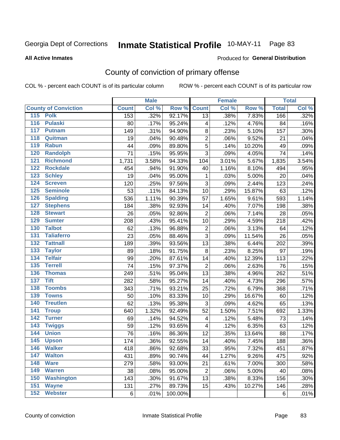# Inmate Statistical Profile 10-MAY-11 Page 83

#### **All Active Inmates**

### **Produced for General Distribution**

## County of conviction of primary offense

COL % - percent each COUNT is of its particular column

|                                    |              |       | <b>Male</b> |         |                           | <b>Female</b> |        |              | <b>Total</b> |
|------------------------------------|--------------|-------|-------------|---------|---------------------------|---------------|--------|--------------|--------------|
| <b>County of Conviction</b>        | <b>Count</b> |       | Col %       | Row %   | <b>Count</b>              | Col %         | Row %  | <b>Total</b> | Col %        |
| 115 Polk                           |              | 153   | .32%        | 92.17%  | 13                        | .38%          | 7.83%  | 166          | .32%         |
| $\overline{116}$<br><b>Pulaski</b> |              | 80    | .17%        | 95.24%  | 4                         | .12%          | 4.76%  | 84           | .16%         |
| 117<br><b>Putnam</b>               |              | 149   | .31%        | 94.90%  | $\bf 8$                   | .23%          | 5.10%  | 157          | .30%         |
| 118<br>Quitman                     |              | 19    | .04%        | 90.48%  | 2                         | .06%          | 9.52%  | 21           | .04%         |
| 119<br><b>Rabun</b>                |              | 44    | .09%        | 89.80%  | $\sqrt{5}$                | .14%          | 10.20% | 49           | .09%         |
| 120<br><b>Randolph</b>             |              | 71    | .15%        | 95.95%  | 3                         | .09%          | 4.05%  | 74           | .14%         |
| 121<br><b>Richmond</b>             |              | 1,731 | 3.58%       | 94.33%  | 104                       | 3.01%         | 5.67%  | 1,835        | 3.54%        |
| 122<br><b>Rockdale</b>             |              | 454   | .94%        | 91.90%  | 40                        | 1.16%         | 8.10%  | 494          | .95%         |
| 123<br><b>Schley</b>               |              | 19    | .04%        | 95.00%  | 1                         | .03%          | 5.00%  | 20           | .04%         |
| 124<br><b>Screven</b>              |              | 120   | .25%        | 97.56%  | 3                         | .09%          | 2.44%  | 123          | .24%         |
| 125<br><b>Seminole</b>             |              | 53    | .11%        | 84.13%  | 10                        | .29%          | 15.87% | 63           | .12%         |
| 126<br><b>Spalding</b>             |              | 536   | 1.11%       | 90.39%  | 57                        | 1.65%         | 9.61%  | 593          | 1.14%        |
| 127<br><b>Stephens</b>             |              | 184   | .38%        | 92.93%  | 14                        | .40%          | 7.07%  | 198          | .38%         |
| 128<br><b>Stewart</b>              |              | 26    | .05%        | 92.86%  | $\mathbf 2$               | .06%          | 7.14%  | 28           | .05%         |
| 129<br><b>Sumter</b>               |              | 208   | .43%        | 95.41%  | 10                        | .29%          | 4.59%  | 218          | .42%         |
| <b>Talbot</b><br>130               |              | 62    | .13%        | 96.88%  | $\overline{2}$            | .06%          | 3.13%  | 64           | .12%         |
| 131<br><b>Taliaferro</b>           |              | 23    | .05%        | 88.46%  | $\sqrt{3}$                | .09%          | 11.54% | 26           | .05%         |
| 132<br><b>Tattnall</b>             |              | 189   | .39%        | 93.56%  | 13                        | .38%          | 6.44%  | 202          | .39%         |
| 133<br><b>Taylor</b>               |              | 89    | .18%        | 91.75%  | $\,8\,$                   | .23%          | 8.25%  | 97           | .19%         |
| <b>Telfair</b><br>134              |              | 99    | .20%        | 87.61%  | 14                        | .40%          | 12.39% | 113          | .22%         |
| $\overline{135}$<br><b>Terrell</b> |              | 74    | .15%        | 97.37%  | $\boldsymbol{2}$          | .06%          | 2.63%  | 76           | .15%         |
| 136<br><b>Thomas</b>               |              | 249   | .51%        | 95.04%  | 13                        | .38%          | 4.96%  | 262          | .51%         |
| <b>Tift</b><br>137                 |              | 282   | .58%        | 95.27%  | 14                        | .40%          | 4.73%  | 296          | .57%         |
| <b>Toombs</b><br>138               |              | 343   | .71%        | 93.21%  | 25                        | .72%          | 6.79%  | 368          | .71%         |
| 139<br><b>Towns</b>                |              | 50    | .10%        | 83.33%  | 10                        | .29%          | 16.67% | 60           | .12%         |
| <b>Treutlen</b><br>140             |              | 62    | .13%        | 95.38%  | $\ensuremath{\mathsf{3}}$ | .09%          | 4.62%  | 65           | .13%         |
| 141<br><b>Troup</b>                |              | 640   | 1.32%       | 92.49%  | 52                        | 1.50%         | 7.51%  | 692          | 1.33%        |
| 142<br><b>Turner</b>               |              | 69    | .14%        | 94.52%  | $\overline{\mathbf{4}}$   | .12%          | 5.48%  | 73           | .14%         |
| $\overline{143}$<br><b>Twiggs</b>  |              | 59    | .12%        | 93.65%  | 4                         | .12%          | 6.35%  | 63           | .12%         |
| 144<br><b>Union</b>                |              | 76    | .16%        | 86.36%  | 12                        | .35%          | 13.64% | 88           | .17%         |
| 145<br><b>Upson</b>                |              | 174   | .36%        | 92.55%  | 14                        | .40%          | 7.45%  | 188          | .36%         |
| 146<br><b>Walker</b>               |              | 418   | .86%        | 92.68%  | 33                        | .95%          | 7.32%  | 451          | .87%         |
| 147<br><b>Walton</b>               |              | 431   | .89%        | 90.74%  | 44                        | 1.27%         | 9.26%  | 475          | .92%         |
| 148<br><b>Ware</b>                 |              | 279   | .58%        | 93.00%  | 21                        | .61%          | 7.00%  | 300          | .58%         |
| 149<br><b>Warren</b>               |              | 38    | .08%        | 95.00%  | $\overline{2}$            | .06%          | 5.00%  | 40           | .08%         |
| 150<br><b>Washington</b>           |              | 143   | .30%        | 91.67%  | 13                        | .38%          | 8.33%  | 156          | .30%         |
| 151<br><b>Wayne</b>                |              | 131   | .27%        | 89.73%  | 15                        | .43%          | 10.27% | 146          | .28%         |
| 152<br><b>Webster</b>              |              | 6     | .01%        | 100.00% |                           |               |        | 6            | .01%         |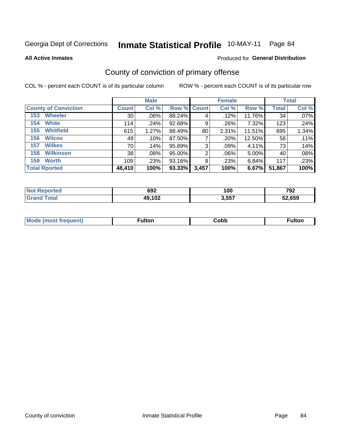# Inmate Statistical Profile 10-MAY-11 Page 84

**All Active Inmates** 

### Produced for General Distribution

## County of conviction of primary offense

COL % - percent each COUNT is of its particular column

|                             |              | <b>Male</b> |             |       | <b>Female</b> |        |              | <b>Total</b> |
|-----------------------------|--------------|-------------|-------------|-------|---------------|--------|--------------|--------------|
| <b>County of Conviction</b> | <b>Count</b> | Col %       | Row % Count |       | Col %         | Row %  | <b>Total</b> | Col %        |
| <b>Wheeler</b><br>153       | 30           | $.06\%$     | 88.24%      | 4     | .12%          | 11.76% | 34           | $.07\%$      |
| <b>White</b><br>154         | 114          | .24%        | 92.68%      | 9     | .26%          | 7.32%  | 123          | .24%         |
| <b>Whitfield</b><br>155     | 615          | 1.27%       | 88.49%      | 80    | 2.31%         | 11.51% | 695          | 1.34%        |
| <b>Wilcox</b><br>156        | 49           | .10%        | 87.50%      |       | .20%          | 12.50% | 56           | .11%         |
| <b>Wilkes</b><br>157        | 70           | .14%        | 95.89%      | 3     | .09%          | 4.11%  | 73           | .14%         |
| <b>Wilkinson</b><br>158     | 38           | $.08\%$     | 95.00%      | 2     | .06%          | 5.00%  | 40           | .08%         |
| <b>Worth</b><br>159         | 109          | .23%        | 93.16%      | 8     | .23%          | 6.84%  | 117          | .23%         |
| <b>Total Rported</b>        | 48,410       | 100%        | 93.33%      | 3,457 | 100%          | 6.67%  | 51,867       | 100%         |

| тео<br>N | 692    | - -<br>n<br>, UU | 792             |
|----------|--------|------------------|-----------------|
|          | 49,102 | 3,557            | $^{\circ}$ ,659 |

| <b>Mou</b><br>frequent)<br>10 IMOST T | ∙ulton | ا¢ob | Fulto⊾ |
|---------------------------------------|--------|------|--------|
|                                       |        |      |        |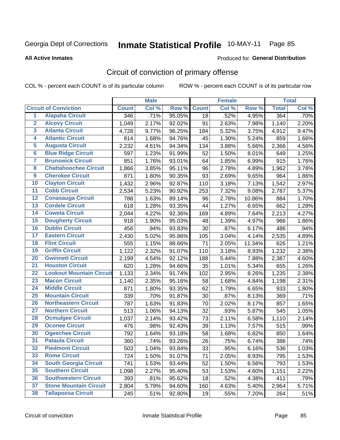# Inmate Statistical Profile 10-MAY-11 Page 85

**All Active Inmates** 

#### Produced for General Distribution

## Circuit of conviction of primary offense

COL % - percent each COUNT is of its particular column

|                         |                                 |              | <b>Male</b> |        |              | <b>Female</b> |        |              | <b>Total</b> |
|-------------------------|---------------------------------|--------------|-------------|--------|--------------|---------------|--------|--------------|--------------|
|                         | <b>Circuit of Conviction</b>    | <b>Count</b> | Col %       | Row %  | <b>Count</b> | Col %         | Row %  | <b>Total</b> | Col %        |
| $\overline{1}$          | <b>Alapaha Circuit</b>          | 346          | .71%        | 95.05% | 18           | .52%          | 4.95%  | 364          | .70%         |
| $\overline{2}$          | <b>Alcovy Circuit</b>           | 1,049        | 2.17%       | 92.02% | 91           | 2.63%         | 7.98%  | 1,140        | 2.20%        |
| $\overline{\mathbf{3}}$ | <b>Atlanta Circuit</b>          | 4,728        | 9.77%       | 96.25% | 184          | 5.32%         | 3.75%  | 4,912        | 9.47%        |
| 4                       | <b>Atlantic Circuit</b>         | 814          | 1.68%       | 94.76% | 45           | 1.30%         | 5.24%  | 859          | 1.66%        |
| 5                       | <b>Augusta Circuit</b>          | 2,232        | 4.61%       | 94.34% | 134          | 3.88%         | 5.66%  | 2,366        | 4.56%        |
| $\overline{\mathbf{6}}$ | <b>Blue Ridge Circuit</b>       | 597          | 1.23%       | 91.99% | 52           | 1.50%         | 8.01%  | 649          | 1.25%        |
| $\overline{\mathbf{7}}$ | <b>Brunswick Circuit</b>        | 851          | 1.76%       | 93.01% | 64           | 1.85%         | 6.99%  | 915          | 1.76%        |
| 8                       | <b>Chattahoochee Circuit</b>    | 1,866        | 3.85%       | 95.11% | 96           | 2.78%         | 4.89%  | 1,962        | 3.78%        |
| $\overline{9}$          | <b>Cherokee Circuit</b>         | 871          | 1.80%       | 90.35% | 93           | 2.69%         | 9.65%  | 964          | 1.86%        |
| 10                      | <b>Clayton Circuit</b>          | 1,432        | 2.96%       | 92.87% | 110          | 3.18%         | 7.13%  | 1,542        | 2.97%        |
| 11                      | <b>Cobb Circuit</b>             | 2,534        | 5.23%       | 90.92% | 253          | 7.32%         | 9.08%  | 2,787        | 5.37%        |
| 12                      | <b>Conasauga Circuit</b>        | 788          | 1.63%       | 89.14% | 96           | 2.78%         | 10.86% | 884          | 1.70%        |
| 13                      | <b>Cordele Circuit</b>          | 618          | 1.28%       | 93.35% | 44           | 1.27%         | 6.65%  | 662          | 1.28%        |
| 14                      | <b>Coweta Circuit</b>           | 2,044        | 4.22%       | 92.36% | 169          | 4.89%         | 7.64%  | 2,213        | 4.27%        |
| 15                      | <b>Dougherty Circuit</b>        | 918          | 1.90%       | 95.03% | 48           | 1.39%         | 4.97%  | 966          | 1.86%        |
| 16                      | <b>Dublin Circuit</b>           | 456          | .94%        | 93.83% | 30           | .87%          | 6.17%  | 486          | .94%         |
| 17                      | <b>Eastern Circuit</b>          | 2,430        | 5.02%       | 95.86% | 105          | 3.04%         | 4.14%  | 2,535        | 4.89%        |
| 18                      | <b>Flint Circuit</b>            | 555          | 1.15%       | 88.66% | 71           | 2.05%         | 11.34% | 626          | 1.21%        |
| 19                      | <b>Griffin Circuit</b>          | 1,122        | 2.32%       | 91.07% | 110          | 3.18%         | 8.93%  | 1,232        | 2.38%        |
| 20                      | <b>Gwinnett Circuit</b>         | 2,199        | 4.54%       | 92.12% | 188          | 5.44%         | 7.88%  | 2,387        | 4.60%        |
| $\overline{21}$         | <b>Houston Circuit</b>          | 620          | 1.28%       | 94.66% | 35           | 1.01%         | 5.34%  | 655          | 1.26%        |
| $\overline{22}$         | <b>Lookout Mountain Circuit</b> | 1,133        | 2.34%       | 91.74% | 102          | 2.95%         | 8.26%  | 1,235        | 2.38%        |
| 23                      | <b>Macon Circuit</b>            | 1,140        | 2.35%       | 95.16% | 58           | 1.68%         | 4.84%  | 1,198        | 2.31%        |
| 24                      | <b>Middle Circuit</b>           | 871          | 1.80%       | 93.35% | 62           | 1.79%         | 6.65%  | 933          | 1.80%        |
| 25                      | <b>Mountain Circuit</b>         | 339          | .70%        | 91.87% | 30           | .87%          | 8.13%  | 369          | .71%         |
| 26                      | <b>Northeastern Circuit</b>     | 787          | 1.63%       | 91.83% | 70           | 2.02%         | 8.17%  | 857          | 1.65%        |
| $\overline{27}$         | <b>Northern Circuit</b>         | 513          | 1.06%       | 94.13% | 32           | .93%          | 5.87%  | 545          | 1.05%        |
| 28                      | <b>Ocmulgee Circuit</b>         | 1,037        | 2.14%       | 93.42% | 73           | 2.11%         | 6.58%  | 1,110        | 2.14%        |
| 29                      | <b>Oconee Circuit</b>           | 476          | .98%        | 92.43% | 39           | 1.13%         | 7.57%  | 515          | .99%         |
| 30                      | <b>Ogeechee Circuit</b>         | 792          | 1.64%       | 93.18% | 58           | 1.68%         | 6.82%  | 850          | 1.64%        |
| $\overline{31}$         | <b>Pataula Circuit</b>          | 360          | .74%        | 93.26% | 26           | .75%          | 6.74%  | 386          | .74%         |
| 32                      | <b>Piedmont Circuit</b>         | 503          | 1.04%       | 93.84% | 33           | .95%          | 6.16%  | 536          | 1.03%        |
| 33                      | <b>Rome Circuit</b>             | 724          | 1.50%       | 91.07% | 71           | 2.05%         | 8.93%  | 795          | 1.53%        |
| 34                      | <b>South Georgia Circuit</b>    | 741          | 1.53%       | 93.44% | 52           | 1.50%         | 6.56%  | 793          | 1.53%        |
| 35                      | <b>Southern Circuit</b>         | 1,098        | 2.27%       | 95.40% | 53           | 1.53%         | 4.60%  | 1,151        | 2.22%        |
| 36                      | <b>Southwestern Circuit</b>     | 393          | .81%        | 95.62% | 18           | .52%          | 4.38%  | 411          | .79%         |
| $\overline{37}$         | <b>Stone Mountain Circuit</b>   | 2,804        | 5.79%       | 94.60% | 160          | 4.63%         | 5.40%  | 2,964        | 5.71%        |
| 38                      | <b>Tallapoosa Circuit</b>       | 245          | .51%        | 92.80% | 19           | .55%          | 7.20%  | 264          | .51%         |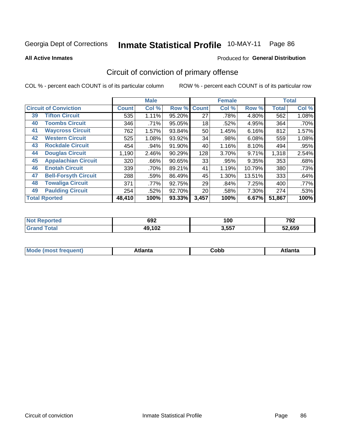#### **Inmate Statistical Profile 10-MAY-11** Page 86

**All Active Inmates** 

### Produced for General Distribution

## Circuit of conviction of primary offense

COL % - percent each COUNT is of its particular column

|    |                              |              | <b>Male</b> |        |              | <b>Female</b> |        |              | <b>Total</b> |  |
|----|------------------------------|--------------|-------------|--------|--------------|---------------|--------|--------------|--------------|--|
|    | <b>Circuit of Conviction</b> | <b>Count</b> | Col %       | Row %  | <b>Count</b> | Col %         | Row %  | <b>Total</b> | Col %        |  |
| 39 | <b>Tifton Circuit</b>        | 535          | 1.11%       | 95.20% | 27           | .78%          | 4.80%  | 562          | 1.08%        |  |
| 40 | <b>Toombs Circuit</b>        | 346          | .71%        | 95.05% | 18           | .52%          | 4.95%  | 364          | .70%         |  |
| 41 | <b>Waycross Circuit</b>      | 762          | 1.57%       | 93.84% | 50           | 1.45%         | 6.16%  | 812          | 1.57%        |  |
| 42 | <b>Western Circuit</b>       | 525          | 1.08%       | 93.92% | 34           | .98%          | 6.08%  | 559          | 1.08%        |  |
| 43 | <b>Rockdale Circuit</b>      | 454          | .94%        | 91.90% | 40           | 1.16%         | 8.10%  | 494          | .95%         |  |
| 44 | <b>Douglas Circuit</b>       | 1,190        | 2.46%       | 90.29% | 128          | 3.70%         | 9.71%  | 1,318        | 2.54%        |  |
| 45 | <b>Appalachian Circuit</b>   | 320          | .66%        | 90.65% | 33           | .95%          | 9.35%  | 353          | .68%         |  |
| 46 | <b>Enotah Circuit</b>        | 339          | .70%        | 89.21% | 41           | 1.19%         | 10.79% | 380          | .73%         |  |
| 47 | <b>Bell-Forsyth Circuit</b>  | 288          | .59%        | 86.49% | 45           | 1.30%         | 13.51% | 333          | .64%         |  |
| 48 | <b>Towaliga Circuit</b>      | 371          | .77%        | 92.75% | 29           | .84%          | 7.25%  | 400          | .77%         |  |
| 49 | <b>Paulding Circuit</b>      | 254          | .52%        | 92.70% | 20           | .58%          | 7.30%  | 274          | .53%         |  |
|    | <b>Total Rported</b>         | 48,410       | 100%        | 93.33% | 3,457        | 100%          | 6.67%  | 51,867       | 100%         |  |

| e | 692              | - -<br>n<br>. vv<br>- - | 700<br>79Z<br>$-$ |
|---|------------------|-------------------------|-------------------|
|   | 102<br>49<br>ש ו | 3,557                   | EN PEN<br>צכס.    |

| M | . | -----<br>oг | ----<br>пLс |
|---|---|-------------|-------------|
|   |   | <b>OUNN</b> |             |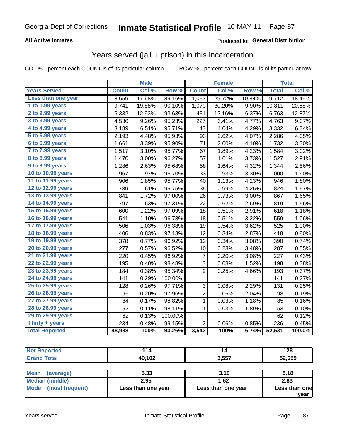#### Inmate Statistical Profile 10-MAY-11 Page 87

### **All Active Inmates**

### Produced for General Distribution

### Years served (jail + prison) in this incarceration

COL % - percent each COUNT is of its particular column

|                       | <b>Male</b>  |        | <b>Female</b> |                |        | <b>Total</b> |              |        |
|-----------------------|--------------|--------|---------------|----------------|--------|--------------|--------------|--------|
| <b>Years Served</b>   | <b>Count</b> | Col %  | Row %         | <b>Count</b>   | Col %  | Row %        | <b>Total</b> | Col %  |
| Less than one year    | 8,659        | 17.68% | 89.16%        | 1,053          | 29.72% | 10.84%       | 9,712        | 18.49% |
| 1 to 1.99 years       | 9,741        | 19.88% | 90.10%        | 1,070          | 30.20% | 9.90%        | 10,811       | 20.58% |
| 2 to 2.99 years       | 6,332        | 12.93% | 93.63%        | 431            | 12.16% | 6.37%        | 6,763        | 12.87% |
| 3 to 3.99 years       | 4,536        | 9.26%  | 95.23%        | 227            | 6.41%  | 4.77%        | 4,763        | 9.07%  |
| 4 to 4.99 years       | 3,189        | 6.51%  | 95.71%        | 143            | 4.04%  | 4.29%        | 3,332        | 6.34%  |
| 5 to 5.99 years       | 2,193        | 4.48%  | 95.93%        | 93             | 2.62%  | 4.07%        | 2,286        | 4.35%  |
| 6 to 6.99 years       | 1,661        | 3.39%  | 95.90%        | 71             | 2.00%  | 4.10%        | 1,732        | 3.30%  |
| 7 to 7.99 years       | 1,517        | 3.10%  | 95.77%        | 67             | 1.89%  | 4.23%        | 1,584        | 3.02%  |
| 8 to 8.99 years       | 1,470        | 3.00%  | 96.27%        | 57             | 1.61%  | 3.73%        | 1,527        | 2.91%  |
| 9 to 9.99 years       | 1,286        | 2.63%  | 95.68%        | 58             | 1.64%  | 4.32%        | 1,344        | 2.56%  |
| 10 to 10.99 years     | 967          | 1.97%  | 96.70%        | 33             | 0.93%  | 3.30%        | 1,000        | 1.90%  |
| 11 to 11.99 years     | 906          | 1.85%  | 95.77%        | 40             | 1.13%  | 4.23%        | 946          | 1.80%  |
| 12 to 12.99 years     | 789          | 1.61%  | 95.75%        | 35             | 0.99%  | 4.25%        | 824          | 1.57%  |
| 13 to 13.99 years     | 841          | 1.72%  | 97.00%        | 26             | 0.73%  | 3.00%        | 867          | 1.65%  |
| 14 to 14.99 years     | 797          | 1.63%  | 97.31%        | 22             | 0.62%  | 2.69%        | 819          | 1.56%  |
| 15 to 15.99 years     | 600          | 1.22%  | 97.09%        | 18             | 0.51%  | 2.91%        | 618          | 1.18%  |
| 16 to 16.99 years     | 541          | 1.10%  | 96.78%        | 18             | 0.51%  | 3.22%        | 559          | 1.06%  |
| 17 to 17.99 years     | 506          | 1.03%  | 96.38%        | 19             | 0.54%  | 3.62%        | 525          | 1.00%  |
| 18 to 18.99 years     | 406          | 0.83%  | 97.13%        | 12             | 0.34%  | 2.87%        | 418          | 0.80%  |
| 19 to 19.99 years     | 378          | 0.77%  | 96.92%        | 12             | 0.34%  | 3.08%        | 390          | 0.74%  |
| 20 to 20.99 years     | 277          | 0.57%  | 96.52%        | 10             | 0.28%  | 3.48%        | 287          | 0.55%  |
| 21 to 21.99 years     | 220          | 0.45%  | 96.92%        | 7              | 0.20%  | 3.08%        | 227          | 0.43%  |
| 22 to 22.99 years     | 195          | 0.40%  | 98.48%        | 3              | 0.08%  | 1.52%        | 198          | 0.38%  |
| 23 to 23.99 years     | 184          | 0.38%  | 95.34%        | 9              | 0.25%  | 4.66%        | 193          | 0.37%  |
| 24 to 24.99 years     | 141          | 0.29%  | 100.00%       |                |        |              | 141          | 0.27%  |
| 25 to 25.99 years     | 128          | 0.26%  | 97.71%        | 3              | 0.08%  | 2.29%        | 131          | 0.25%  |
| 26 to 26.99 years     | 96           | 0.20%  | 97.96%        | $\overline{2}$ | 0.06%  | 2.04%        | 98           | 0.19%  |
| 27 to 27.99 years     | 84           | 0.17%  | 98.82%        | 1              | 0.03%  | 1.18%        | 85           | 0.16%  |
| 28 to 28.99 years     | 52           | 0.11%  | 98.11%        | 1              | 0.03%  | 1.89%        | 53           | 0.10%  |
| 29 to 29.99 years     | 62           | 0.13%  | 100.00%       |                |        |              | 62           | 0.12%  |
| Thirty + years        | 234          | 0.48%  | 99.15%        | $\overline{2}$ | 0.06%  | 0.85%        | 236          | 0.45%  |
| <b>Total Reported</b> | 48,988       | 100%   | 93.26%        | 3,543          | 100%   | 6.74%        | 52,531       | 100.0% |

| <b>Not Reported</b>     | 114                | 14                 | 128           |
|-------------------------|--------------------|--------------------|---------------|
| <b>Grand Total</b>      | 49,102             | 3,557              | 52,659        |
|                         |                    |                    |               |
| Mean<br>(average)       | 5.33               | 3.19               | 5.18          |
| Median (middle)         | 2.95               | 1.62               | 2.83          |
| Mode<br>(most frequent) | Less than one year | Less than one year | Less than one |
|                         |                    |                    | vear          |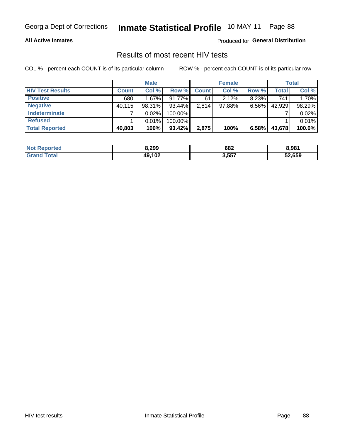# Inmate Statistical Profile 10-MAY-11 Page 88

### **All Active Inmates**

Produced for General Distribution

### Results of most recent HIV tests

COL % - percent each COUNT is of its particular column

|                         | <b>Male</b>  |        |           |              | <b>Female</b> | <b>Total</b> |                    |        |
|-------------------------|--------------|--------|-----------|--------------|---------------|--------------|--------------------|--------|
| <b>HIV Test Results</b> | <b>Count</b> | Col %  | Row %     | <b>Count</b> | Col %         | Row %        | Total <sub>1</sub> | Col %  |
| <b>Positive</b>         | 680          | 1.67%  | $91.77\%$ | 61           | 2.12%         | 8.23%        | 741                | 1.70%  |
| <b>Negative</b>         | 40,115       | 98.31% | 93.44%    | 2,814        | $97.88\%$     | $6.56\%$     | 42,929             | 98.29% |
| Indeterminate           |              | 0.02%  | 100.00%   |              |               |              |                    | 0.02%  |
| <b>Refused</b>          |              | 0.01%  | 100.00%   |              |               |              |                    | 0.01%  |
| <b>Total Reported</b>   | 40,803       | 100%   | 93.42%    | 2,875        | 100%          | 6.58%        | 43,678             | 100.0% |

| <b>Not</b><br>Reported       | 3,299  | 682   | 8.981  |
|------------------------------|--------|-------|--------|
| <b>Fotal</b><br><b>Grand</b> | 49,102 | 3,557 | 52,659 |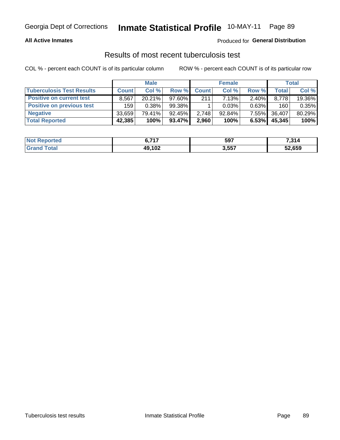# Inmate Statistical Profile 10-MAY-11 Page 89

### **All Active Inmates**

### Produced for General Distribution

### Results of most recent tuberculosis test

COL % - percent each COUNT is of its particular column

|                                  | <b>Male</b>  |        |           | <b>Female</b> |           |          | Total        |        |
|----------------------------------|--------------|--------|-----------|---------------|-----------|----------|--------------|--------|
| <b>Tuberculosis Test Results</b> | <b>Count</b> | Col %  | Row %     | <b>Count</b>  | Col %     | Row %    | <b>Total</b> | Col %  |
| <b>Positive on current test</b>  | 8,567        | 20.21% | 97.60%    | 211           | 7.13%     | $2.40\%$ | 8,778        | 19.36% |
| <b>Positive on previous test</b> | 159          | 0.38%  | 99.38%    |               | 0.03%     | 0.63%    | 160          | 0.35%  |
| <b>Negative</b>                  | 33,659       | 79.41% | 92.45%    | 2,748         | $92.84\%$ | 7.55%    | 36,407       | 80.29% |
| <b>Total Reported</b>            | 42,385       | 100%   | $93.47\%$ | 2,960         | 100%      | 6.53%    | 45,345       | 100%   |

| <b>Not Reported</b> | - 747<br>ν.,   | 597   | 7,314  |
|---------------------|----------------|-------|--------|
| `otal               | 49,102<br>1 VZ | 3,557 | 52,659 |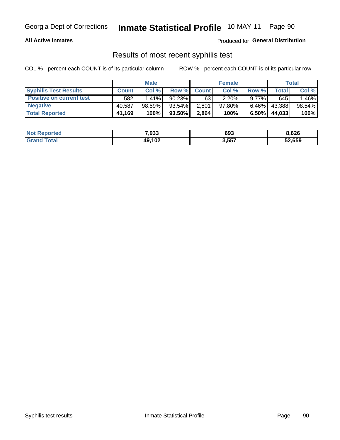#### Inmate Statistical Profile 10-MAY-11 Page 90

### **All Active Inmates**

Produced for General Distribution

### Results of most recent syphilis test

COL % - percent each COUNT is of its particular column

|                                 | <b>Male</b>  |           |           | <b>Female</b> |           |          | Total  |        |
|---------------------------------|--------------|-----------|-----------|---------------|-----------|----------|--------|--------|
| <b>Syphilis Test Results</b>    | <b>Count</b> | Col %     | Row %     | <b>Count</b>  | Col %     | Row %    | Total  | Col %  |
| <b>Positive on current test</b> | 582          | $1.41\%$  | $90.23\%$ | 63            | $2.20\%$  | $9.77\%$ | 645    | .46%   |
| <b>Negative</b>                 | 40.587       | $98.59\%$ | $93.54\%$ | 2,801         | $97.80\%$ | $6.46\%$ | 43,388 | 98.54% |
| <b>Total Reported</b>           | 41,169       | 100%      | 93.50%    | 2,864         | 100%      | $6.50\%$ | 44,033 | 100%   |

| <b>Not Reported</b> | 7,933  | 693   | 8,626  |
|---------------------|--------|-------|--------|
| <b>Grand Total</b>  | 49,102 | 3,557 | 52,659 |